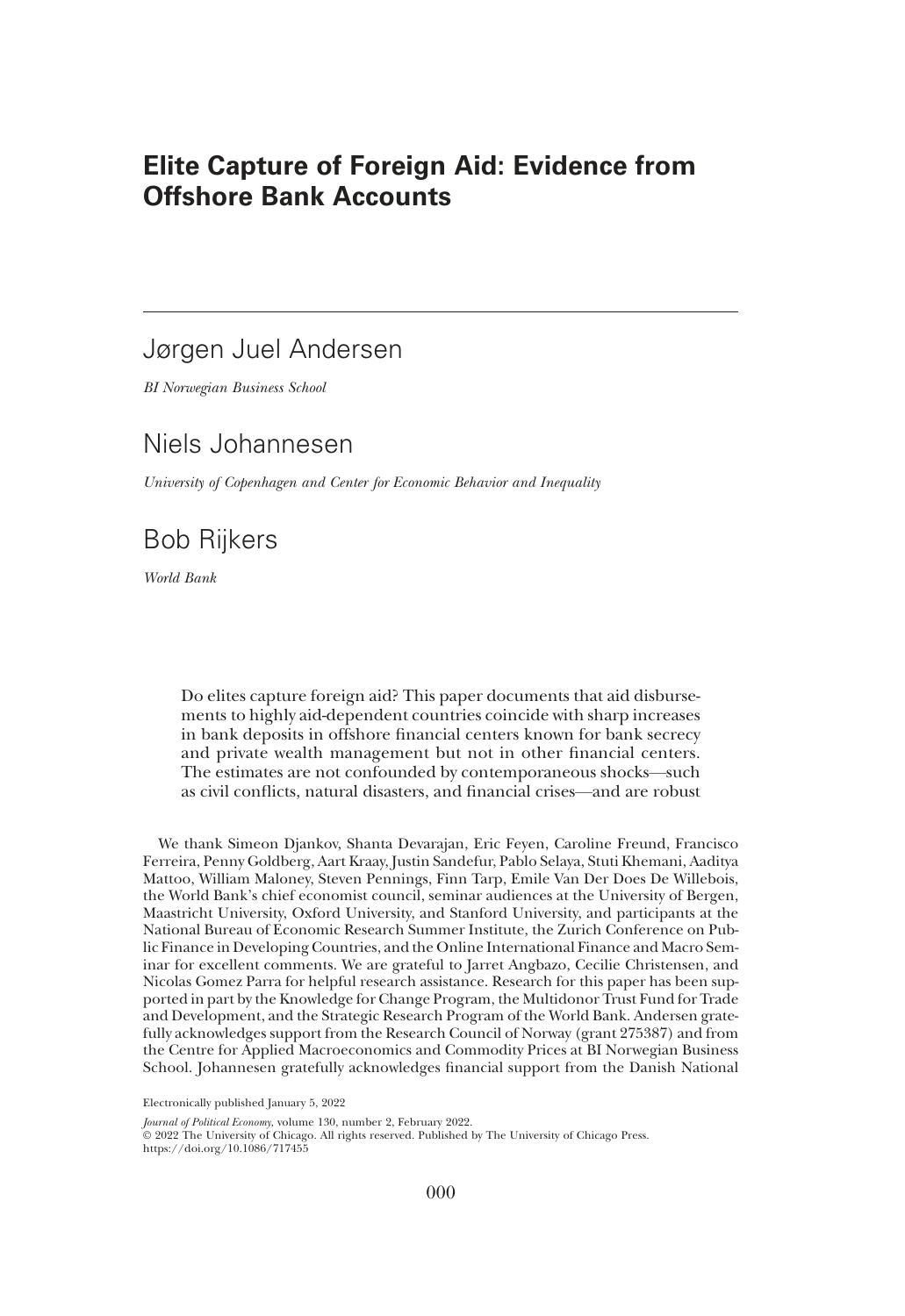# Elite Capture of Foreign Aid: Evidence from Offshore Bank Accounts

# Jørgen Juel Andersen

*BI Norwegian Business School*

# Niels Johannesen

*University of Copenhagen and Center for Economic Behavior and Inequality*

# Bob Rijkers

*World Bank*

Do elites capture foreign aid? This paper documents that aid disbursements to highly aid-dependent countries coincide with sharp increases in bank deposits in offshore financial centers known for bank secrecy and private wealth management but not in other financial centers. The estimates are not confounded by contemporaneous shocks—such as civil conflicts, natural disasters, and financial crises—and are robust

We thank Simeon Djankov, Shanta Devarajan, Eric Feyen, Caroline Freund, Francisco Ferreira, Penny Goldberg, Aart Kraay, Justin Sandefur, Pablo Selaya, Stuti Khemani, Aaditya Mattoo, William Maloney, Steven Pennings, Finn Tarp, Emile Van Der Does De Willebois, the World Bank's chief economist council, seminar audiences at the University of Bergen, Maastricht University, Oxford University, and Stanford University, and participants at the National Bureau of Economic Research Summer Institute, the Zurich Conference on Public Finance in Developing Countries, and the Online International Finance and Macro Seminar for excellent comments. We are grateful to Jarret Angbazo, Cecilie Christensen, and Nicolas Gomez Parra for helpful research assistance. Research for this paper has been supported in part by the Knowledge for Change Program, the Multidonor Trust Fund for Trade and Development, and the Strategic Research Program of the World Bank. Andersen gratefully acknowledges support from the Research Council of Norway (grant 275387) and from the Centre for Applied Macroeconomics and Commodity Prices at BI Norwegian Business School. Johannesen gratefully acknowledges financial support from the Danish National

Electronically published January 5, 2022

*Journal of Political Economy*, volume 130, number 2, February 2022.

© 2022 The University of Chicago. All rights reserved. Published by The University of Chicago Press. https://doi.org/10.1086/717455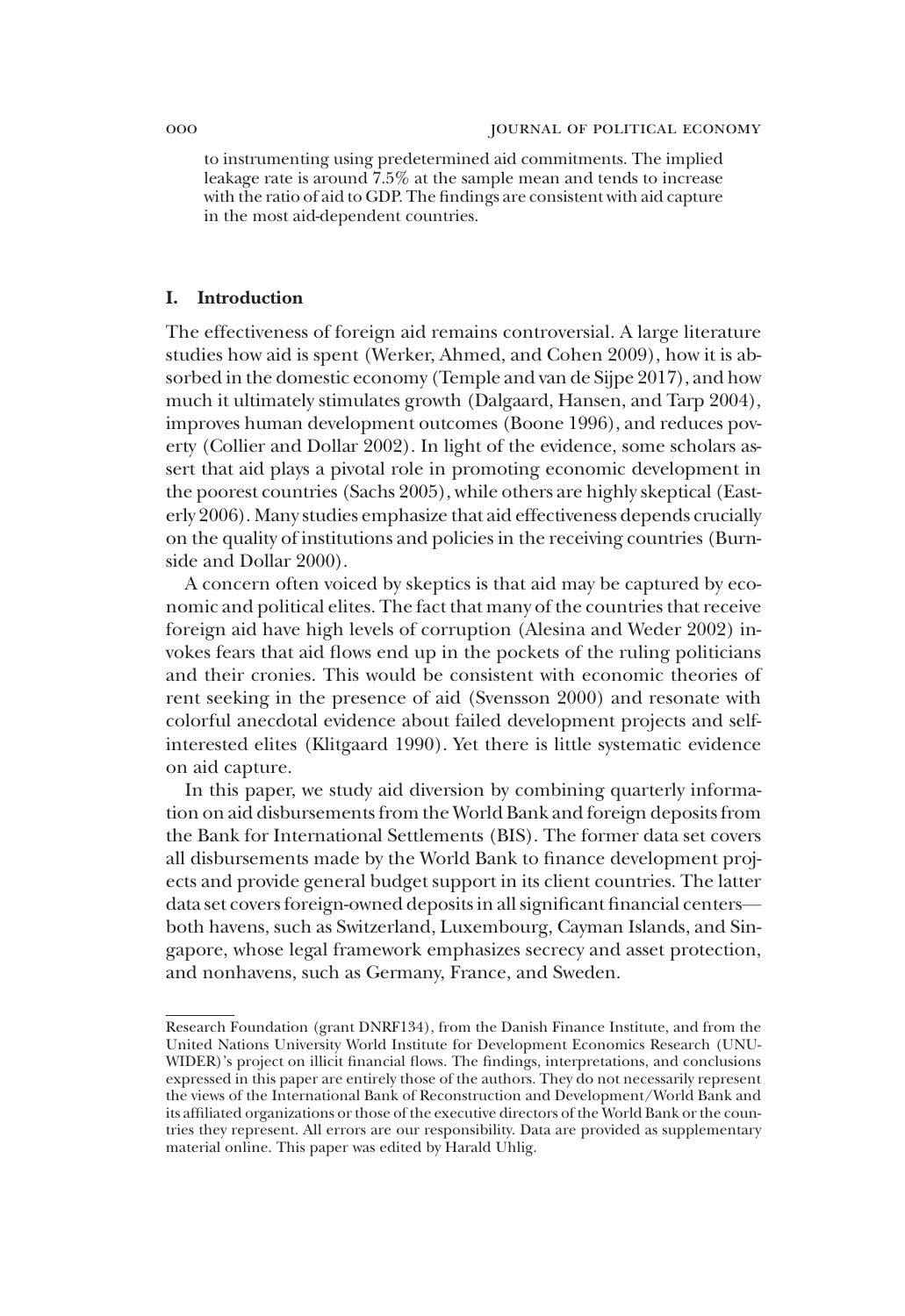to instrumenting using predetermined aid commitments. The implied leakage rate is around  $7.5\%$  at the sample mean and tends to increase with the ratio of aid to GDP. The findings are consistent with aid capture in the most aid-dependent countries.

## I. Introduction

The effectiveness of foreign aid remains controversial. A large literature studies how aid is spent (Werker, Ahmed, and Cohen 2009), how it is absorbed in the domestic economy (Temple and van de Sijpe 2017), and how much it ultimately stimulates growth (Dalgaard, Hansen, and Tarp 2004), improves human development outcomes (Boone 1996), and reduces poverty (Collier and Dollar 2002). In light of the evidence, some scholars assert that aid plays a pivotal role in promoting economic development in the poorest countries (Sachs 2005), while others are highly skeptical (Easterly 2006). Many studies emphasize that aid effectiveness depends crucially on the quality of institutions and policies in the receiving countries (Burnside and Dollar 2000).

A concern often voiced by skeptics is that aid may be captured by economic and political elites. The fact that many of the countries that receive foreign aid have high levels of corruption (Alesina and Weder 2002) invokes fears that aid flows end up in the pockets of the ruling politicians and their cronies. This would be consistent with economic theories of rent seeking in the presence of aid (Svensson 2000) and resonate with colorful anecdotal evidence about failed development projects and selfinterested elites (Klitgaard 1990). Yet there is little systematic evidence on aid capture.

In this paper, we study aid diversion by combining quarterly information on aid disbursements from the World Bank and foreign deposits from the Bank for International Settlements (BIS). The former data set covers all disbursements made by the World Bank to finance development projects and provide general budget support in its client countries. The latter data set covers foreign-owned deposits in all significant financial centers both havens, such as Switzerland, Luxembourg, Cayman Islands, and Singapore, whose legal framework emphasizes secrecy and asset protection, and nonhavens, such as Germany, France, and Sweden.

Research Foundation (grant DNRF134), from the Danish Finance Institute, and from the United Nations University World Institute for Development Economics Research (UNU-WIDER)'s project on illicit financial flows. The findings, interpretations, and conclusions expressed in this paper are entirely those of the authors. They do not necessarily represent the views of the International Bank of Reconstruction and Development/World Bank and its affiliated organizations or those of the executive directors of the World Bank or the countries they represent. All errors are our responsibility. Data are provided as supplementary material online. This paper was edited by Harald Uhlig.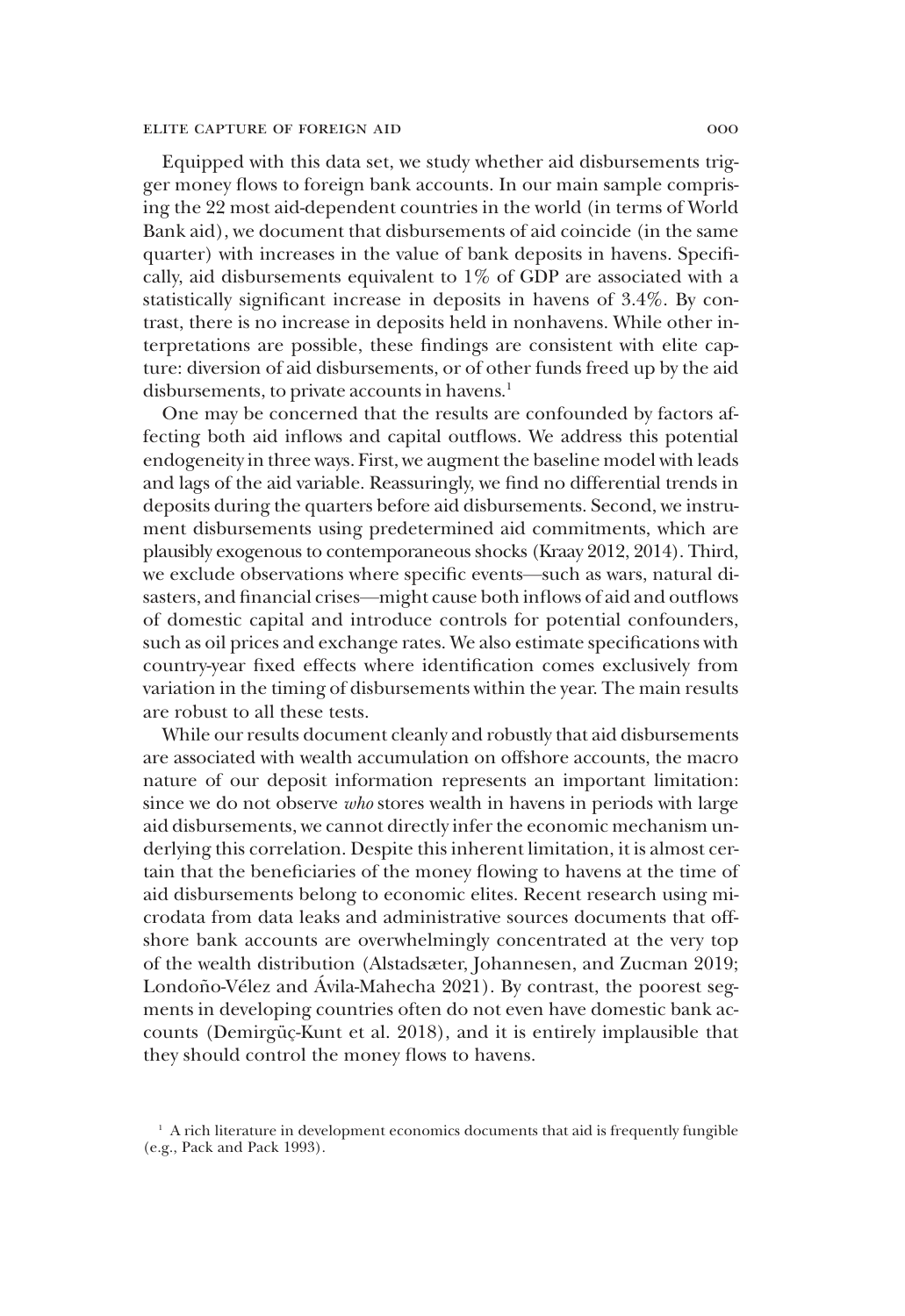Equipped with this data set, we study whether aid disbursements trigger money flows to foreign bank accounts. In our main sample comprising the 22 most aid-dependent countries in the world (in terms of World Bank aid), we document that disbursements of aid coincide (in the same quarter) with increases in the value of bank deposits in havens. Specifically, aid disbursements equivalent to 1% of GDP are associated with a statistically significant increase in deposits in havens of 3.4%. By contrast, there is no increase in deposits held in nonhavens. While other interpretations are possible, these findings are consistent with elite capture: diversion of aid disbursements, or of other funds freed up by the aid disbursements, to private accounts in havens.<sup>1</sup>

One may be concerned that the results are confounded by factors affecting both aid inflows and capital outflows. We address this potential endogeneity in three ways. First, we augment the baseline model with leads and lags of the aid variable. Reassuringly, we find no differential trends in deposits during the quarters before aid disbursements. Second, we instrument disbursements using predetermined aid commitments, which are plausibly exogenous to contemporaneous shocks (Kraay 2012, 2014). Third, we exclude observations where specific events—such as wars, natural disasters, and financial crises—might cause both inflows of aid and outflows of domestic capital and introduce controls for potential confounders, such as oil prices and exchange rates. We also estimate specifications with country-year fixed effects where identification comes exclusively from variation in the timing of disbursements within the year. The main results are robust to all these tests.

While our results document cleanly and robustly that aid disbursements are associated with wealth accumulation on offshore accounts, the macro nature of our deposit information represents an important limitation: since we do not observe *who* stores wealth in havens in periods with large aid disbursements, we cannot directly infer the economic mechanism underlying this correlation. Despite this inherent limitation, it is almost certain that the beneficiaries of the money flowing to havens at the time of aid disbursements belong to economic elites. Recent research using microdata from data leaks and administrative sources documents that offshore bank accounts are overwhelmingly concentrated at the very top of the wealth distribution (Alstadsæter, Johannesen, and Zucman 2019; Londoño-Vélez and Ávila-Mahecha 2021). By contrast, the poorest segments in developing countries often do not even have domestic bank accounts (Demirgüç-Kunt et al. 2018), and it is entirely implausible that they should control the money flows to havens.

 $1$  A rich literature in development economics documents that aid is frequently fungible (e.g., Pack and Pack 1993).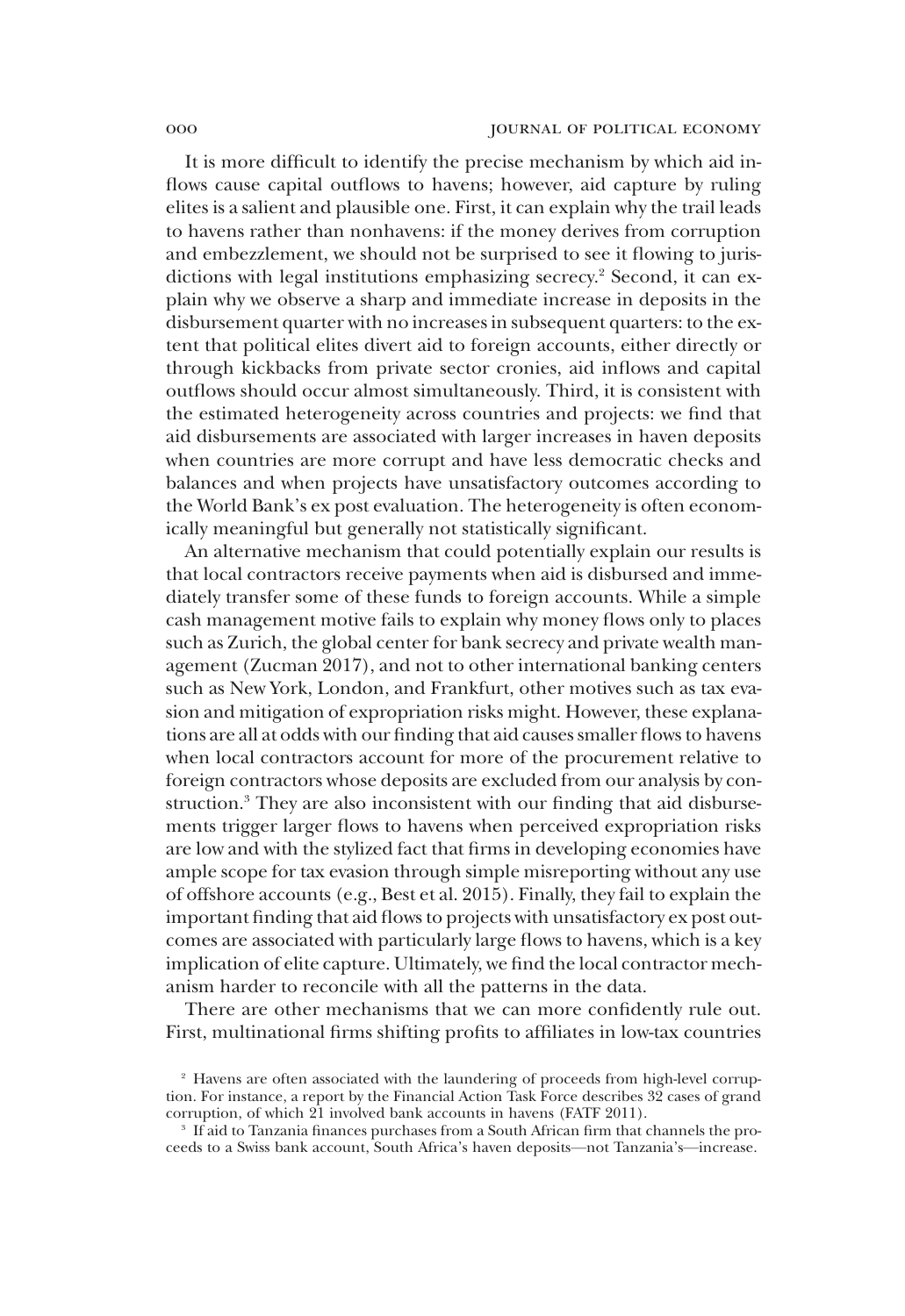It is more difficult to identify the precise mechanism by which aid inflows cause capital outflows to havens; however, aid capture by ruling elites is a salient and plausible one. First, it can explain why the trail leads to havens rather than nonhavens: if the money derives from corruption and embezzlement, we should not be surprised to see it flowing to jurisdictions with legal institutions emphasizing secrecy.<sup>2</sup> Second, it can explain why we observe a sharp and immediate increase in deposits in the disbursement quarter with no increases in subsequent quarters: to the extent that political elites divert aid to foreign accounts, either directly or through kickbacks from private sector cronies, aid inflows and capital outflows should occur almost simultaneously. Third, it is consistent with the estimated heterogeneity across countries and projects: we find that aid disbursements are associated with larger increases in haven deposits when countries are more corrupt and have less democratic checks and balances and when projects have unsatisfactory outcomes according to the World Bank's ex post evaluation. The heterogeneity is often economically meaningful but generally not statistically significant.

An alternative mechanism that could potentially explain our results is that local contractors receive payments when aid is disbursed and immediately transfer some of these funds to foreign accounts. While a simple cash management motive fails to explain why money flows only to places such as Zurich, the global center for bank secrecy and private wealth management (Zucman 2017), and not to other international banking centers such as New York, London, and Frankfurt, other motives such as tax evasion and mitigation of expropriation risks might. However, these explanations are all at odds with our finding that aid causes smaller flows to havens when local contractors account for more of the procurement relative to foreign contractors whose deposits are excluded from our analysis by construction.<sup>3</sup> They are also inconsistent with our finding that aid disbursements trigger larger flows to havens when perceived expropriation risks are low and with the stylized fact that firms in developing economies have ample scope for tax evasion through simple misreporting without any use of offshore accounts (e.g., Best et al. 2015). Finally, they fail to explain the important finding that aid flows to projects with unsatisfactory ex post outcomes are associated with particularly large flows to havens, which is a key implication of elite capture. Ultimately, we find the local contractor mechanism harder to reconcile with all the patterns in the data.

There are other mechanisms that we can more confidently rule out. First, multinational firms shifting profits to affiliates in low-tax countries

<sup>&</sup>lt;sup>2</sup> Havens are often associated with the laundering of proceeds from high-level corruption. For instance, a report by the Financial Action Task Force describes 32 cases of grand corruption, of which 21 involved bank accounts in havens (FATF 2011).

<sup>3</sup> If aid to Tanzania finances purchases from a South African firm that channels the proceeds to a Swiss bank account, South Africa's haven deposits—not Tanzania's—increase.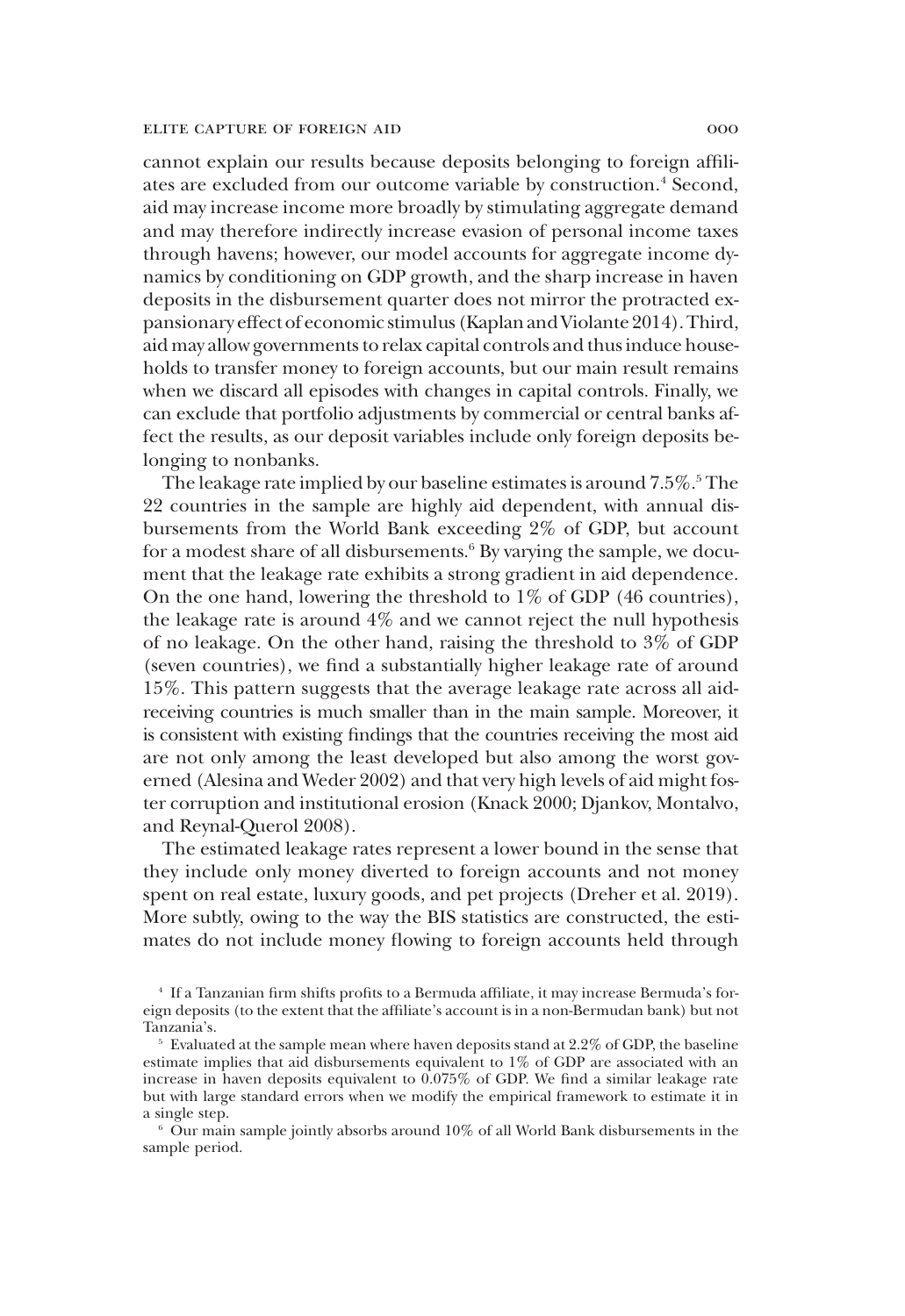cannot explain our results because deposits belonging to foreign affiliates are excluded from our outcome variable by construction.<sup>4</sup> Second, aid may increase income more broadly by stimulating aggregate demand and may therefore indirectly increase evasion of personal income taxes through havens; however, our model accounts for aggregate income dynamics by conditioning on GDP growth, and the sharp increase in haven deposits in the disbursement quarter does not mirror the protracted expansionary effect of economic stimulus (Kaplan and Violante 2014). Third, aid may allow governments to relax capital controls and thus induce households to transfer money to foreign accounts, but our main result remains when we discard all episodes with changes in capital controls. Finally, we can exclude that portfolio adjustments by commercial or central banks affect the results, as our deposit variables include only foreign deposits belonging to nonbanks.

The leakage rate implied by our baseline estimates is around 7.5%.<sup>5</sup> The 22 countries in the sample are highly aid dependent, with annual disbursements from the World Bank exceeding 2% of GDP, but account for a modest share of all disbursements.<sup>6</sup> By varying the sample, we document that the leakage rate exhibits a strong gradient in aid dependence. On the one hand, lowering the threshold to 1% of GDP (46 countries), the leakage rate is around 4% and we cannot reject the null hypothesis of no leakage. On the other hand, raising the threshold to 3% of GDP (seven countries), we find a substantially higher leakage rate of around 15%. This pattern suggests that the average leakage rate across all aidreceiving countries is much smaller than in the main sample. Moreover, it is consistent with existing findings that the countries receiving the most aid are not only among the least developed but also among the worst governed (Alesina and Weder 2002) and that very high levels of aid might foster corruption and institutional erosion (Knack 2000; Djankov, Montalvo, and Reynal-Querol 2008).

The estimated leakage rates represent a lower bound in the sense that they include only money diverted to foreign accounts and not money spent on real estate, luxury goods, and pet projects (Dreher et al. 2019). More subtly, owing to the way the BIS statistics are constructed, the estimates do not include money flowing to foreign accounts held through

<sup>6</sup> Our main sample jointly absorbs around 10% of all World Bank disbursements in the sample period.

<sup>4</sup> If a Tanzanian firm shifts profits to a Bermuda affiliate, it may increase Bermuda's foreign deposits (to the extent that the affiliate's account is in a non-Bermudan bank) but not Tanzania's.

 $5$  Evaluated at the sample mean where haven deposits stand at 2.2% of GDP, the baseline estimate implies that aid disbursements equivalent to 1% of GDP are associated with an increase in haven deposits equivalent to 0.075% of GDP. We find a similar leakage rate but with large standard errors when we modify the empirical framework to estimate it in a single step.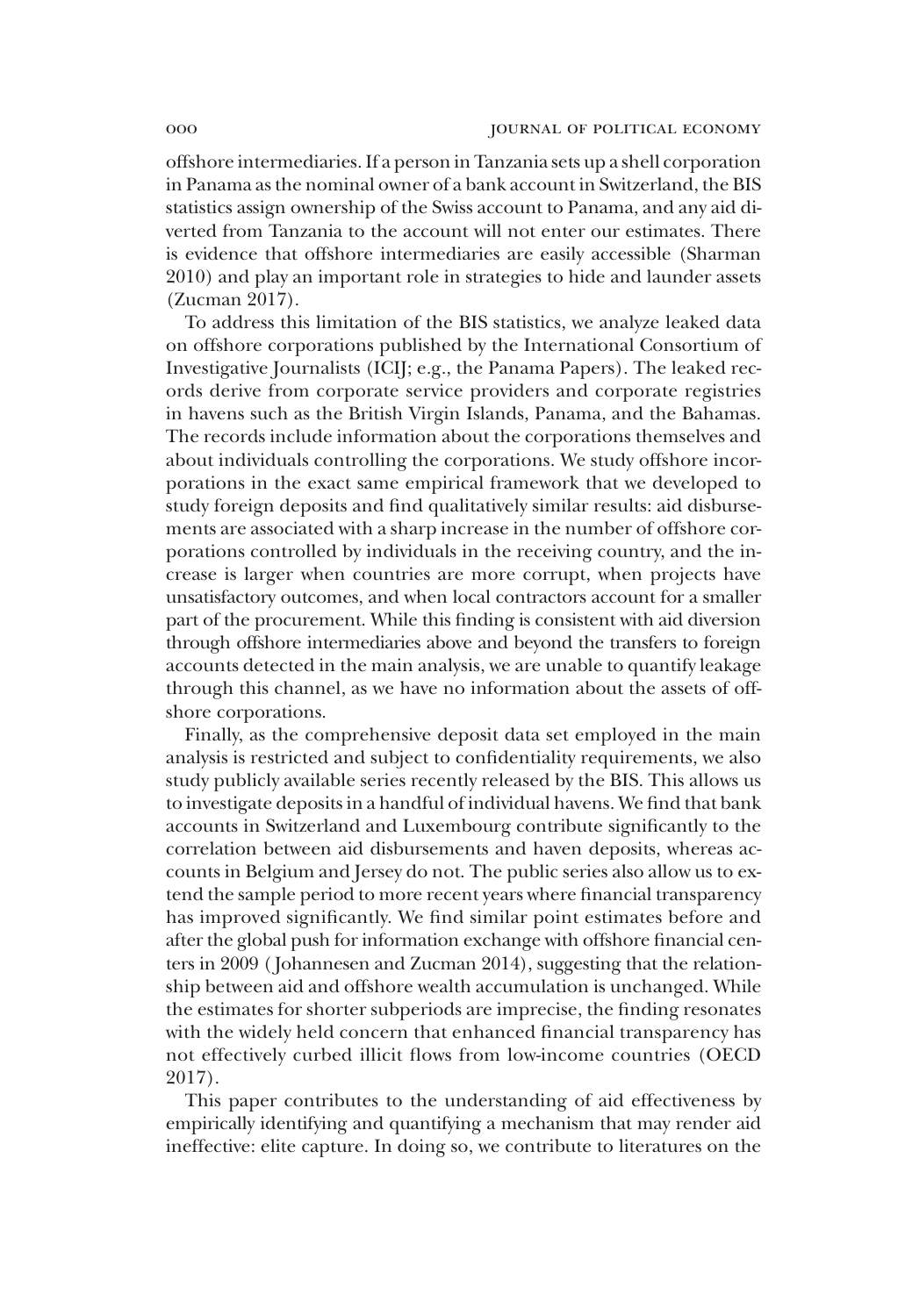offshore intermediaries. If a person in Tanzania sets up a shell corporation in Panama as the nominal owner of a bank account in Switzerland, the BIS statistics assign ownership of the Swiss account to Panama, and any aid diverted from Tanzania to the account will not enter our estimates. There is evidence that offshore intermediaries are easily accessible (Sharman 2010) and play an important role in strategies to hide and launder assets (Zucman 2017).

To address this limitation of the BIS statistics, we analyze leaked data on offshore corporations published by the International Consortium of Investigative Journalists (ICIJ; e.g., the Panama Papers). The leaked records derive from corporate service providers and corporate registries in havens such as the British Virgin Islands, Panama, and the Bahamas. The records include information about the corporations themselves and about individuals controlling the corporations. We study offshore incorporations in the exact same empirical framework that we developed to study foreign deposits and find qualitatively similar results: aid disbursements are associated with a sharp increase in the number of offshore corporations controlled by individuals in the receiving country, and the increase is larger when countries are more corrupt, when projects have unsatisfactory outcomes, and when local contractors account for a smaller part of the procurement. While this finding is consistent with aid diversion through offshore intermediaries above and beyond the transfers to foreign accounts detected in the main analysis, we are unable to quantify leakage through this channel, as we have no information about the assets of offshore corporations.

Finally, as the comprehensive deposit data set employed in the main analysis is restricted and subject to confidentiality requirements, we also study publicly available series recently released by the BIS. This allows us to investigate deposits in a handful of individual havens. We find that bank accounts in Switzerland and Luxembourg contribute significantly to the correlation between aid disbursements and haven deposits, whereas accounts in Belgium and Jersey do not. The public series also allow us to extend the sample period to more recent years where financial transparency has improved significantly. We find similar point estimates before and after the global push for information exchange with offshore financial centers in 2009 ( Johannesen and Zucman 2014), suggesting that the relationship between aid and offshore wealth accumulation is unchanged. While the estimates for shorter subperiods are imprecise, the finding resonates with the widely held concern that enhanced financial transparency has not effectively curbed illicit flows from low-income countries (OECD 2017).

This paper contributes to the understanding of aid effectiveness by empirically identifying and quantifying a mechanism that may render aid ineffective: elite capture. In doing so, we contribute to literatures on the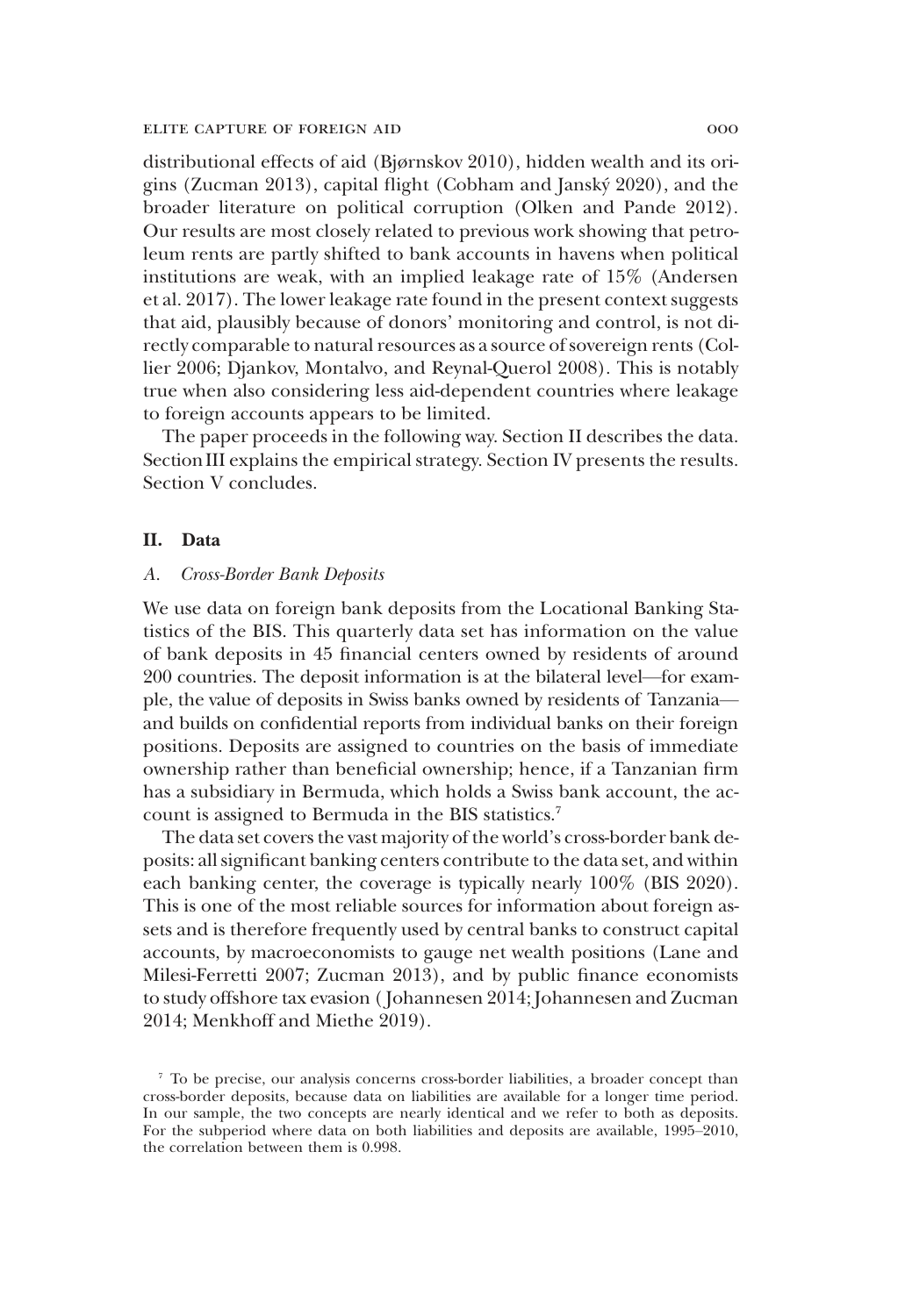distributional effects of aid (Bjørnskov 2010), hidden wealth and its origins (Zucman 2013), capital flight (Cobham and Janský 2020), and the broader literature on political corruption (Olken and Pande 2012). Our results are most closely related to previous work showing that petroleum rents are partly shifted to bank accounts in havens when political institutions are weak, with an implied leakage rate of 15% (Andersen et al. 2017). The lower leakage rate found in the present context suggests that aid, plausibly because of donors' monitoring and control, is not directly comparable to natural resources as a source of sovereign rents (Collier 2006; Djankov, Montalvo, and Reynal-Querol 2008). This is notably true when also considering less aid-dependent countries where leakage to foreign accounts appears to be limited.

The paper proceeds in the following way. Section II describes the data. Section III explains the empirical strategy. Section IV presents the results. Section V concludes.

## II. Data

## *A. Cross-Border Bank Deposits*

We use data on foreign bank deposits from the Locational Banking Statistics of the BIS. This quarterly data set has information on the value of bank deposits in 45 financial centers owned by residents of around 200 countries. The deposit information is at the bilateral level—for example, the value of deposits in Swiss banks owned by residents of Tanzania and builds on confidential reports from individual banks on their foreign positions. Deposits are assigned to countries on the basis of immediate ownership rather than beneficial ownership; hence, if a Tanzanian firm has a subsidiary in Bermuda, which holds a Swiss bank account, the account is assigned to Bermuda in the BIS statistics.<sup>7</sup>

The data set covers the vast majority of the world's cross-border bank deposits: all significant banking centers contribute to the data set, and within each banking center, the coverage is typically nearly 100% (BIS 2020). This is one of the most reliable sources for information about foreign assets and is therefore frequently used by central banks to construct capital accounts, by macroeconomists to gauge net wealth positions (Lane and Milesi-Ferretti 2007; Zucman 2013), and by public finance economists to study offshore tax evasion ( Johannesen 2014; Johannesen and Zucman 2014; Menkhoff and Miethe 2019).

<sup>7</sup> To be precise, our analysis concerns cross-border liabilities, a broader concept than cross-border deposits, because data on liabilities are available for a longer time period. In our sample, the two concepts are nearly identical and we refer to both as deposits. For the subperiod where data on both liabilities and deposits are available, 1995–2010, the correlation between them is 0.998.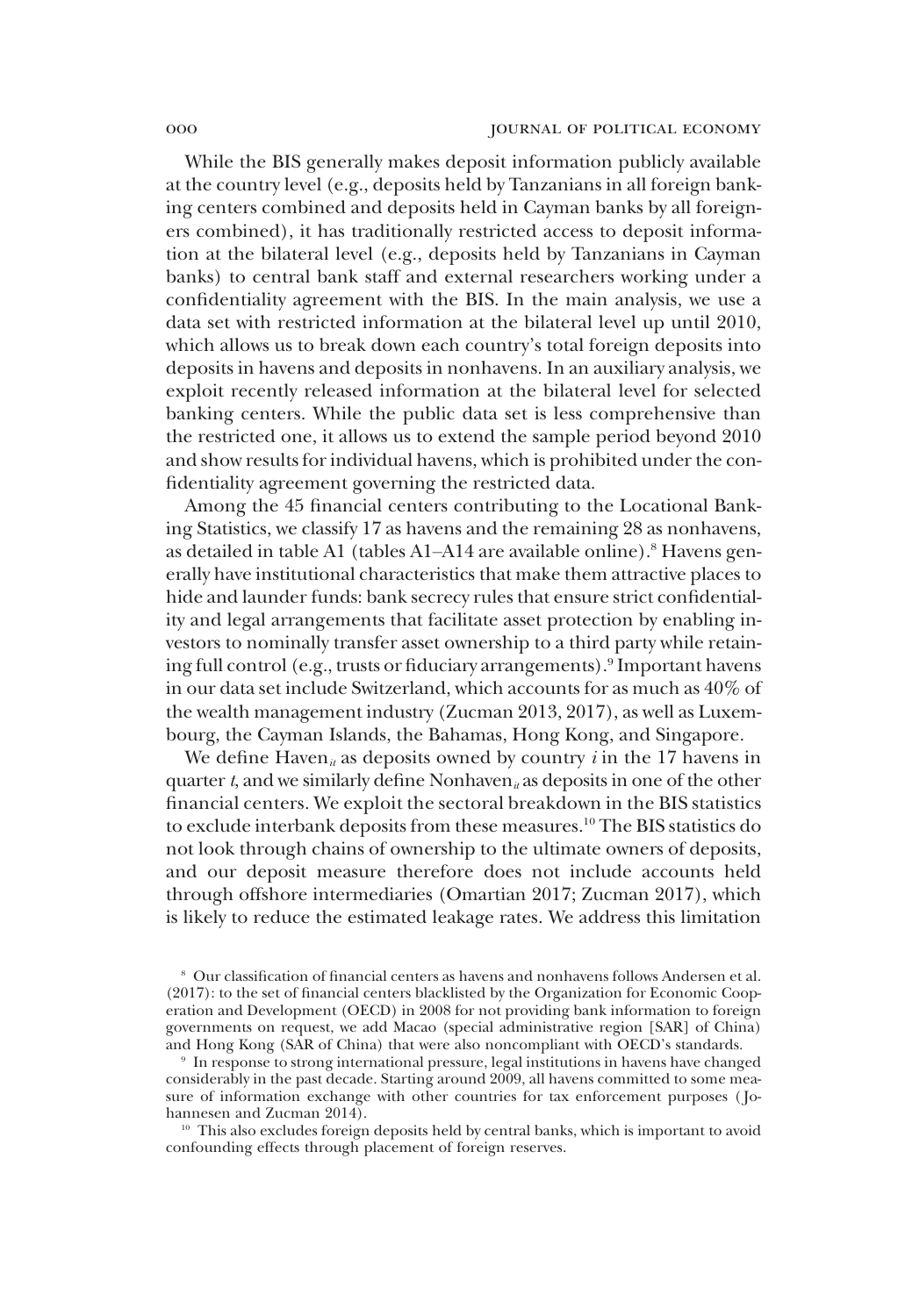While the BIS generally makes deposit information publicly available at the country level (e.g., deposits held by Tanzanians in all foreign banking centers combined and deposits held in Cayman banks by all foreigners combined), it has traditionally restricted access to deposit information at the bilateral level (e.g., deposits held by Tanzanians in Cayman banks) to central bank staff and external researchers working under a confidentiality agreement with the BIS. In the main analysis, we use a data set with restricted information at the bilateral level up until 2010, which allows us to break down each country's total foreign deposits into deposits in havens and deposits in nonhavens. In an auxiliary analysis, we exploit recently released information at the bilateral level for selected banking centers. While the public data set is less comprehensive than the restricted one, it allows us to extend the sample period beyond 2010 and show results for individual havens, which is prohibited under the confidentiality agreement governing the restricted data.

Among the 45 financial centers contributing to the Locational Banking Statistics, we classify 17 as havens and the remaining 28 as nonhavens, as detailed in table A1 (tables A1-A14 are available online).<sup>8</sup> Havens generally have institutional characteristics that make them attractive places to hide and launder funds: bank secrecy rules that ensure strict confidentiality and legal arrangements that facilitate asset protection by enabling investors to nominally transfer asset ownership to a third party while retaining full control (e.g., trusts or fiduciary arrangements).<sup>9</sup> Important havens in our data set include Switzerland, which accounts for as much as 40% of the wealth management industry (Zucman 2013, 2017), as well as Luxembourg, the Cayman Islands, the Bahamas, Hong Kong, and Singapore.

We define Haven<sub>*ii*</sub> as deposits owned by country *i* in the 17 havens in quarter *t*, and we similarly define Nonhaven<sub>*it*</sub> as deposits in one of the other financial centers. We exploit the sectoral breakdown in the BIS statistics to exclude interbank deposits from these measures.<sup>10</sup> The BIS statistics do not look through chains of ownership to the ultimate owners of deposits, and our deposit measure therefore does not include accounts held through offshore intermediaries (Omartian 2017; Zucman 2017), which is likely to reduce the estimated leakage rates. We address this limitation

<sup>10</sup> This also excludes foreign deposits held by central banks, which is important to avoid confounding effects through placement of foreign reserves.

<sup>8</sup> Our classification of financial centers as havens and nonhavens follows Andersen et al. (2017): to the set of financial centers blacklisted by the Organization for Economic Cooperation and Development (OECD) in 2008 for not providing bank information to foreign governments on request, we add Macao (special administrative region [SAR] of China) and Hong Kong (SAR of China) that were also noncompliant with OECD's standards.

<sup>9</sup> In response to strong international pressure, legal institutions in havens have changed considerably in the past decade. Starting around 2009, all havens committed to some measure of information exchange with other countries for tax enforcement purposes ( Johannesen and Zucman 2014).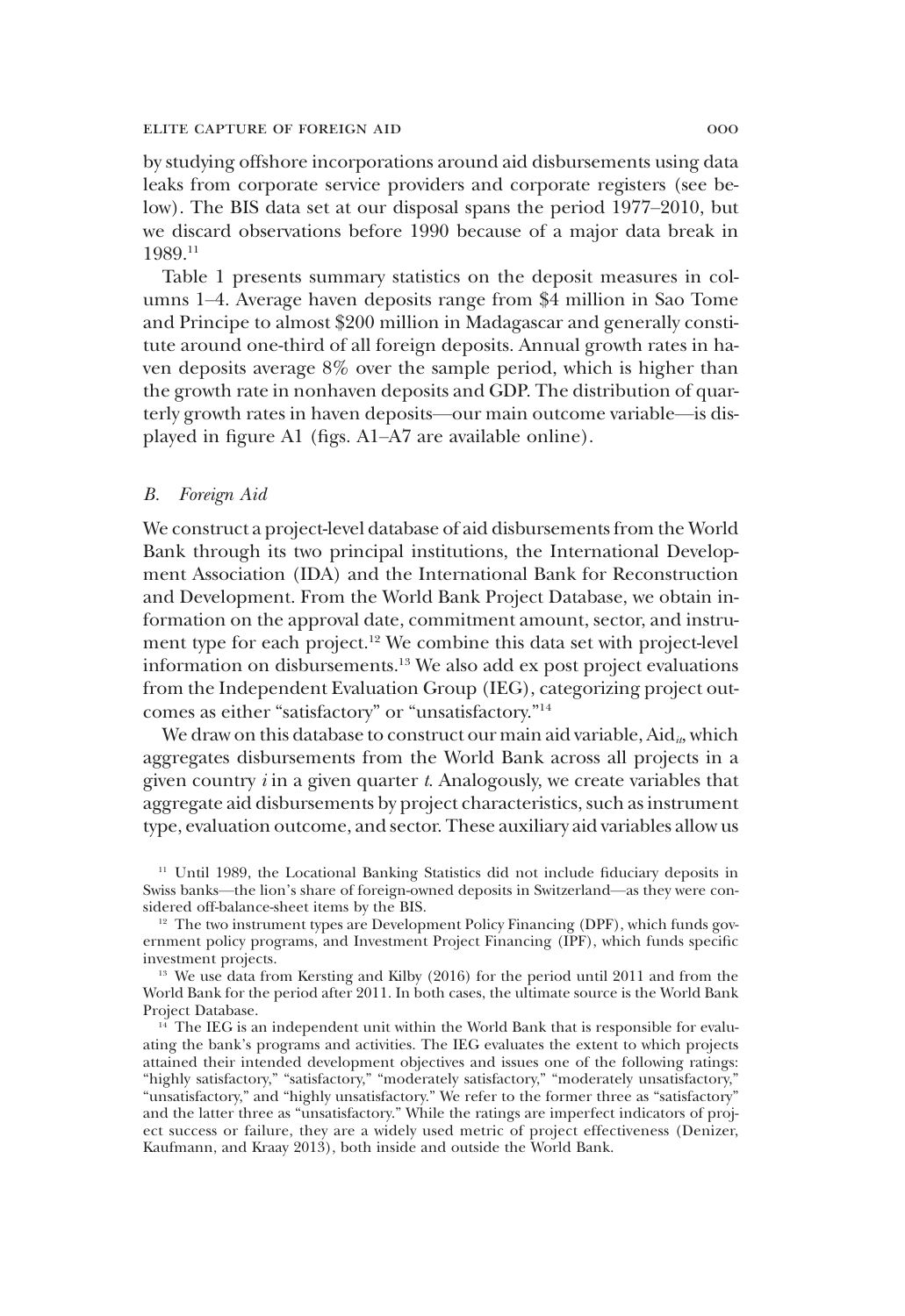by studying offshore incorporations around aid disbursements using data leaks from corporate service providers and corporate registers (see below). The BIS data set at our disposal spans the period 1977–2010, but we discard observations before 1990 because of a major data break in 1989.<sup>11</sup>

Table 1 presents summary statistics on the deposit measures in columns 1–4. Average haven deposits range from \$4 million in Sao Tome and Principe to almost \$200 million in Madagascar and generally constitute around one-third of all foreign deposits. Annual growth rates in haven deposits average 8% over the sample period, which is higher than the growth rate in nonhaven deposits and GDP. The distribution of quarterly growth rates in haven deposits—our main outcome variable—is displayed in figure A1 (figs. A1–A7 are available online).

### *B. Foreign Aid*

We construct a project-level database of aid disbursements from the World Bank through its two principal institutions, the International Development Association (IDA) and the International Bank for Reconstruction and Development. From the World Bank Project Database, we obtain information on the approval date, commitment amount, sector, and instrument type for each project.<sup>12</sup> We combine this data set with project-level information on disbursements.<sup>13</sup> We also add ex post project evaluations from the Independent Evaluation Group (IEG), categorizing project outcomes as either "satisfactory" or "unsatisfactory." 14

We draw on this database to construct our main aid variable, Aid<sub>*it*</sub>, which aggregates disbursements from the World Bank across all projects in a given country *i* in a given quarter *t*. Analogously, we create variables that aggregate aid disbursements by project characteristics, such as instrument type, evaluation outcome, and sector. These auxiliary aid variables allow us

<sup>&</sup>lt;sup>11</sup> Until 1989, the Locational Banking Statistics did not include fiduciary deposits in Swiss banks—the lion's share of foreign-owned deposits in Switzerland—as they were considered off-balance-sheet items by the BIS.

 $12$  The two instrument types are Development Policy Financing (DPF), which funds government policy programs, and Investment Project Financing (IPF), which funds specific investment projects.

<sup>&</sup>lt;sup>13</sup> We use data from Kersting and Kilby (2016) for the period until 2011 and from the World Bank for the period after 2011. In both cases, the ultimate source is the World Bank Project Database.

 $14$ <sup>14</sup> The IEG is an independent unit within the World Bank that is responsible for evaluating the bank's programs and activities. The IEG evaluates the extent to which projects attained their intended development objectives and issues one of the following ratings: "highly satisfactory," "satisfactory," "moderately satisfactory," "moderately unsatisfactory," "unsatisfactory," and "highly unsatisfactory." We refer to the former three as "satisfactory" and the latter three as "unsatisfactory." While the ratings are imperfect indicators of project success or failure, they are a widely used metric of project effectiveness (Denizer, Kaufmann, and Kraay 2013), both inside and outside the World Bank.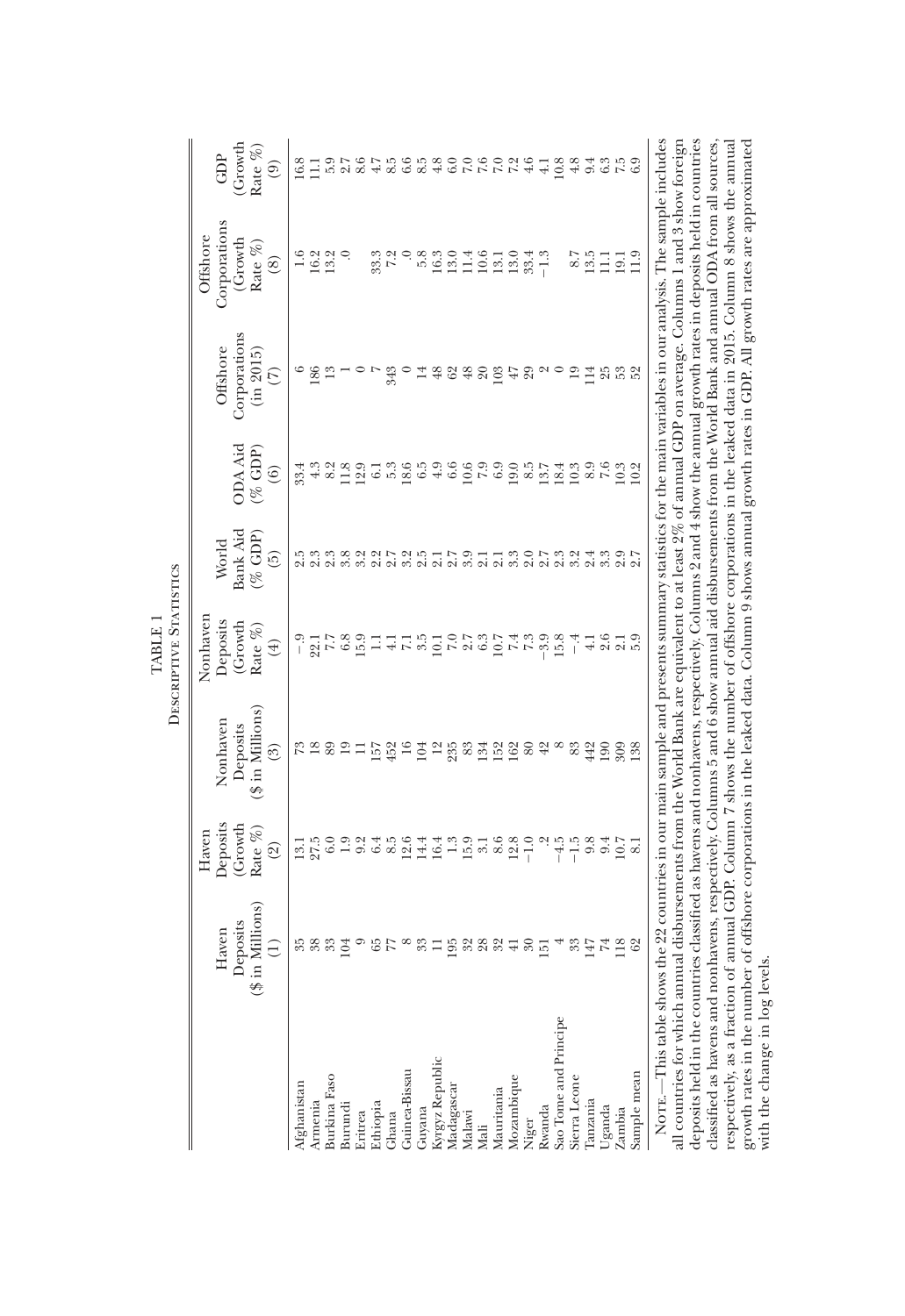|                                                                                                                                                                                                                                                                                                                                                                                                                                                                                |                                                  |                                   |                                                                                                                               | DESCRIPTIVE STATISTICS<br>TABLE                                                                                                                                                                                                 |                   |                                           |                          |                          |                         |
|--------------------------------------------------------------------------------------------------------------------------------------------------------------------------------------------------------------------------------------------------------------------------------------------------------------------------------------------------------------------------------------------------------------------------------------------------------------------------------|--------------------------------------------------|-----------------------------------|-------------------------------------------------------------------------------------------------------------------------------|---------------------------------------------------------------------------------------------------------------------------------------------------------------------------------------------------------------------------------|-------------------|-------------------------------------------|--------------------------|--------------------------|-------------------------|
|                                                                                                                                                                                                                                                                                                                                                                                                                                                                                |                                                  | Haven                             |                                                                                                                               | Nonhaven                                                                                                                                                                                                                        |                   |                                           |                          | Offshore                 |                         |
|                                                                                                                                                                                                                                                                                                                                                                                                                                                                                | Deposits<br>Haven                                | Deposits<br>(Growth               | Nonhaven<br>Deposits                                                                                                          | Deposits<br>(Growth                                                                                                                                                                                                             | Bank Aid<br>World | <b>ODA</b> Aid                            | Corporations<br>Offshore | Corporations<br>(Growth  | (Growth<br>GDP          |
|                                                                                                                                                                                                                                                                                                                                                                                                                                                                                | in Millions)<br>Ξ<br>S                           | Rate %)<br>$\widehat{\mathbb{C}}$ | $(\$\text{in}$ Millions)<br>ි)                                                                                                | Rate $\%$<br>$^{(+)}$                                                                                                                                                                                                           | $(\%$ GDP)<br>6)  | $( \%$ GDP)<br>$\widehat{6}$              | (in 2015)<br>E           | Rate %)<br>$\circledast$ | Rate %<br>$\widehat{e}$ |
| Afghanistan                                                                                                                                                                                                                                                                                                                                                                                                                                                                    |                                                  |                                   |                                                                                                                               |                                                                                                                                                                                                                                 |                   | 33.4                                      |                          |                          | 16.8                    |
| Armenia                                                                                                                                                                                                                                                                                                                                                                                                                                                                        |                                                  | $\frac{13.1}{27.5}$               | న జ                                                                                                                           | $-9$<br>$-21$<br>$7.7$                                                                                                                                                                                                          |                   | 4.3                                       | 186                      | 16.2                     | Ξ                       |
| <b>Burkina</b> Faso                                                                                                                                                                                                                                                                                                                                                                                                                                                            |                                                  | 6.0                               | 89                                                                                                                            |                                                                                                                                                                                                                                 | 2.3               | 8.2                                       | $\frac{3}{2}$            | 13.2                     | 5.9                     |
| Burundi                                                                                                                                                                                                                                                                                                                                                                                                                                                                        | 104                                              | 1.9                               | $\Xi$                                                                                                                         | endrage des des des des des des des de la conseja de la conseja de la conseja de la conseja de la conseja de l<br>Segne de la conseja de la conseja de la conseja de la conseja de la conseja de la conseja de la conseja de la | 3.8               |                                           |                          |                          | 2.7                     |
| Eritrea                                                                                                                                                                                                                                                                                                                                                                                                                                                                        |                                                  |                                   | Ξ                                                                                                                             |                                                                                                                                                                                                                                 | Ņ                 | 12.9                                      |                          |                          | 8.6                     |
| Ethiopia                                                                                                                                                                                                                                                                                                                                                                                                                                                                       | $\frac{55}{77}$                                  | 0. 4 5<br>0. 4 5<br>0. 6          | 157                                                                                                                           |                                                                                                                                                                                                                                 |                   | $\frac{1}{5}$ .3                          |                          | 33.3                     | 4.7                     |
| Ghana                                                                                                                                                                                                                                                                                                                                                                                                                                                                          |                                                  |                                   | $452$<br>16                                                                                                                   |                                                                                                                                                                                                                                 | $2.7$<br>$3.2$    |                                           | 343                      | 7.2                      | 8.5                     |
| <b>Guinea-Bissau</b>                                                                                                                                                                                                                                                                                                                                                                                                                                                           | $^{\circ}$                                       | 12.6                              |                                                                                                                               |                                                                                                                                                                                                                                 |                   | 18.6                                      |                          | $\circ$                  | 6.6                     |
| Guyana                                                                                                                                                                                                                                                                                                                                                                                                                                                                         | 33                                               | 14.4                              | 104                                                                                                                           |                                                                                                                                                                                                                                 |                   | 6.5                                       | 14                       | 5.8                      | 8.5                     |
| Kyrgyz Republic                                                                                                                                                                                                                                                                                                                                                                                                                                                                | Ξ                                                | 16.4                              | $\overline{12}$                                                                                                               |                                                                                                                                                                                                                                 | 222312            | $\begin{array}{c} 4.9 \\ 6.6 \end{array}$ | $\frac{8}{3}$            | 16.3                     | $4.8$                   |
| Madagascar                                                                                                                                                                                                                                                                                                                                                                                                                                                                     | 5282                                             | $1.99$ $3.76$<br>$1.86$           |                                                                                                                               |                                                                                                                                                                                                                                 |                   |                                           | 62                       | 13.0                     |                         |
| Malawi                                                                                                                                                                                                                                                                                                                                                                                                                                                                         |                                                  |                                   |                                                                                                                               |                                                                                                                                                                                                                                 |                   | $^{10.6}_{7.9}$                           | 48                       | 11.4                     |                         |
| Mali                                                                                                                                                                                                                                                                                                                                                                                                                                                                           |                                                  |                                   |                                                                                                                               |                                                                                                                                                                                                                                 |                   |                                           | $\sqrt{2}0$              | 10.6                     |                         |
| Mauritania                                                                                                                                                                                                                                                                                                                                                                                                                                                                     |                                                  |                                   | $238402$<br>$198402$                                                                                                          |                                                                                                                                                                                                                                 |                   | 6.9                                       | 103                      | 13.1                     | $7.89$<br>$7.49$        |
| Mozambique                                                                                                                                                                                                                                                                                                                                                                                                                                                                     |                                                  | 12.8                              |                                                                                                                               |                                                                                                                                                                                                                                 |                   |                                           | $47$<br>29               | 13.0                     |                         |
| Niger                                                                                                                                                                                                                                                                                                                                                                                                                                                                          | $\begin{array}{c} 4.8 \\ 4.0 \\ 2.0 \end{array}$ | $-1.0$                            | 80                                                                                                                            | $77.998$<br>$79.98$                                                                                                                                                                                                             | norn<br>noini     | $19.5$<br>$0.5$<br>$13.7$                 |                          | 33.4                     |                         |
| Rwanda                                                                                                                                                                                                                                                                                                                                                                                                                                                                         |                                                  | Ņ                                 | $42$                                                                                                                          |                                                                                                                                                                                                                                 |                   |                                           |                          | $-1.3$                   | $\overline{41}$         |
| Sao Tome and Principe                                                                                                                                                                                                                                                                                                                                                                                                                                                          | $\overline{\phantom{a}}$                         | $-4.5$                            | $^{\circ}$                                                                                                                    |                                                                                                                                                                                                                                 |                   | 18.4                                      | $\circ$                  |                          | 10.8                    |
| Sierra Leone                                                                                                                                                                                                                                                                                                                                                                                                                                                                   | 33                                               | $-1.5$                            | 83                                                                                                                            | $-4$                                                                                                                                                                                                                            | 3.2               | 10.3                                      | $\overline{19}$          | 8.7                      | 4.8                     |
| Tanzania                                                                                                                                                                                                                                                                                                                                                                                                                                                                       | 147                                              | 9.8                               | 442                                                                                                                           | $\frac{1}{4}$                                                                                                                                                                                                                   |                   | $0.9$<br>$7.6$                            | 114                      | 13.5                     | 9.4                     |
| Uganda                                                                                                                                                                                                                                                                                                                                                                                                                                                                         |                                                  | 9.4                               | 190                                                                                                                           | 2.6                                                                                                                                                                                                                             | 3.3               |                                           | 25<br>23<br>25<br>25     | $\Xi$                    | 6.3                     |
| Zambia                                                                                                                                                                                                                                                                                                                                                                                                                                                                         | 118                                              | 10.7                              | 309                                                                                                                           | $\frac{2}{5}$ .9                                                                                                                                                                                                                |                   | 10.3                                      |                          | 19.1                     | $7.5$<br>6.9            |
| Sample mean                                                                                                                                                                                                                                                                                                                                                                                                                                                                    |                                                  | $\infty$                          | $\frac{38}{2}$                                                                                                                |                                                                                                                                                                                                                                 |                   | 10.2                                      |                          | $\frac{9}{11}$           |                         |
| NOTE.—This table shows the 22 countries in our main sample and presents summary statistics for the main variables in our analysis. The sample includes<br>deposits held in the countries classified as havens and nonhavens, respectively. Columns 2 and 4 show the annual growth rates in deposits held in countries<br>all countries for which annual disbursements from the World Bank are equivalent to at least 2% of annual GDP on average. Columns 1 and 3 show foreign |                                                  |                                   |                                                                                                                               |                                                                                                                                                                                                                                 |                   |                                           |                          |                          |                         |
| classified as havens and nonhavens, respectively. Columns 5 and 6 show annual aid disbursements from the World Bank and annual ODA from all sources,                                                                                                                                                                                                                                                                                                                           |                                                  |                                   |                                                                                                                               |                                                                                                                                                                                                                                 |                   |                                           |                          |                          |                         |
| respectively, as a fraction of annual GDP. Column 7 shows the number of offshore corporations in the leaked data in 2015. Column 8 shows the annual<br>growth rates in the num                                                                                                                                                                                                                                                                                                 |                                                  |                                   | ber of offshore corporations in the leaked data. Column 9 shows annual growth rates in GDP. All growth rates are approximated |                                                                                                                                                                                                                                 |                   |                                           |                          |                          |                         |
| with the change in log                                                                                                                                                                                                                                                                                                                                                                                                                                                         | levels.                                          |                                   |                                                                                                                               |                                                                                                                                                                                                                                 |                   |                                           |                          |                          |                         |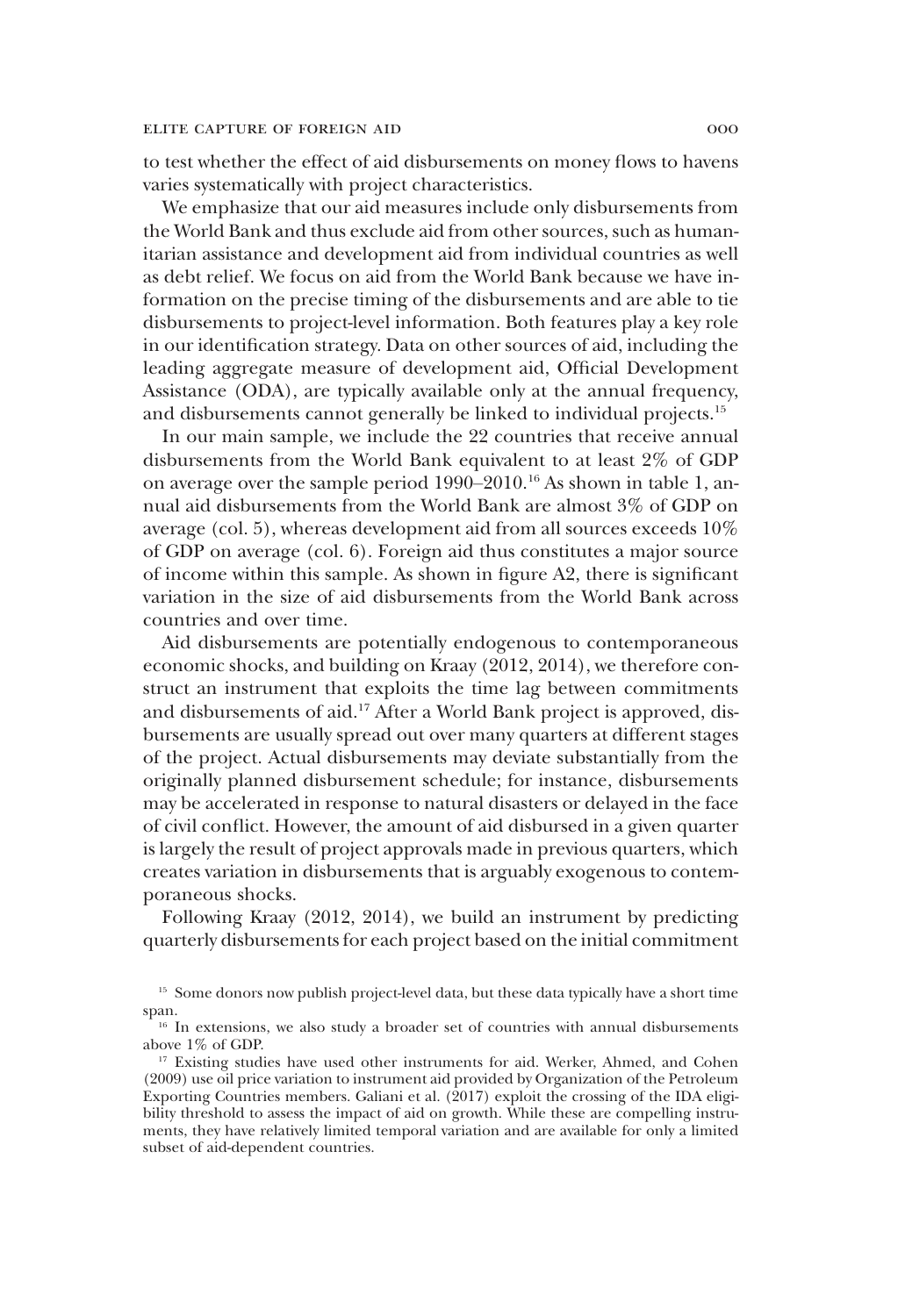to test whether the effect of aid disbursements on money flows to havens varies systematically with project characteristics.

We emphasize that our aid measures include only disbursements from the World Bank and thus exclude aid from other sources, such as humanitarian assistance and development aid from individual countries as well as debt relief. We focus on aid from the World Bank because we have information on the precise timing of the disbursements and are able to tie disbursements to project-level information. Both features play a key role in our identification strategy. Data on other sources of aid, including the leading aggregate measure of development aid, Official Development Assistance (ODA), are typically available only at the annual frequency, and disbursements cannot generally be linked to individual projects.<sup>15</sup>

In our main sample, we include the 22 countries that receive annual disbursements from the World Bank equivalent to at least 2% of GDP on average over the sample period 1990–2010.<sup>16</sup> As shown in table 1, annual aid disbursements from the World Bank are almost 3% of GDP on average (col. 5), whereas development aid from all sources exceeds 10% of GDP on average (col. 6). Foreign aid thus constitutes a major source of income within this sample. As shown in figure A2, there is significant variation in the size of aid disbursements from the World Bank across countries and over time.

Aid disbursements are potentially endogenous to contemporaneous economic shocks, and building on Kraay (2012, 2014), we therefore construct an instrument that exploits the time lag between commitments and disbursements of aid.<sup>17</sup> After a World Bank project is approved, disbursements are usually spread out over many quarters at different stages of the project. Actual disbursements may deviate substantially from the originally planned disbursement schedule; for instance, disbursements may be accelerated in response to natural disasters or delayed in the face of civil conflict. However, the amount of aid disbursed in a given quarter is largely the result of project approvals made in previous quarters, which creates variation in disbursements that is arguably exogenous to contemporaneous shocks.

Following Kraay (2012, 2014), we build an instrument by predicting quarterly disbursements for each project based on the initial commitment

<sup>&</sup>lt;sup>15</sup> Some donors now publish project-level data, but these data typically have a short time span.

<sup>&</sup>lt;sup>16</sup> In extensions, we also study a broader set of countries with annual disbursements above 1% of GDP.

<sup>&</sup>lt;sup>17</sup> Existing studies have used other instruments for aid. Werker, Ahmed, and Cohen (2009) use oil price variation to instrument aid provided by Organization of the Petroleum Exporting Countries members. Galiani et al. (2017) exploit the crossing of the IDA eligibility threshold to assess the impact of aid on growth. While these are compelling instruments, they have relatively limited temporal variation and are available for only a limited subset of aid-dependent countries.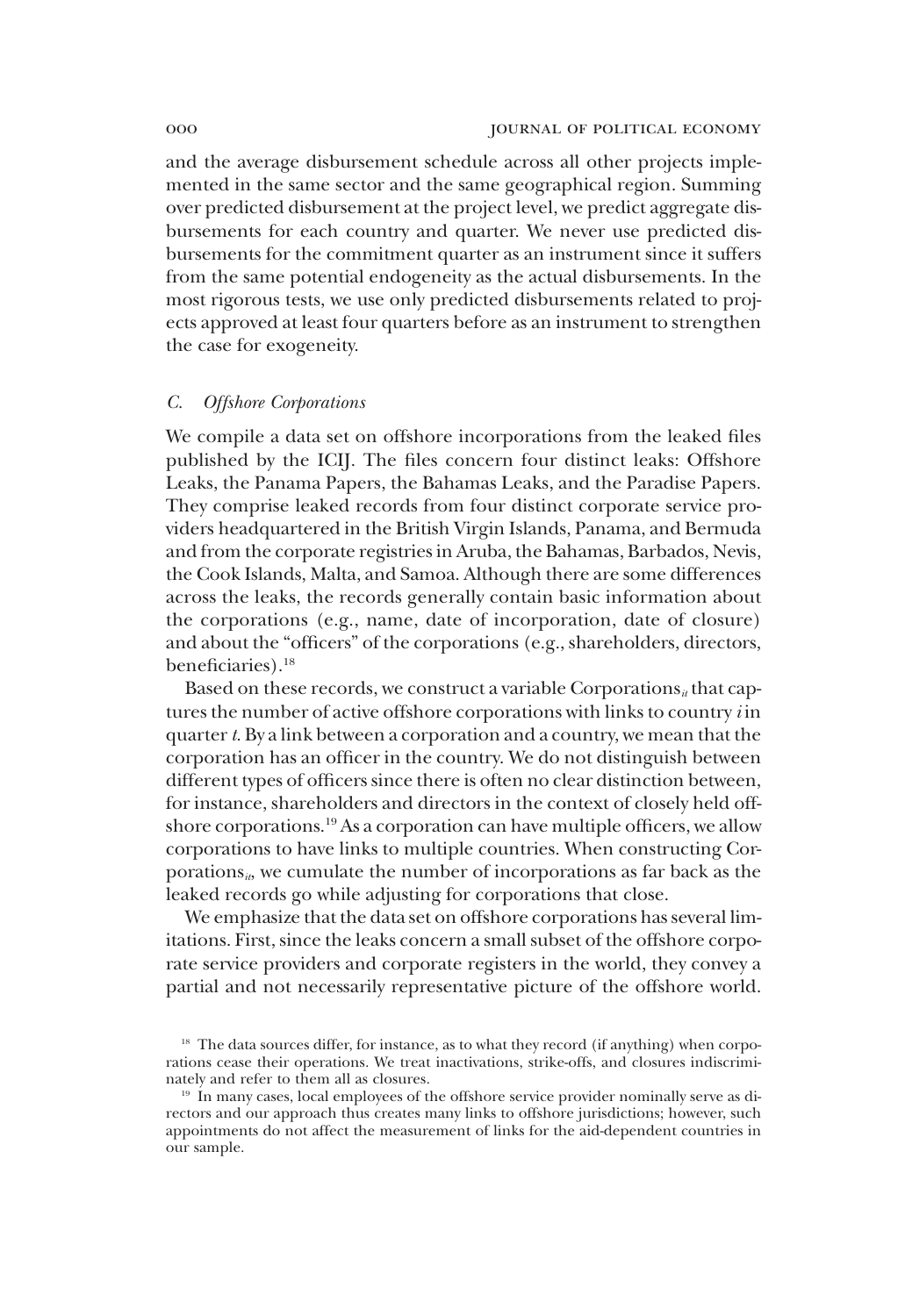and the average disbursement schedule across all other projects implemented in the same sector and the same geographical region. Summing over predicted disbursement at the project level, we predict aggregate disbursements for each country and quarter. We never use predicted disbursements for the commitment quarter as an instrument since it suffers from the same potential endogeneity as the actual disbursements. In the most rigorous tests, we use only predicted disbursements related to projects approved at least four quarters before as an instrument to strengthen the case for exogeneity.

# *C. Offshore Corporations*

We compile a data set on offshore incorporations from the leaked files published by the ICIJ. The files concern four distinct leaks: Offshore Leaks, the Panama Papers, the Bahamas Leaks, and the Paradise Papers. They comprise leaked records from four distinct corporate service providers headquartered in the British Virgin Islands, Panama, and Bermuda and from the corporate registries in Aruba, the Bahamas, Barbados, Nevis, the Cook Islands, Malta, and Samoa. Although there are some differences across the leaks, the records generally contain basic information about the corporations (e.g., name, date of incorporation, date of closure) and about the "officers" of the corporations (e.g., shareholders, directors, beneficiaries).<sup>18</sup>

Based on these records, we construct a variable Corporations<sub>*it*</sub> that captures the number of active offshore corporations with links to country *i* in quarter*t*. By a link between a corporation and a country, we mean that the corporation has an officer in the country. We do not distinguish between different types of officers since there is often no clear distinction between, for instance, shareholders and directors in the context of closely held offshore corporations.<sup>19</sup> As a corporation can have multiple officers, we allow corporations to have links to multiple countries. When constructing Corporations<sub>*it*</sub>, we cumulate the number of incorporations as far back as the leaked records go while adjusting for corporations that close.

We emphasize that the data set on offshore corporations has several limitations. First, since the leaks concern a small subset of the offshore corporate service providers and corporate registers in the world, they convey a partial and not necessarily representative picture of the offshore world.

<sup>&</sup>lt;sup>18</sup> The data sources differ, for instance, as to what they record (if anything) when corporations cease their operations. We treat inactivations, strike-offs, and closures indiscriminately and refer to them all as closures.

<sup>&</sup>lt;sup>19</sup> In many cases, local employees of the offshore service provider nominally serve as directors and our approach thus creates many links to offshore jurisdictions; however, such appointments do not affect the measurement of links for the aid-dependent countries in our sample.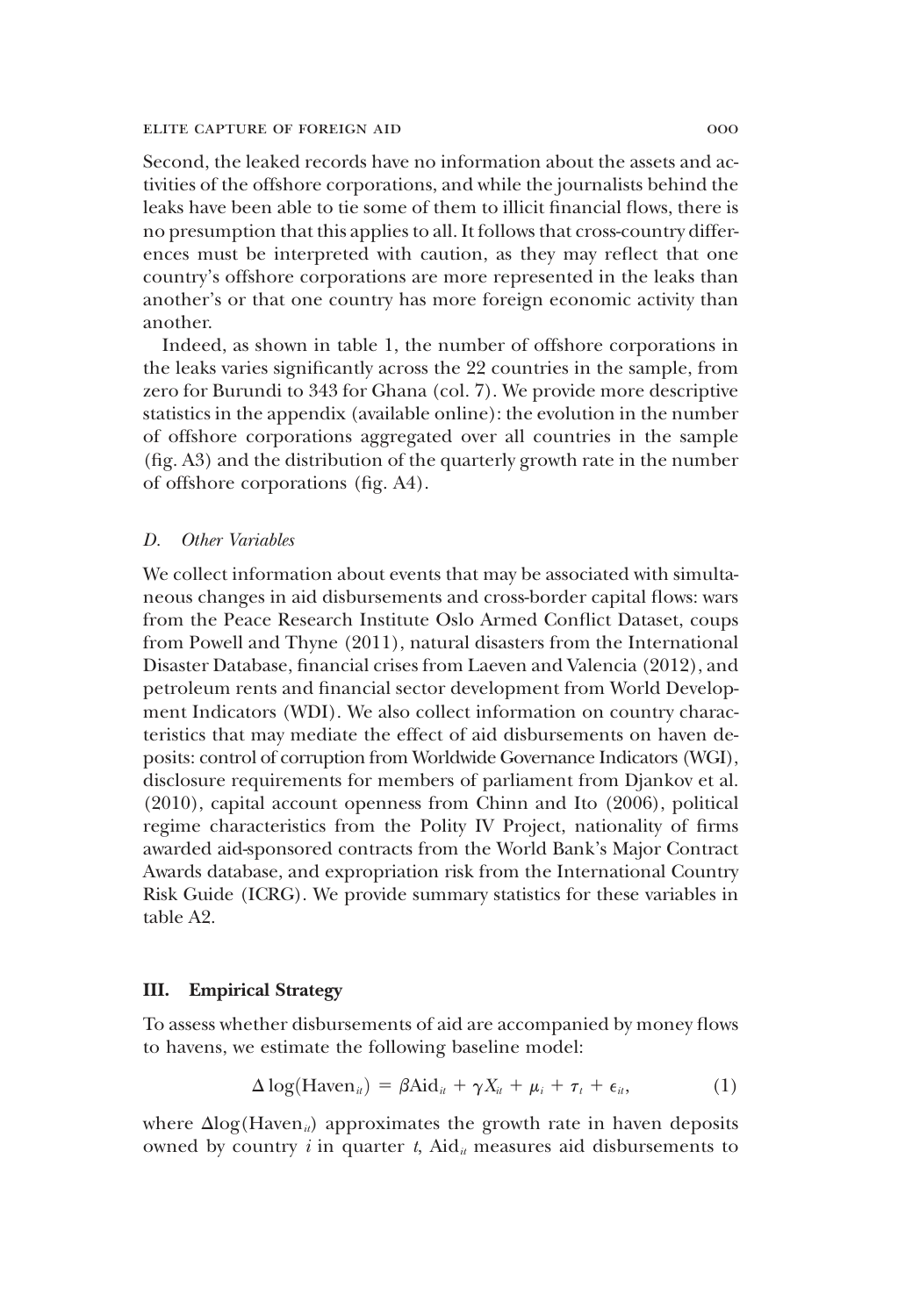Second, the leaked records have no information about the assets and activities of the offshore corporations, and while the journalists behind the leaks have been able to tie some of them to illicit financial flows, there is no presumption that this applies to all. It follows that cross-country differences must be interpreted with caution, as they may reflect that one country's offshore corporations are more represented in the leaks than another's or that one country has more foreign economic activity than another.

Indeed, as shown in table 1, the number of offshore corporations in the leaks varies significantly across the 22 countries in the sample, from zero for Burundi to 343 for Ghana (col. 7). We provide more descriptive statistics in the appendix (available online): the evolution in the number of offshore corporations aggregated over all countries in the sample (fig. A3) and the distribution of the quarterly growth rate in the number of offshore corporations (fig. A4).

## *D. Other Variables*

We collect information about events that may be associated with simultaneous changes in aid disbursements and cross-border capital flows: wars from the Peace Research Institute Oslo Armed Conflict Dataset, coups from Powell and Thyne (2011), natural disasters from the International Disaster Database, financial crises from Laeven and Valencia (2012), and petroleum rents and financial sector development from World Development Indicators (WDI). We also collect information on country characteristics that may mediate the effect of aid disbursements on haven deposits: control of corruption from Worldwide Governance Indicators (WGI), disclosure requirements for members of parliament from Djankov et al. (2010), capital account openness from Chinn and Ito (2006), political regime characteristics from the Polity IV Project, nationality of firms awarded aid-sponsored contracts from the World Bank's Major Contract Awards database, and expropriation risk from the International Country Risk Guide (ICRG). We provide summary statistics for these variables in table A2.

# III. Empirical Strategy

To assess whether disbursements of aid are accompanied by money flows to havens, we estimate the following baseline model:

$$
\Delta \log(\text{Haven}_{it}) = \beta \text{Aid}_{it} + \gamma X_{it} + \mu_{i} + \tau_{t} + \epsilon_{it}, \tag{1}
$$

where  $\Delta$ log(Haven<sub>*ii*</sub>) approximates the growth rate in haven deposits owned by country  $i$  in quarter  $t$ , Aid<sub> $i$ </sub> measures aid disbursements to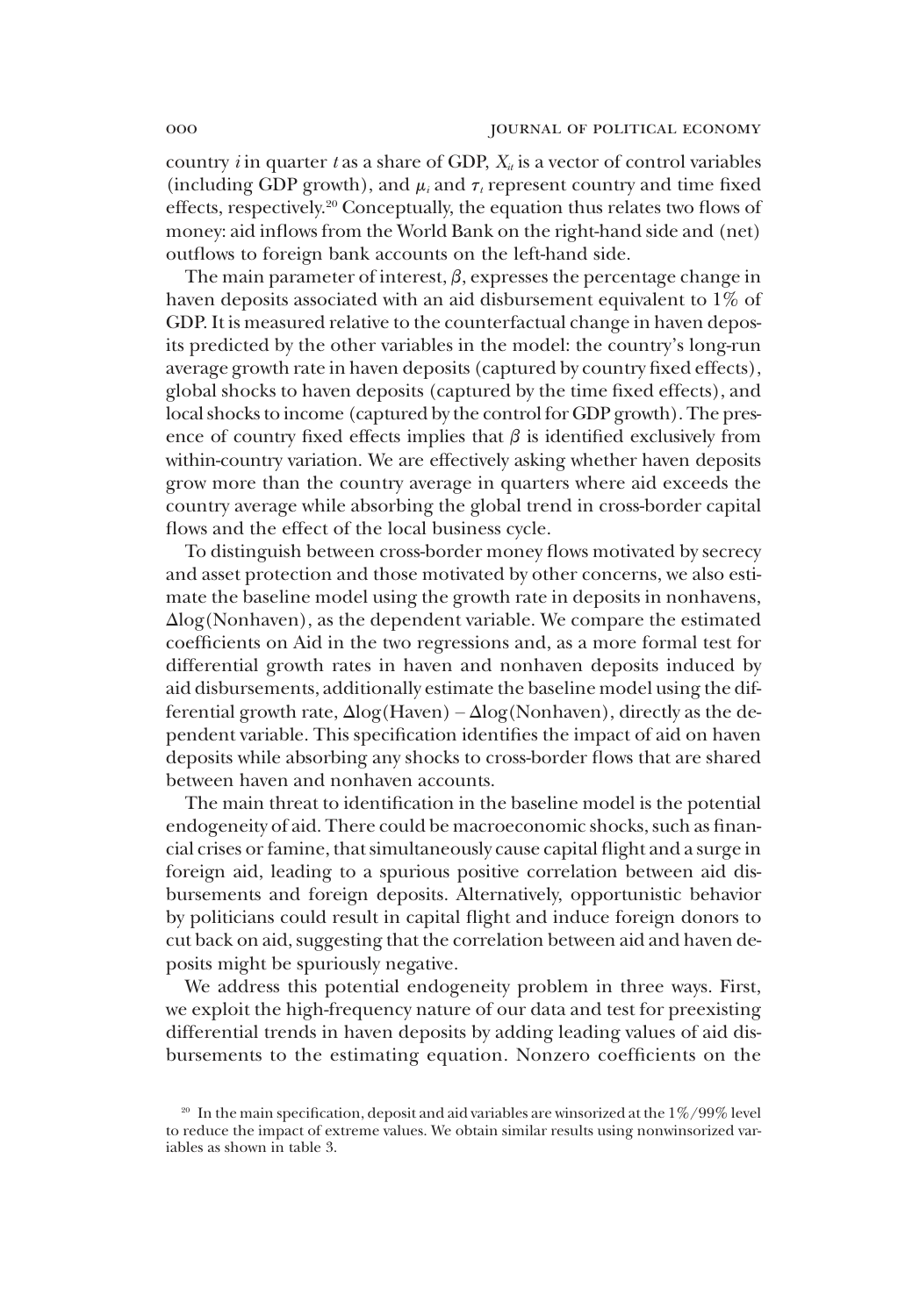country *i* in quarter *t* as a share of GDP,  $X_i$  is a vector of control variables (including GDP growth), and  $\mu_i$  and  $\tau_i$  represent country and time fixed effects, respectively.<sup>20</sup> Conceptually, the equation thus relates two flows of money: aid inflows from the World Bank on the right-hand side and (net) outflows to foreign bank accounts on the left-hand side.

The main parameter of interest,  $\beta$ , expresses the percentage change in haven deposits associated with an aid disbursement equivalent to 1% of GDP. It is measured relative to the counterfactual change in haven deposits predicted by the other variables in the model: the country's long-run average growth rate in haven deposits (captured by country fixed effects), global shocks to haven deposits (captured by the time fixed effects), and local shocks to income (captured by the control for GDP growth). The presence of country fixed effects implies that  $\beta$  is identified exclusively from within-country variation. We are effectively asking whether haven deposits grow more than the country average in quarters where aid exceeds the country average while absorbing the global trend in cross-border capital flows and the effect of the local business cycle.

To distinguish between cross-border money flows motivated by secrecy and asset protection and those motivated by other concerns, we also estimate the baseline model using the growth rate in deposits in nonhavens, Alog(Nonhaven), as the dependent variable. We compare the estimated coefficients on Aid in the two regressions and, as a more formal test for differential growth rates in haven and nonhaven deposits induced by aid disbursements, additionally estimate the baseline model using the differential growth rate,  $\Delta$ log(Haven) –  $\Delta$ log(Nonhaven), directly as the dependent variable. This specification identifies the impact of aid on haven deposits while absorbing any shocks to cross-border flows that are shared between haven and nonhaven accounts.

The main threat to identification in the baseline model is the potential endogeneity of aid. There could be macroeconomic shocks, such as financial crises or famine, that simultaneously cause capital flight and a surge in foreign aid, leading to a spurious positive correlation between aid disbursements and foreign deposits. Alternatively, opportunistic behavior by politicians could result in capital flight and induce foreign donors to cut back on aid, suggesting that the correlation between aid and haven deposits might be spuriously negative.

We address this potential endogeneity problem in three ways. First, we exploit the high-frequency nature of our data and test for preexisting differential trends in haven deposits by adding leading values of aid disbursements to the estimating equation. Nonzero coefficients on the

 $20$  In the main specification, deposit and aid variables are winsorized at the  $1\%/99\%$  level to reduce the impact of extreme values. We obtain similar results using nonwinsorized variables as shown in table 3.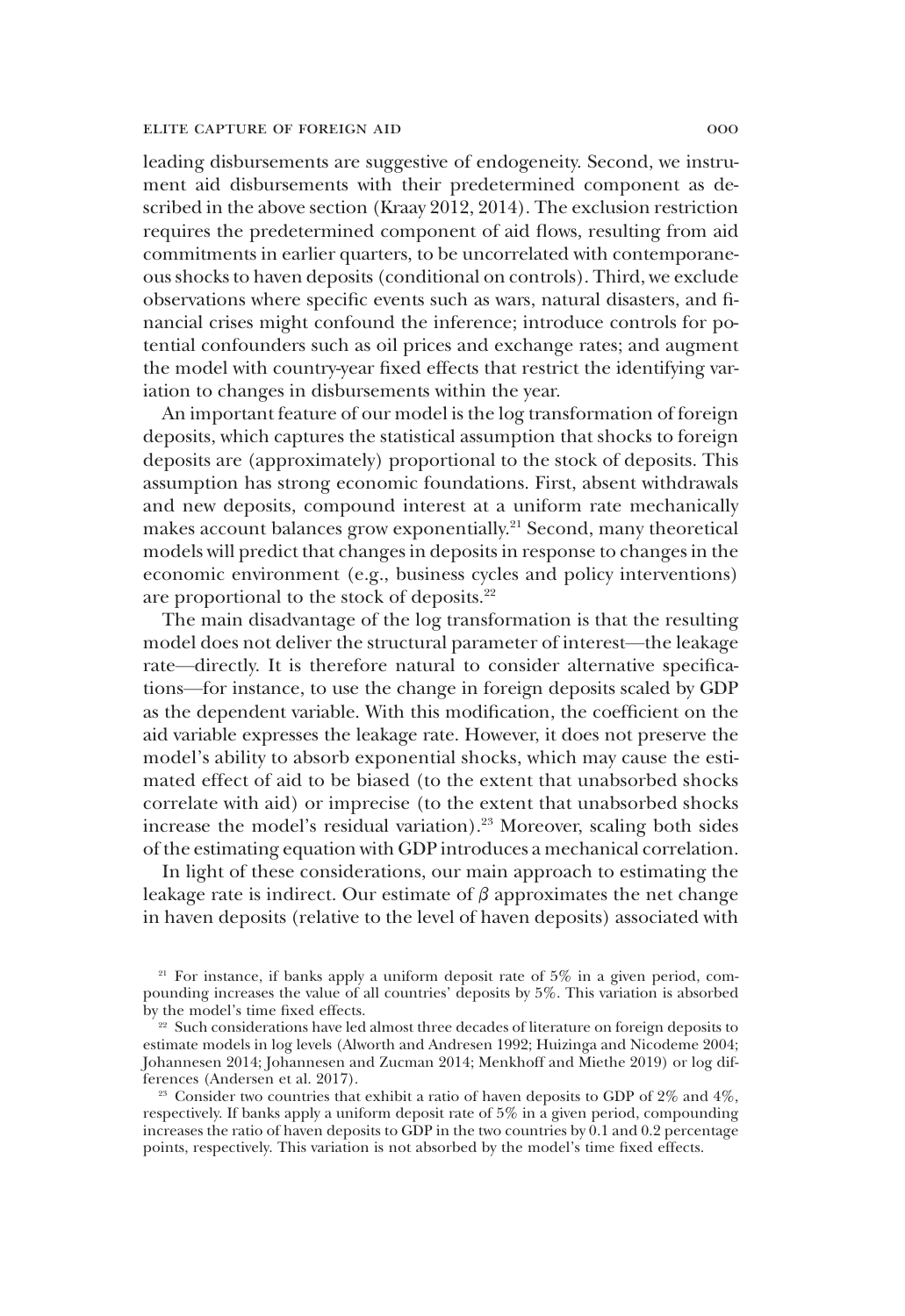leading disbursements are suggestive of endogeneity. Second, we instrument aid disbursements with their predetermined component as described in the above section (Kraay 2012, 2014). The exclusion restriction requires the predetermined component of aid flows, resulting from aid commitments in earlier quarters, to be uncorrelated with contemporaneous shocks to haven deposits (conditional on controls). Third, we exclude observations where specific events such as wars, natural disasters, and financial crises might confound the inference; introduce controls for potential confounders such as oil prices and exchange rates; and augment the model with country-year fixed effects that restrict the identifying variation to changes in disbursements within the year.

An important feature of our model is the log transformation of foreign deposits, which captures the statistical assumption that shocks to foreign deposits are (approximately) proportional to the stock of deposits. This assumption has strong economic foundations. First, absent withdrawals and new deposits, compound interest at a uniform rate mechanically makes account balances grow exponentially.<sup>21</sup> Second, many theoretical models will predict that changes in deposits in response to changes in the economic environment (e.g., business cycles and policy interventions) are proportional to the stock of deposits.<sup>22</sup>

The main disadvantage of the log transformation is that the resulting model does not deliver the structural parameter of interest—the leakage rate—directly. It is therefore natural to consider alternative specifications—for instance, to use the change in foreign deposits scaled by GDP as the dependent variable. With this modification, the coefficient on the aid variable expresses the leakage rate. However, it does not preserve the model's ability to absorb exponential shocks, which may cause the estimated effect of aid to be biased (to the extent that unabsorbed shocks correlate with aid) or imprecise (to the extent that unabsorbed shocks increase the model's residual variation).<sup>23</sup> Moreover, scaling both sides of the estimating equation with GDP introduces a mechanical correlation.

In light of these considerations, our main approach to estimating the leakage rate is indirect. Our estimate of  $\beta$  approximates the net change in haven deposits (relative to the level of haven deposits) associated with

 $21$  For instance, if banks apply a uniform deposit rate of 5% in a given period, compounding increases the value of all countries' deposits by 5%. This variation is absorbed by the model's time fixed effects.

<sup>&</sup>lt;sup>22</sup> Such considerations have led almost three decades of literature on foreign deposits to estimate models in log levels (Alworth and Andresen 1992; Huizinga and Nicodeme 2004; Johannesen 2014; Johannesen and Zucman 2014; Menkhoff and Miethe 2019) or log differences (Andersen et al. 2017).

<sup>&</sup>lt;sup>23</sup> Consider two countries that exhibit a ratio of haven deposits to GDP of  $2\%$  and  $4\%$ , respectively. If banks apply a uniform deposit rate of 5% in a given period, compounding increases the ratio of haven deposits to GDP in the two countries by 0.1 and 0.2 percentage points, respectively. This variation is not absorbed by the model's time fixed effects.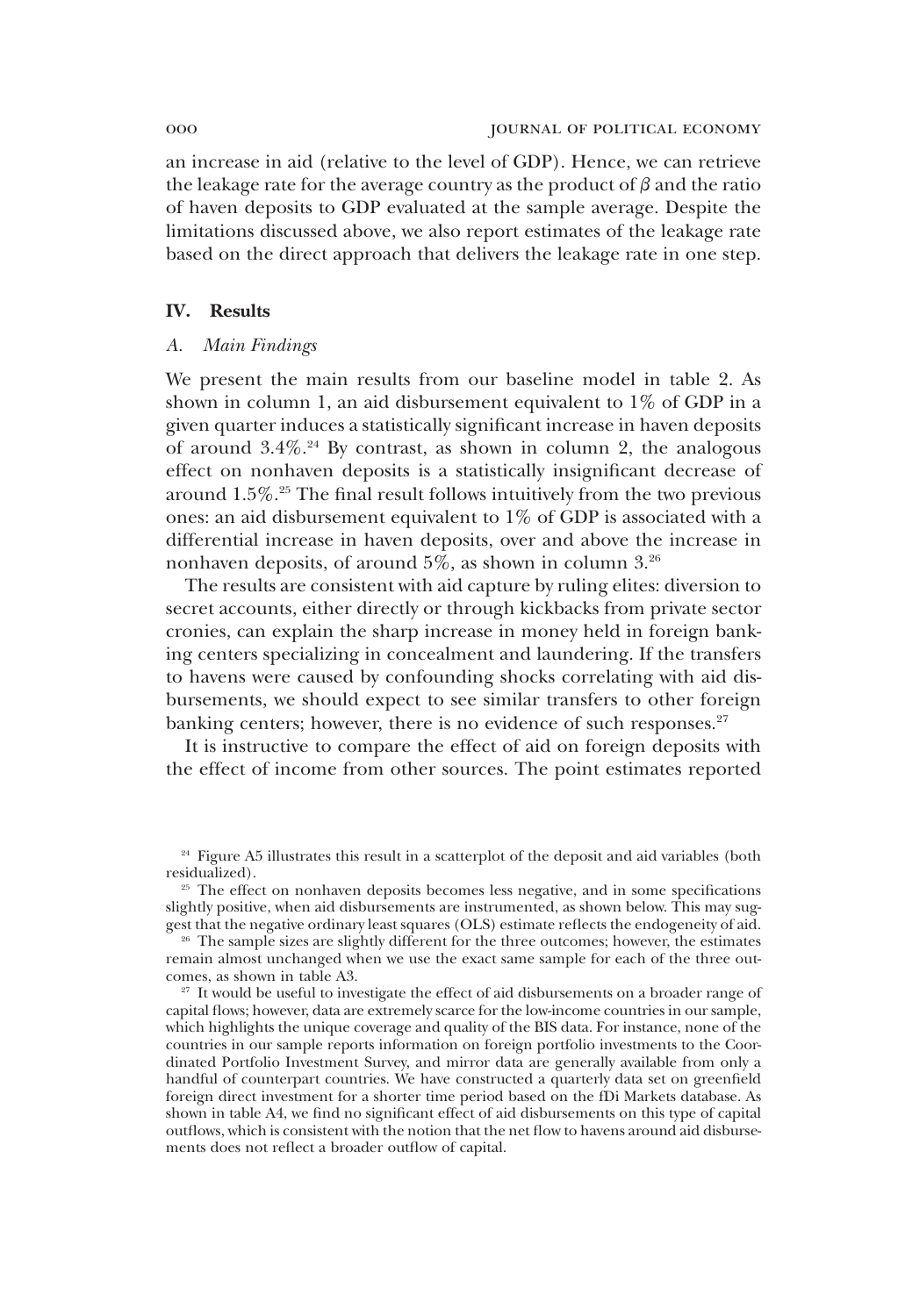an increase in aid (relative to the level of GDP). Hence, we can retrieve the leakage rate for the average country as the product of  $\beta$  and the ratio of haven deposits to GDP evaluated at the sample average. Despite the limitations discussed above, we also report estimates of the leakage rate based on the direct approach that delivers the leakage rate in one step.

## IV. Results

# *A. Main Findings*

We present the main results from our baseline model in table 2. As shown in column 1, an aid disbursement equivalent to 1% of GDP in a given quarter induces a statistically significant increase in haven deposits of around  $3.4\%$ .<sup>24</sup> By contrast, as shown in column 2, the analogous effect on nonhaven deposits is a statistically insignificant decrease of around 1.5%.<sup>25</sup> The final result follows intuitively from the two previous ones: an aid disbursement equivalent to 1% of GDP is associated with a differential increase in haven deposits, over and above the increase in nonhaven deposits, of around 5%, as shown in column 3.<sup>26</sup>

The results are consistent with aid capture by ruling elites: diversion to secret accounts, either directly or through kickbacks from private sector cronies, can explain the sharp increase in money held in foreign banking centers specializing in concealment and laundering. If the transfers to havens were caused by confounding shocks correlating with aid disbursements, we should expect to see similar transfers to other foreign banking centers; however, there is no evidence of such responses. $27$ 

It is instructive to compare the effect of aid on foreign deposits with the effect of income from other sources. The point estimates reported

<sup>&</sup>lt;sup>24</sup> Figure A5 illustrates this result in a scatterplot of the deposit and aid variables (both residualized).

<sup>&</sup>lt;sup>25</sup> The effect on nonhaven deposits becomes less negative, and in some specifications slightly positive, when aid disbursements are instrumented, as shown below. This may suggest that the negative ordinary least squares (OLS) estimate reflects the endogeneity of aid.

<sup>&</sup>lt;sup>26</sup> The sample sizes are slightly different for the three outcomes; however, the estimates remain almost unchanged when we use the exact same sample for each of the three outcomes, as shown in table A3.

<sup>27</sup> It would be useful to investigate the effect of aid disbursements on a broader range of capital flows; however, data are extremely scarce for the low-income countries in our sample, which highlights the unique coverage and quality of the BIS data. For instance, none of the countries in our sample reports information on foreign portfolio investments to the Coordinated Portfolio Investment Survey, and mirror data are generally available from only a handful of counterpart countries. We have constructed a quarterly data set on greenfield foreign direct investment for a shorter time period based on the fDi Markets database. As shown in table A4, we find no significant effect of aid disbursements on this type of capital outflows, which is consistent with the notion that the net flow to havens around aid disbursements does not reflect a broader outflow of capital.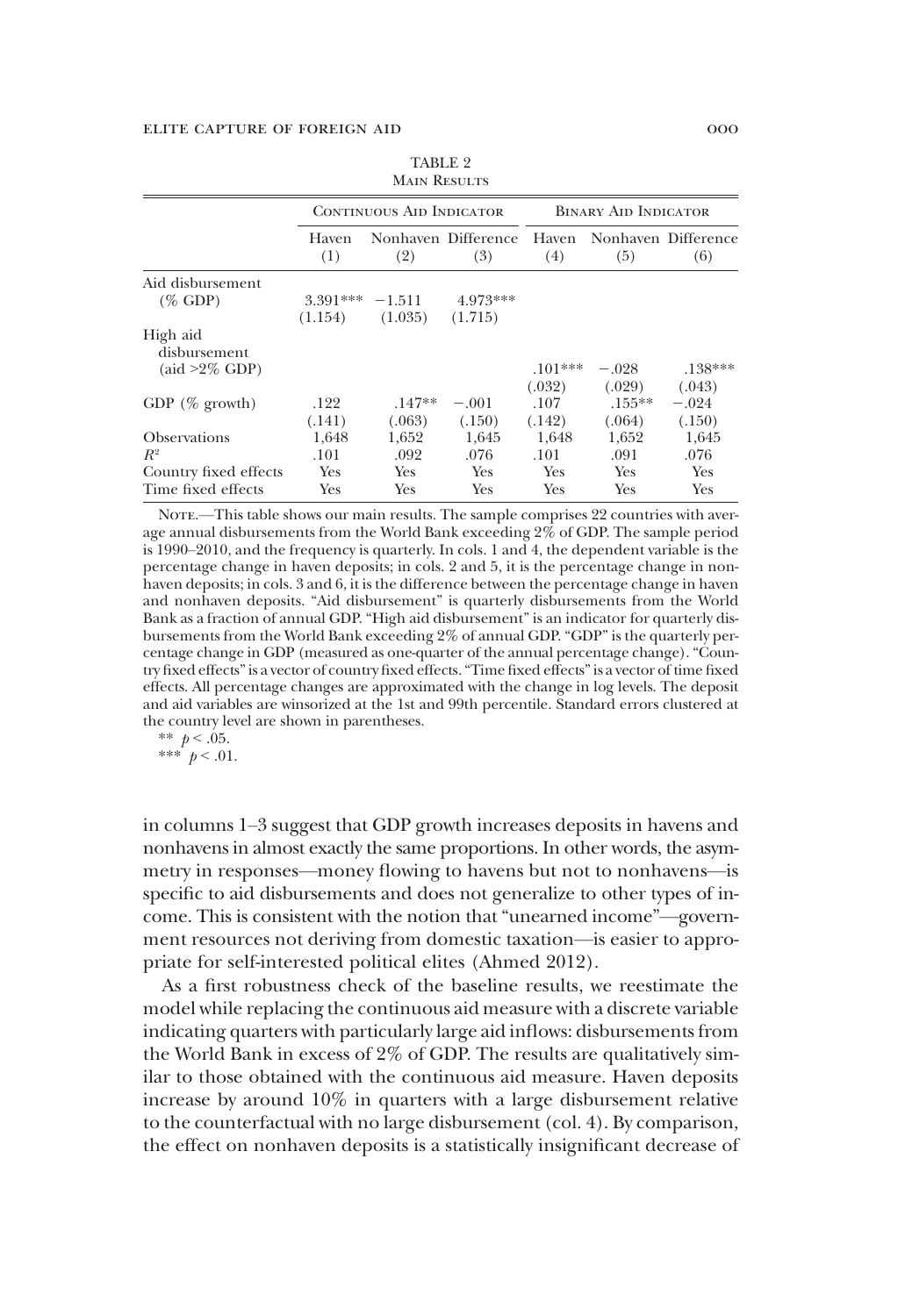|                                                              |                   | <b>CONTINUOUS AID INDICATOR</b> |                            |                | <b>BINARY AID INDICATOR</b> |                            |
|--------------------------------------------------------------|-------------------|---------------------------------|----------------------------|----------------|-----------------------------|----------------------------|
|                                                              | Haven<br>(1)      | (2)                             | Nonhaven Difference<br>(3) | Haven<br>(4)   | (5)                         | Nonhaven Difference<br>(6) |
| Aid disbursement                                             |                   |                                 |                            |                |                             |                            |
| $(\%$ GDP)                                                   | $3.391*** -1.511$ |                                 | 4.973***                   |                |                             |                            |
|                                                              | (1.154)           | (1.035)                         | (1.715)                    |                |                             |                            |
| High aid<br>disbursement<br>$(\text{aid} > 2\% \text{ GDP})$ |                   |                                 |                            | $.101***$      | $-.028$                     | $.138***$                  |
|                                                              |                   |                                 |                            | (.032)         | (.029)                      | (.043)                     |
| GDP $(\%$ growth)                                            | .122<br>(.141)    | $.147**$<br>(.063)              | $-.001$<br>(.150)          | .107<br>(.142) | $.155***$<br>(.064)         | $-.024$<br>(.150)          |
| <b>Observations</b>                                          | 1,648             | 1,652                           | 1,645                      | 1,648          | 1,652                       | 1,645                      |
| $R^2$                                                        | .101              | .092                            | .076                       | .101           | .091                        | .076                       |
| Country fixed effects                                        | Yes               | Yes                             | <b>Yes</b>                 | Yes            | <b>Yes</b>                  | Yes                        |
| Time fixed effects                                           | Yes               | Yes                             | Yes                        | Yes            | Yes                         | Yes                        |

TABLE 2 **MAIN RESULTS** 

NOTE.—This table shows our main results. The sample comprises 22 countries with average annual disbursements from the World Bank exceeding 2% of GDP. The sample period is 1990–2010, and the frequency is quarterly. In cols. 1 and 4, the dependent variable is the percentage change in haven deposits; in cols. 2 and 5, it is the percentage change in nonhaven deposits; in cols. 3 and 6, it is the difference between the percentage change in haven and nonhaven deposits. "Aid disbursement" is quarterly disbursements from the World Bank as a fraction of annual GDP. "High aid disbursement" is an indicator for quarterly disbursements from the World Bank exceeding 2% of annual GDP. "GDP" is the quarterly percentage change in GDP (measured as one-quarter of the annual percentage change)."Country fixed effects"is a vector of country fixed effects."Time fixed effects"is a vector of time fixed effects. All percentage changes are approximated with the change in log levels. The deposit and aid variables are winsorized at the 1st and 99th percentile. Standard errors clustered at the country level are shown in parentheses.

$$
\begin{array}{c}\n** \ p < .05. \\
** \ p < .01.\n\end{array}
$$

in columns 1–3 suggest that GDP growth increases deposits in havens and nonhavens in almost exactly the same proportions. In other words, the asymmetry in responses—money flowing to havens but not to nonhavens—is specific to aid disbursements and does not generalize to other types of income. This is consistent with the notion that "unearned income"—government resources not deriving from domestic taxation—is easier to appropriate for self-interested political elites (Ahmed 2012).

As a first robustness check of the baseline results, we reestimate the model while replacing the continuous aid measure with a discrete variable indicating quarters with particularly large aid inflows: disbursements from the World Bank in excess of 2% of GDP. The results are qualitatively similar to those obtained with the continuous aid measure. Haven deposits increase by around 10% in quarters with a large disbursement relative to the counterfactual with no large disbursement (col. 4). By comparison, the effect on nonhaven deposits is a statistically insignificant decrease of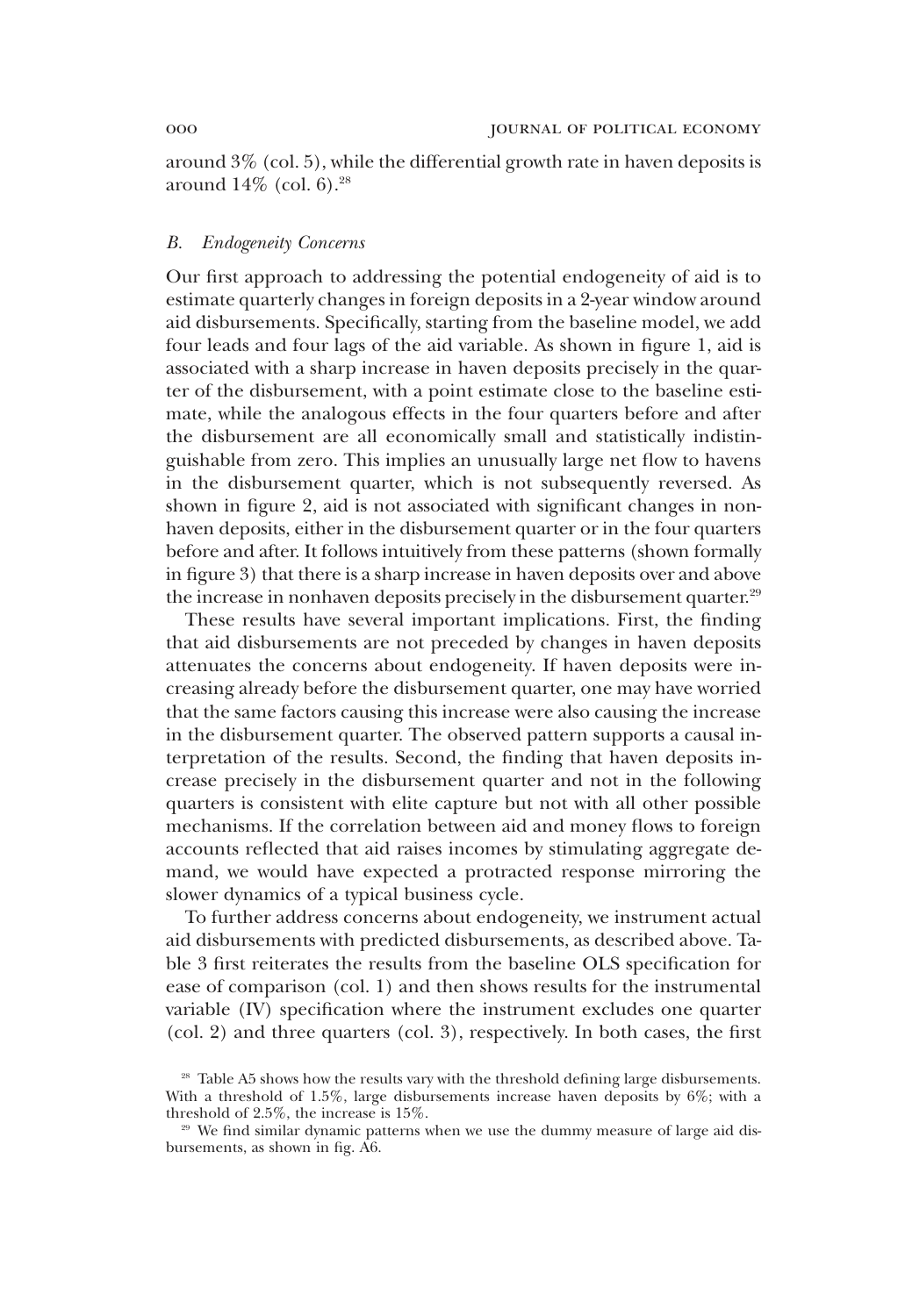around 3% (col. 5), while the differential growth rate in haven deposits is around  $14\%$  (col. 6).<sup>28</sup>

# *B. Endogeneity Concerns*

Our first approach to addressing the potential endogeneity of aid is to estimate quarterly changes in foreign deposits in a 2-year window around aid disbursements. Specifically, starting from the baseline model, we add four leads and four lags of the aid variable. As shown in figure 1, aid is associated with a sharp increase in haven deposits precisely in the quarter of the disbursement, with a point estimate close to the baseline estimate, while the analogous effects in the four quarters before and after the disbursement are all economically small and statistically indistinguishable from zero. This implies an unusually large net flow to havens in the disbursement quarter, which is not subsequently reversed. As shown in figure 2, aid is not associated with significant changes in nonhaven deposits, either in the disbursement quarter or in the four quarters before and after. It follows intuitively from these patterns (shown formally in figure 3) that there is a sharp increase in haven deposits over and above the increase in nonhaven deposits precisely in the disbursement quarter.<sup>29</sup>

These results have several important implications. First, the finding that aid disbursements are not preceded by changes in haven deposits attenuates the concerns about endogeneity. If haven deposits were increasing already before the disbursement quarter, one may have worried that the same factors causing this increase were also causing the increase in the disbursement quarter. The observed pattern supports a causal interpretation of the results. Second, the finding that haven deposits increase precisely in the disbursement quarter and not in the following quarters is consistent with elite capture but not with all other possible mechanisms. If the correlation between aid and money flows to foreign accounts reflected that aid raises incomes by stimulating aggregate demand, we would have expected a protracted response mirroring the slower dynamics of a typical business cycle.

To further address concerns about endogeneity, we instrument actual aid disbursements with predicted disbursements, as described above. Table 3 first reiterates the results from the baseline OLS specification for ease of comparison (col. 1) and then shows results for the instrumental variable (IV) specification where the instrument excludes one quarter (col. 2) and three quarters (col. 3), respectively. In both cases, the first

<sup>&</sup>lt;sup>28</sup> Table A5 shows how the results vary with the threshold defining large disbursements. With a threshold of 1.5%, large disbursements increase haven deposits by  $6\%$ ; with a threshold of 2.5%, the increase is 15%.

<sup>&</sup>lt;sup>29</sup> We find similar dynamic patterns when we use the dummy measure of large aid disbursements, as shown in fig. A6.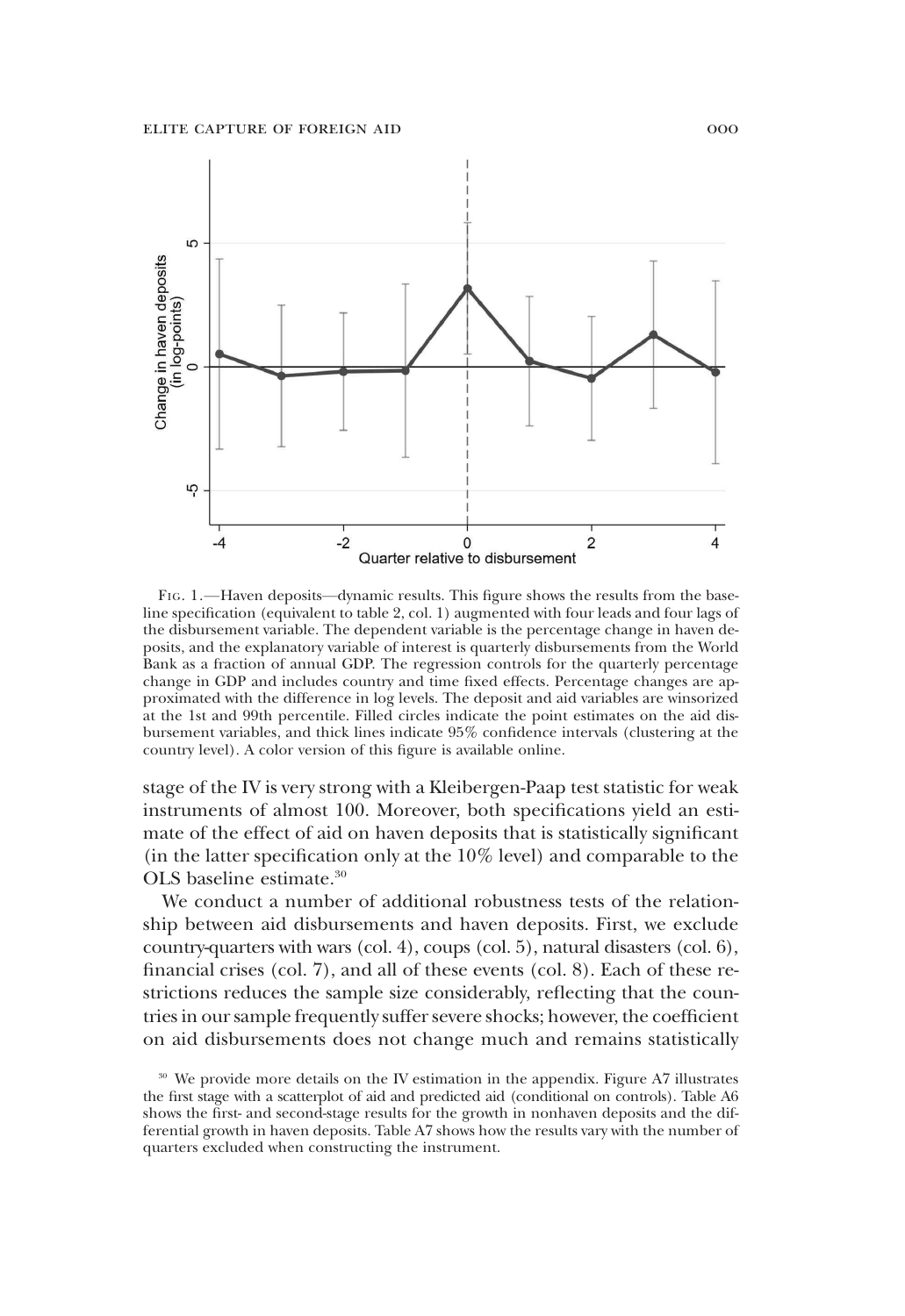

FIG. 1.—Haven deposits—dynamic results. This figure shows the results from the baseline specification (equivalent to table 2, col. 1) augmented with four leads and four lags of the disbursement variable. The dependent variable is the percentage change in haven deposits, and the explanatory variable of interest is quarterly disbursements from the World Bank as a fraction of annual GDP. The regression controls for the quarterly percentage change in GDP and includes country and time fixed effects. Percentage changes are approximated with the difference in log levels. The deposit and aid variables are winsorized at the 1st and 99th percentile. Filled circles indicate the point estimates on the aid disbursement variables, and thick lines indicate 95% confidence intervals (clustering at the country level). A color version of this figure is available online.

stage of the IV is very strong with a Kleibergen-Paap test statistic for weak instruments of almost 100. Moreover, both specifications yield an estimate of the effect of aid on haven deposits that is statistically significant (in the latter specification only at the 10% level) and comparable to the OLS baseline estimate.<sup>30</sup>

We conduct a number of additional robustness tests of the relationship between aid disbursements and haven deposits. First, we exclude country-quarters with wars (col. 4), coups (col. 5), natural disasters (col. 6), financial crises (col. 7), and all of these events (col. 8). Each of these restrictions reduces the sample size considerably, reflecting that the countries in our sample frequently suffer severe shocks; however, the coefficient on aid disbursements does not change much and remains statistically

<sup>&</sup>lt;sup>30</sup> We provide more details on the IV estimation in the appendix. Figure A7 illustrates the first stage with a scatterplot of aid and predicted aid (conditional on controls). Table A6 shows the first- and second-stage results for the growth in nonhaven deposits and the differential growth in haven deposits. Table A7 shows how the results vary with the number of quarters excluded when constructing the instrument.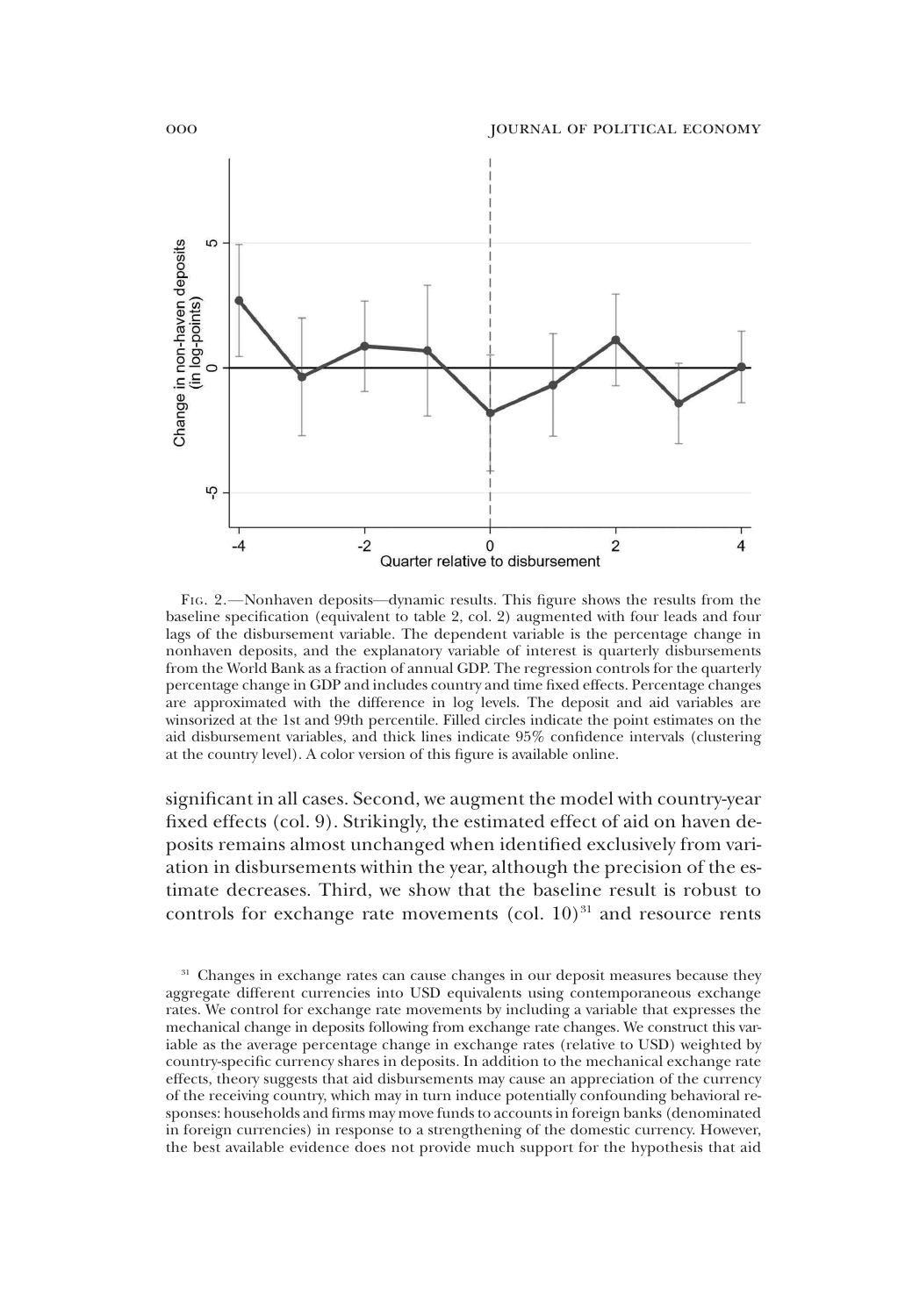

FIG. 2.—Nonhaven deposits—dynamic results. This figure shows the results from the baseline specification (equivalent to table 2, col. 2) augmented with four leads and four lags of the disbursement variable. The dependent variable is the percentage change in nonhaven deposits, and the explanatory variable of interest is quarterly disbursements from the World Bank as a fraction of annual GDP. The regression controls for the quarterly percentage change in GDP and includes country and time fixed effects. Percentage changes are approximated with the difference in log levels. The deposit and aid variables are winsorized at the 1st and 99th percentile. Filled circles indicate the point estimates on the aid disbursement variables, and thick lines indicate 95% confidence intervals (clustering at the country level). A color version of this figure is available online.

significant in all cases. Second, we augment the model with country-year fixed effects (col. 9). Strikingly, the estimated effect of aid on haven deposits remains almost unchanged when identified exclusively from variation in disbursements within the year, although the precision of the estimate decreases. Third, we show that the baseline result is robust to controls for exchange rate movements (col.  $10)^{31}$  and resource rents

<sup>&</sup>lt;sup>31</sup> Changes in exchange rates can cause changes in our deposit measures because they aggregate different currencies into USD equivalents using contemporaneous exchange rates. We control for exchange rate movements by including a variable that expresses the mechanical change in deposits following from exchange rate changes. We construct this variable as the average percentage change in exchange rates (relative to USD) weighted by country-specific currency shares in deposits. In addition to the mechanical exchange rate effects, theory suggests that aid disbursements may cause an appreciation of the currency of the receiving country, which may in turn induce potentially confounding behavioral responses: households and firms may move funds to accounts in foreign banks (denominated in foreign currencies) in response to a strengthening of the domestic currency. However, the best available evidence does not provide much support for the hypothesis that aid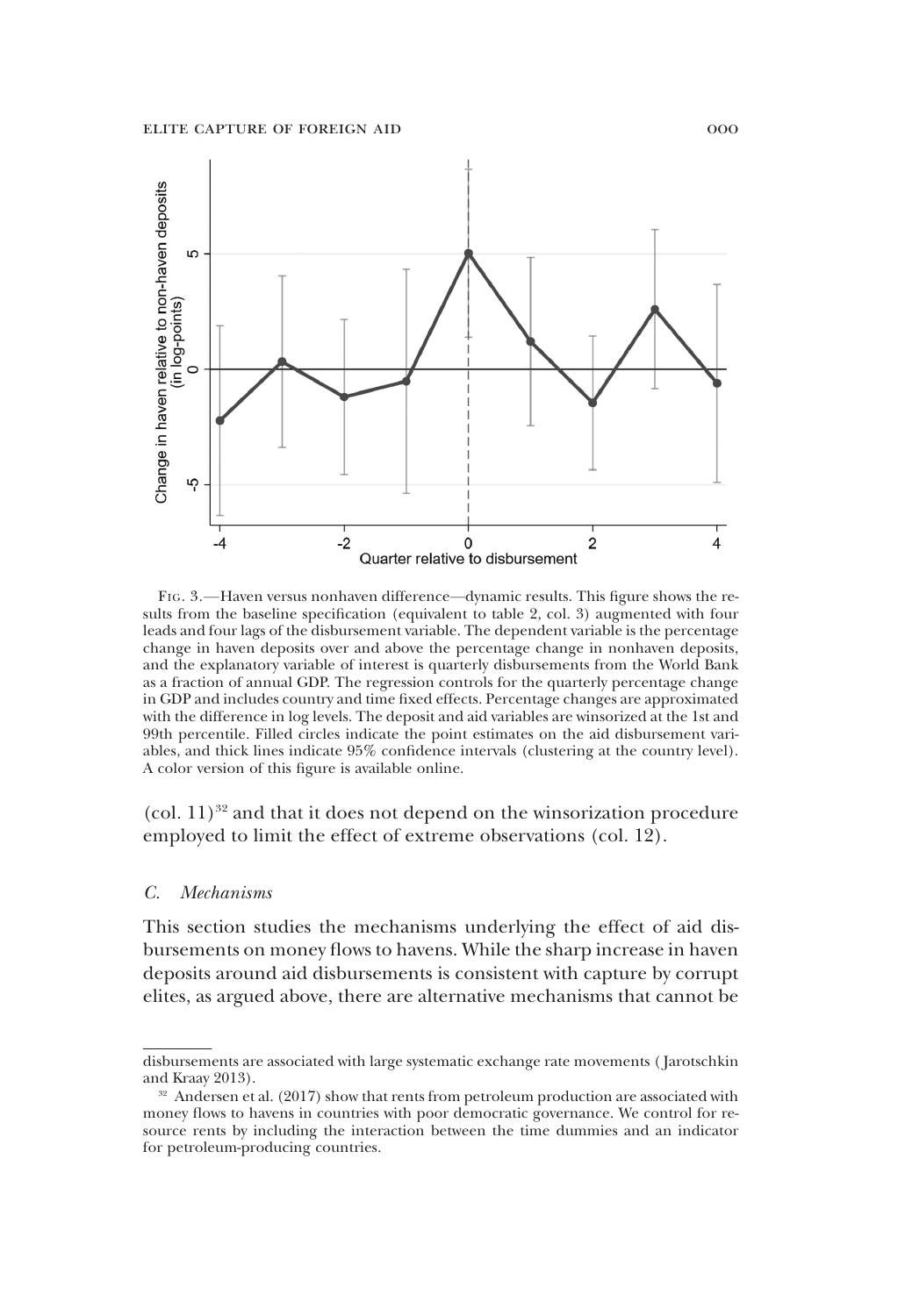

FIG. 3.—Haven versus nonhaven difference—dynamic results. This figure shows the results from the baseline specification (equivalent to table 2, col. 3) augmented with four leads and four lags of the disbursement variable. The dependent variable is the percentage change in haven deposits over and above the percentage change in nonhaven deposits, and the explanatory variable of interest is quarterly disbursements from the World Bank as a fraction of annual GDP. The regression controls for the quarterly percentage change in GDP and includes country and time fixed effects. Percentage changes are approximated with the difference in log levels. The deposit and aid variables are winsorized at the 1st and 99th percentile. Filled circles indicate the point estimates on the aid disbursement variables, and thick lines indicate 95% confidence intervals (clustering at the country level). A color version of this figure is available online.

 $\left(\text{col. } 11\right)^{32}$  and that it does not depend on the winsorization procedure employed to limit the effect of extreme observations (col. 12).

## *C. Mechanisms*

This section studies the mechanisms underlying the effect of aid disbursements on money flows to havens. While the sharp increase in haven deposits around aid disbursements is consistent with capture by corrupt elites, as argued above, there are alternative mechanisms that cannot be

disbursements are associated with large systematic exchange rate movements ( Jarotschkin and Kraay 2013).

 $32$  Andersen et al. (2017) show that rents from petroleum production are associated with money flows to havens in countries with poor democratic governance. We control for resource rents by including the interaction between the time dummies and an indicator for petroleum-producing countries.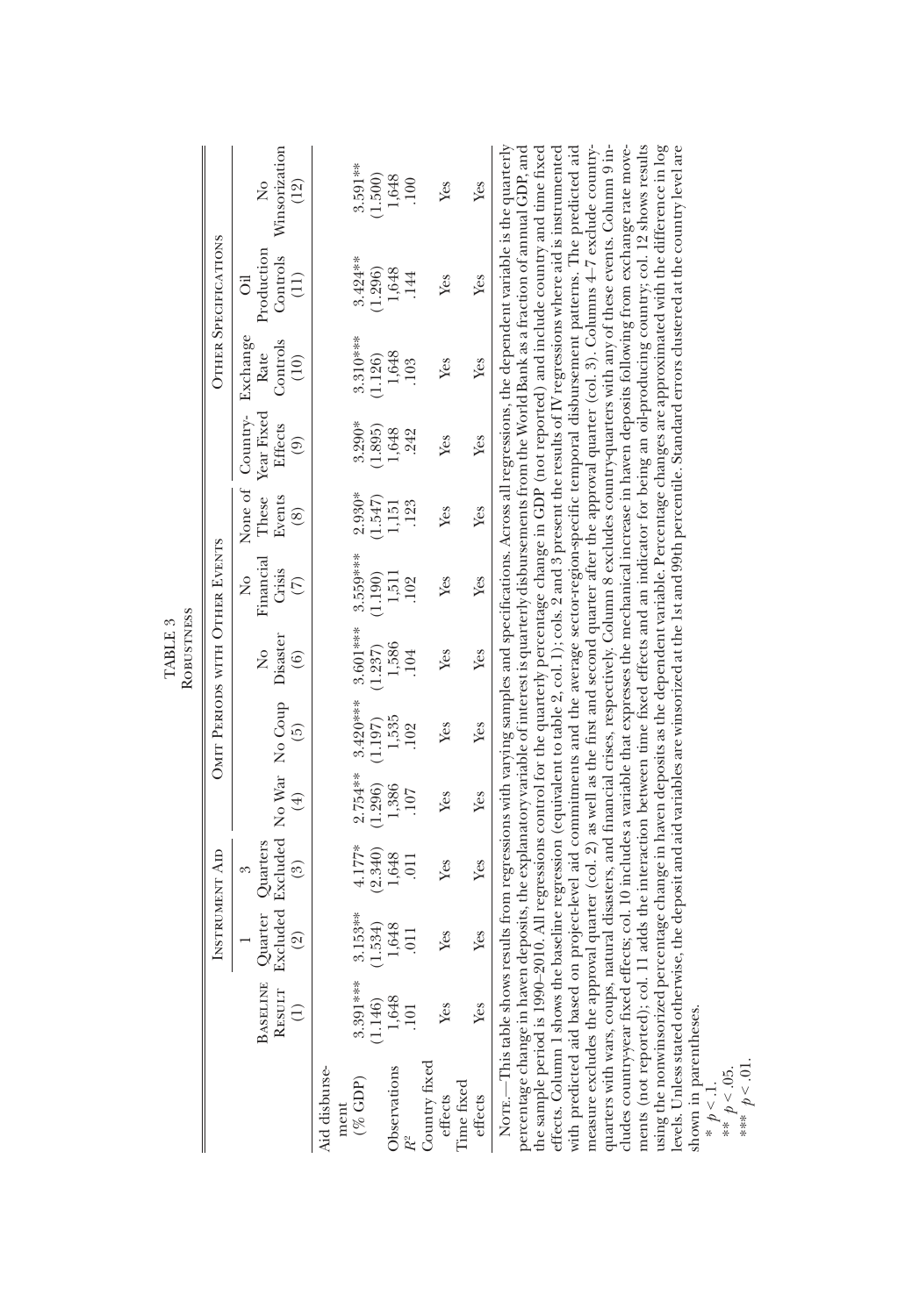|                                  |                                | Winsorization<br>$\tilde{z}$<br>(12)                               | 3.591 **<br>(1.500)                 | 1,648<br><b>.100</b>               | Yes                                    | Yes     | NOTE.—This table shows results from regressions with varying samples and specifications. Across all regressions, the dependent variable is the quarterly                                                                                                                                                                                                                                                                                                                                                                                                                                                                                                                                                                                                                                                                                                                                                                                                                                                                                                                                                                                                                                                                                                                                     |
|----------------------------------|--------------------------------|--------------------------------------------------------------------|-------------------------------------|------------------------------------|----------------------------------------|---------|----------------------------------------------------------------------------------------------------------------------------------------------------------------------------------------------------------------------------------------------------------------------------------------------------------------------------------------------------------------------------------------------------------------------------------------------------------------------------------------------------------------------------------------------------------------------------------------------------------------------------------------------------------------------------------------------------------------------------------------------------------------------------------------------------------------------------------------------------------------------------------------------------------------------------------------------------------------------------------------------------------------------------------------------------------------------------------------------------------------------------------------------------------------------------------------------------------------------------------------------------------------------------------------------|
|                                  | <b>OTHER SPECIFICATIONS</b>    | Production<br>Controls<br>(11)<br>ö                                | $3.424***$<br>(1.296)               | 1,648<br>.144                      | Yes                                    | Yes     |                                                                                                                                                                                                                                                                                                                                                                                                                                                                                                                                                                                                                                                                                                                                                                                                                                                                                                                                                                                                                                                                                                                                                                                                                                                                                              |
|                                  |                                | Exchange<br>Controls<br>Rate<br>(10)                               | $3.310***$<br>1.126)                | 1,648<br>103                       | Yes                                    | Yes     |                                                                                                                                                                                                                                                                                                                                                                                                                                                                                                                                                                                                                                                                                                                                                                                                                                                                                                                                                                                                                                                                                                                                                                                                                                                                                              |
|                                  |                                | Year Fixed<br>None of Country-<br><b>Effects</b><br>$\circledcirc$ | $3.290*$<br>(1.895)                 | 1,648<br>242                       | Yes                                    | Yes     |                                                                                                                                                                                                                                                                                                                                                                                                                                                                                                                                                                                                                                                                                                                                                                                                                                                                                                                                                                                                                                                                                                                                                                                                                                                                                              |
|                                  |                                | These<br>Events<br>$\circledS$                                     | $2.930*$<br>(1.547)                 | .123<br>1,151                      | Yes                                    | Yes     |                                                                                                                                                                                                                                                                                                                                                                                                                                                                                                                                                                                                                                                                                                                                                                                                                                                                                                                                                                                                                                                                                                                                                                                                                                                                                              |
|                                  | OMIT PERIODS WITH OTHER EVENTS | Financial<br>Crisis<br>ż<br>$\widehat{C}$                          | 3.559***<br>(1.190)                 | 1,511<br>102                       | Yes                                    | Yes     |                                                                                                                                                                                                                                                                                                                                                                                                                                                                                                                                                                                                                                                                                                                                                                                                                                                                                                                                                                                                                                                                                                                                                                                                                                                                                              |
| ROBUSTNESS<br>TABLE <sub>3</sub> |                                | Disaster<br>$\tilde{z}$<br>$\circled{6}$                           | 3.601***<br>(1.237)                 | 1,586<br>104                       | Yes                                    | Yes     |                                                                                                                                                                                                                                                                                                                                                                                                                                                                                                                                                                                                                                                                                                                                                                                                                                                                                                                                                                                                                                                                                                                                                                                                                                                                                              |
|                                  |                                | $\widehat{5}$                                                      | $3.420***$<br>(1.197)               | 1,535<br>.102                      | Yes                                    | Yes     |                                                                                                                                                                                                                                                                                                                                                                                                                                                                                                                                                                                                                                                                                                                                                                                                                                                                                                                                                                                                                                                                                                                                                                                                                                                                                              |
|                                  |                                | Excluded Excluded No War No Coup<br>$\left( 4\right)$              | $2.754***$<br>(1.296)               | 1,386<br>107                       | Yes                                    | Yes     |                                                                                                                                                                                                                                                                                                                                                                                                                                                                                                                                                                                                                                                                                                                                                                                                                                                                                                                                                                                                                                                                                                                                                                                                                                                                                              |
|                                  | INSTRUMENT AID                 | Quarters<br>$\binom{3}{2}$                                         | $4.177*$<br>(2.340)                 | 1,648<br>$\overline{0}11$          | Yes                                    | Yes     |                                                                                                                                                                                                                                                                                                                                                                                                                                                                                                                                                                                                                                                                                                                                                                                                                                                                                                                                                                                                                                                                                                                                                                                                                                                                                              |
|                                  |                                | Quarter<br>$\circledR$                                             | $3.153***$<br>(1.534)               | 1,648<br>$\overline{0}1$           | Yes                                    | Yes     |                                                                                                                                                                                                                                                                                                                                                                                                                                                                                                                                                                                                                                                                                                                                                                                                                                                                                                                                                                                                                                                                                                                                                                                                                                                                                              |
|                                  |                                | <b>BASELINE</b><br>RESULT<br>$\widehat{\mathbf{C}}$                | 3.391 ***                           | $(1.146)$<br>$1,648$<br><b>101</b> | Yes                                    | Yes     |                                                                                                                                                                                                                                                                                                                                                                                                                                                                                                                                                                                                                                                                                                                                                                                                                                                                                                                                                                                                                                                                                                                                                                                                                                                                                              |
|                                  |                                |                                                                    | Aid disburse-<br>$(\%$ GDP)<br>ment | Observations                       | Country fixed<br>effects<br>Time fixed | effects | with predicted aid based on project-level aid commitments and the average sector-region-specific temporal disbursement patterns. The predicted aid<br>measure excludes the approval quarter (col. 2) as well as the first and sec<br>quarters with wars, coups, natural disasters, and financial crises, respectively. Column 8 excludes country-quarters with any of these events. Column 9 in-<br>using the nonwinsorized percentage change in haven deposits as the dependent variable. Percentage changes are approximated with the difference in log<br>cludes country-year fixed effects; col. 10 includes a variable that expresses the mechanical increase in haven deposits following from exchange rate move-<br>ments (not reported); col. 11 adds the interaction between time fixed effects and an indicator for being an oil-producing country; col. 12 shows results<br>levels. Unless stated otherwise, the deposit and aid variables are winsorized at the 1st and 99th percentile. Standard errors clustered at the country level are<br>percentage change in haven deposits, the explanatory variable of interest is quarterly disbursements from the World Bank as a fraction of annual GDP, and<br>the sample period is 1990–2010. All regressions control for the quar |

shown in parentheses.

\* *p* < .1. \*\* *p* < .05. \*\*\* *p* < .01.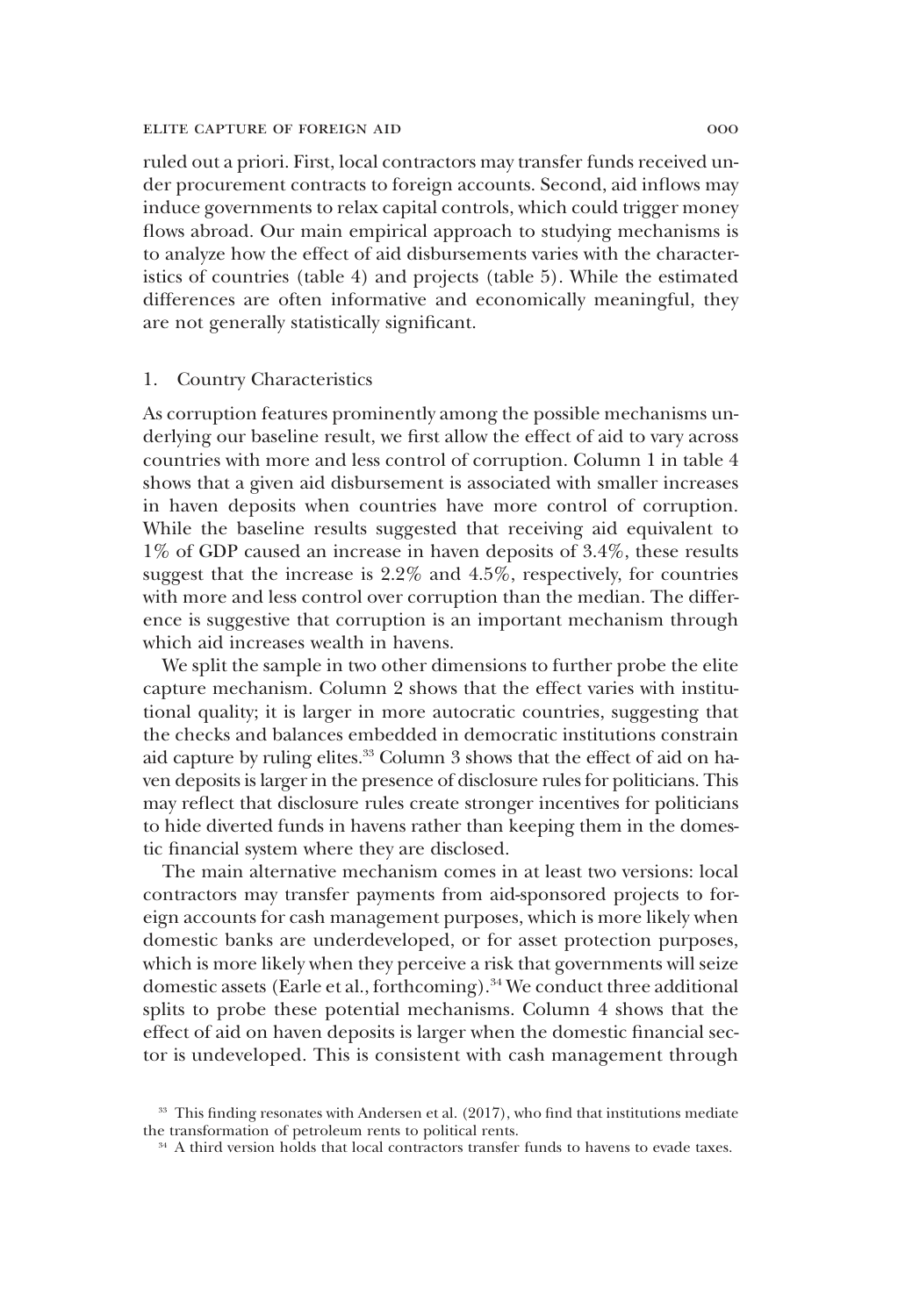ruled out a priori. First, local contractors may transfer funds received under procurement contracts to foreign accounts. Second, aid inflows may induce governments to relax capital controls, which could trigger money flows abroad. Our main empirical approach to studying mechanisms is to analyze how the effect of aid disbursements varies with the characteristics of countries (table 4) and projects (table 5). While the estimated differences are often informative and economically meaningful, they are not generally statistically significant.

## 1. Country Characteristics

As corruption features prominently among the possible mechanisms underlying our baseline result, we first allow the effect of aid to vary across countries with more and less control of corruption. Column 1 in table 4 shows that a given aid disbursement is associated with smaller increases in haven deposits when countries have more control of corruption. While the baseline results suggested that receiving aid equivalent to 1% of GDP caused an increase in haven deposits of 3.4%, these results suggest that the increase is 2.2% and 4.5%, respectively, for countries with more and less control over corruption than the median. The difference is suggestive that corruption is an important mechanism through which aid increases wealth in havens.

We split the sample in two other dimensions to further probe the elite capture mechanism. Column 2 shows that the effect varies with institutional quality; it is larger in more autocratic countries, suggesting that the checks and balances embedded in democratic institutions constrain aid capture by ruling elites.<sup>33</sup> Column 3 shows that the effect of aid on haven deposits is larger in the presence of disclosure rules for politicians. This may reflect that disclosure rules create stronger incentives for politicians to hide diverted funds in havens rather than keeping them in the domestic financial system where they are disclosed.

The main alternative mechanism comes in at least two versions: local contractors may transfer payments from aid-sponsored projects to foreign accounts for cash management purposes, which is more likely when domestic banks are underdeveloped, or for asset protection purposes, which is more likely when they perceive a risk that governments will seize domestic assets (Earle et al., forthcoming).<sup>34</sup> We conduct three additional splits to probe these potential mechanisms. Column 4 shows that the effect of aid on haven deposits is larger when the domestic financial sector is undeveloped. This is consistent with cash management through

<sup>33</sup> This finding resonates with Andersen et al. (2017), who find that institutions mediate the transformation of petroleum rents to political rents.

<sup>&</sup>lt;sup>34</sup> A third version holds that local contractors transfer funds to havens to evade taxes.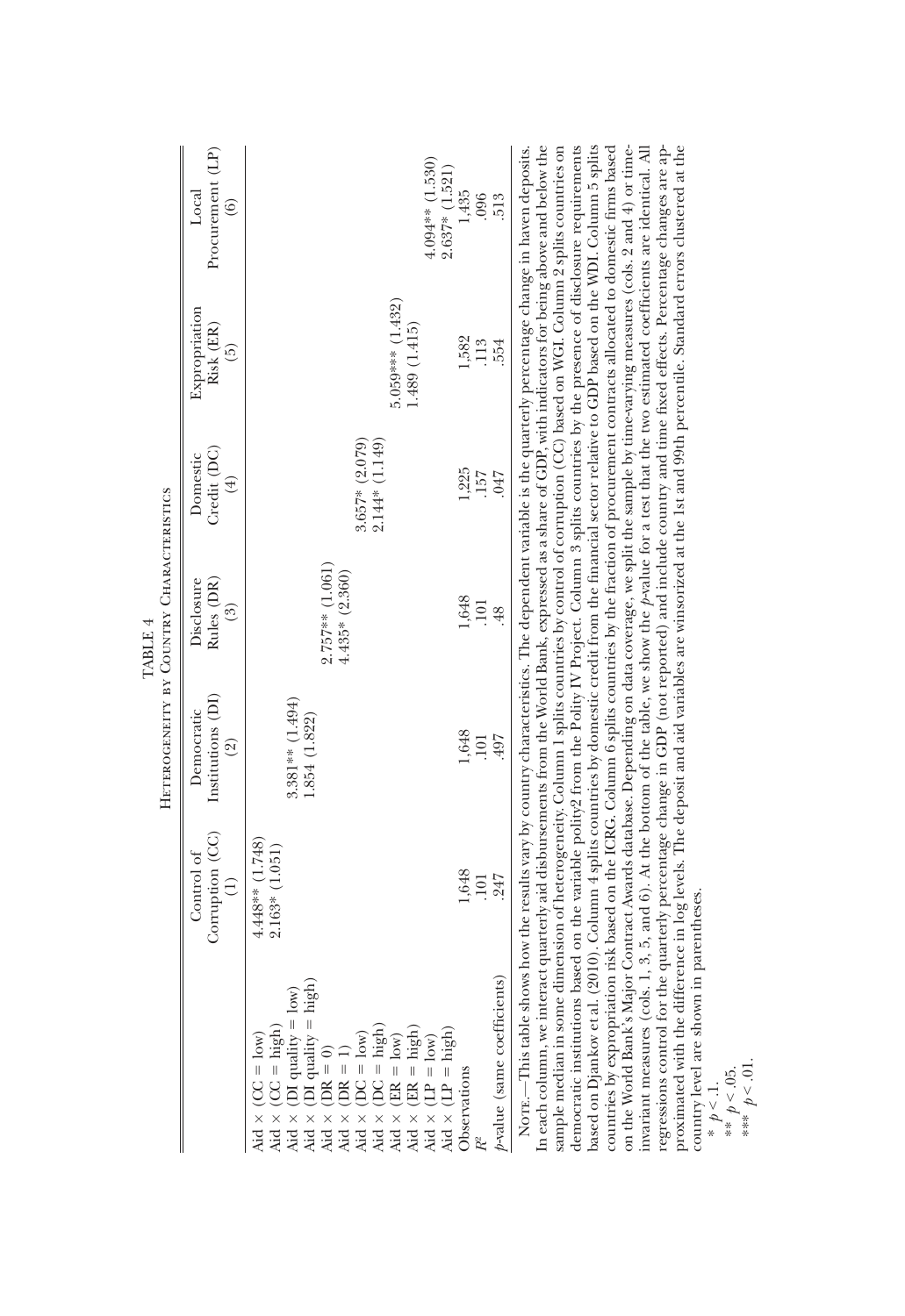| NorE.—This table shows how the results vary by country characteristics. The dependence walking a state of GDP, with indicators for being above and below the In each column, we interact quarterly aid disbursements from the<br>5.059*** (1.432)<br>Expropriation<br>Risk (ER)<br>1.489 (1.415)<br>1,582<br>113<br>554<br>6)<br>2.144* (1.149)<br>$3.657* (2.079)$<br>Credit (DC)<br>Domestic<br>1,225<br>.047<br>157<br>$(\pm)$<br>HETEROGENEITY BY COUNTRY CHARACTERISTICS<br>$2.757**$ (1.061)<br>$4.435*(2.360)$<br>Rules (DR)<br>Disclosure<br>1,648<br>101<br>$\binom{3}{2}$<br>48<br><b>TABLE 4</b><br>Institutions (DI)<br>3.381** (1.494)<br>Democratic<br>1.854 (1.822)<br>1,648<br>497<br><b>101</b><br>$\widehat{2}$<br>Corruption (CC)<br>$4.448**$ (1.748)<br>$2.163*$ (1.051)<br>Control of<br>1,648<br>247<br>101 |
|------------------------------------------------------------------------------------------------------------------------------------------------------------------------------------------------------------------------------------------------------------------------------------------------------------------------------------------------------------------------------------------------------------------------------------------------------------------------------------------------------------------------------------------------------------------------------------------------------------------------------------------------------------------------------------------------------------------------------------------------------------------------------------------------------------------------------------|
| $p$ -value (same coefficients)<br>Aid $\times$ (CC = low)<br>Aid $\times$ (CC = high)<br>Aid $\times$ (CC = high)<br>Aid $\times$ (DI quality = low)<br>Aid $\times$ (DI quality = high)<br>Aid $\times$ (DI quality = high)<br>Aid $\times$ (DR = 1)<br>Aid $\times$ (DC = high)<br>Aid $\times$ (DC = high)<br>Aid                                                                                                                                                                                                                                                                                                                                                                                                                                                                                                               |

country level are shown in parentheses.

proximated with the difference in log levels. The deposit and aid variables are winsorized at the 1st and 99th percentile. Standard errors clustered at the

\* *p* < .1. \*\* *p* < .05. \*\*\* *p* < .01.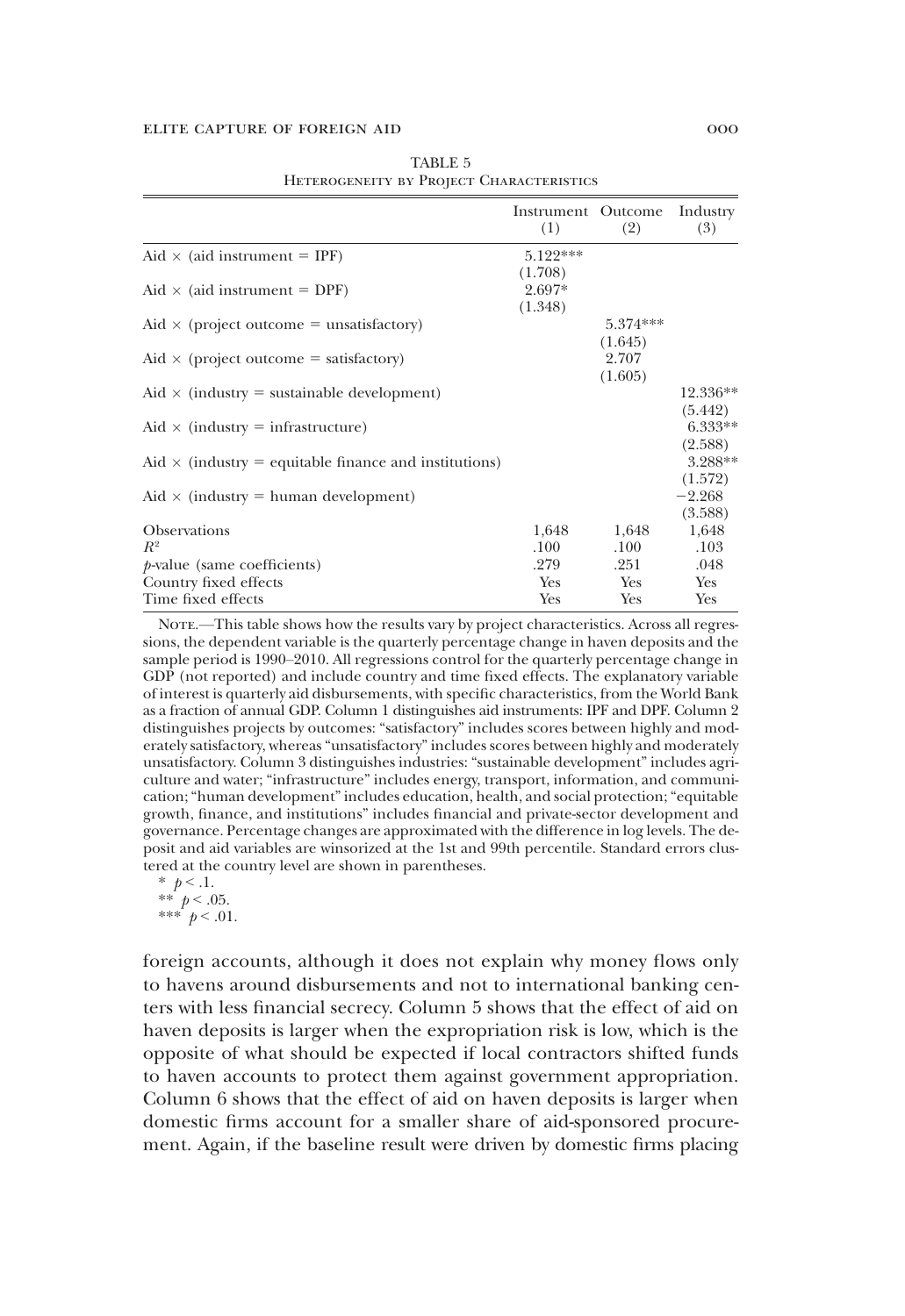|                                                              | Instrument Outcome<br>(1) | (2)        | Industry<br>(3) |
|--------------------------------------------------------------|---------------------------|------------|-----------------|
| Aid $\times$ (aid instrument = IPF)                          | 5.122***                  |            |                 |
|                                                              | (1.708)                   |            |                 |
| Aid $\times$ (aid instrument = DPF)                          | $2.697*$                  |            |                 |
|                                                              | (1.348)                   |            |                 |
| Aid $\times$ (project outcome = unsatisfactory)              |                           | $5.374***$ |                 |
|                                                              |                           | (1.645)    |                 |
| Aid $\times$ (project outcome = satisfactory)                |                           | 2.707      |                 |
|                                                              |                           | (1.605)    |                 |
| Aid $\times$ (industry = sustainable development)            |                           |            | 12.336**        |
|                                                              |                           |            | (5.442)         |
| Aid $\times$ (industry = infrastructure)                     |                           |            | 6.333**         |
|                                                              |                           |            | (2.588)         |
| Aid $\times$ (industry = equitable finance and institutions) |                           |            | 3.288**         |
|                                                              |                           |            | (1.572)         |
| Aid $\times$ (industry = human development)                  |                           |            | $-2.268$        |
|                                                              |                           |            | (3.588)         |
| <b>Observations</b>                                          | 1,648                     | 1,648      | 1,648           |
| $R^2$                                                        | $.100\,$                  | .100       | .103            |
| $p$ -value (same coefficients)                               | .279                      | .251       | .048            |
| Country fixed effects                                        | Yes                       | <b>Yes</b> | Yes             |
| Time fixed effects                                           | Yes                       | Yes        | Yes             |

TABLE 5 Heterogeneity by Project Characteristics

NOTE.—This table shows how the results vary by project characteristics. Across all regressions, the dependent variable is the quarterly percentage change in haven deposits and the sample period is 1990–2010. All regressions control for the quarterly percentage change in GDP (not reported) and include country and time fixed effects. The explanatory variable of interest is quarterly aid disbursements, with specific characteristics, from the World Bank as a fraction of annual GDP. Column 1 distinguishes aid instruments: IPF and DPF. Column 2 distinguishes projects by outcomes: "satisfactory" includes scores between highly and moderately satisfactory, whereas"unsatisfactory" includes scores between highly and moderately unsatisfactory. Column 3 distinguishes industries: "sustainable development" includes agriculture and water; "infrastructure" includes energy, transport, information, and communication;"human development"includes education, health, and social protection;"equitable growth, finance, and institutions" includes financial and private-sector development and governance. Percentage changes are approximated with the difference in log levels. The deposit and aid variables are winsorized at the 1st and 99th percentile. Standard errors clustered at the country level are shown in parentheses.

 $*$   $p < 1$ . \*\*  $p < .05$ .

\*\*\*  $p < .01$ .

foreign accounts, although it does not explain why money flows only to havens around disbursements and not to international banking centers with less financial secrecy. Column 5 shows that the effect of aid on haven deposits is larger when the expropriation risk is low, which is the opposite of what should be expected if local contractors shifted funds to haven accounts to protect them against government appropriation. Column 6 shows that the effect of aid on haven deposits is larger when domestic firms account for a smaller share of aid-sponsored procurement. Again, if the baseline result were driven by domestic firms placing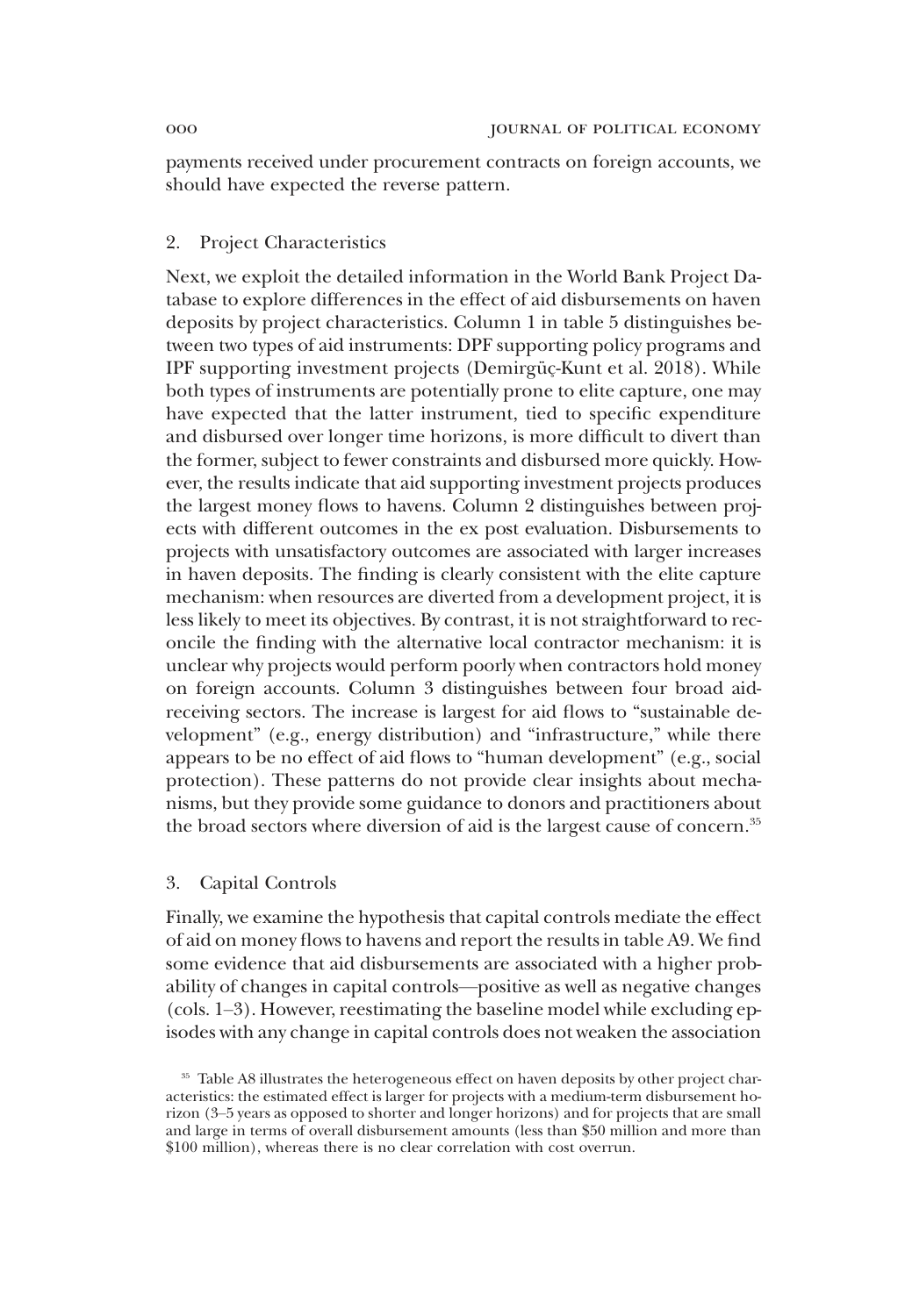payments received under procurement contracts on foreign accounts, we should have expected the reverse pattern.

# 2. Project Characteristics

Next, we exploit the detailed information in the World Bank Project Database to explore differences in the effect of aid disbursements on haven deposits by project characteristics. Column 1 in table 5 distinguishes between two types of aid instruments: DPF supporting policy programs and IPF supporting investment projects (Demirgüç-Kunt et al. 2018). While both types of instruments are potentially prone to elite capture, one may have expected that the latter instrument, tied to specific expenditure and disbursed over longer time horizons, is more difficult to divert than the former, subject to fewer constraints and disbursed more quickly. However, the results indicate that aid supporting investment projects produces the largest money flows to havens. Column 2 distinguishes between projects with different outcomes in the ex post evaluation. Disbursements to projects with unsatisfactory outcomes are associated with larger increases in haven deposits. The finding is clearly consistent with the elite capture mechanism: when resources are diverted from a development project, it is less likely to meet its objectives. By contrast, it is not straightforward to reconcile the finding with the alternative local contractor mechanism: it is unclear why projects would perform poorly when contractors hold money on foreign accounts. Column 3 distinguishes between four broad aidreceiving sectors. The increase is largest for aid flows to "sustainable development" (e.g., energy distribution) and "infrastructure," while there appears to be no effect of aid flows to "human development" (e.g., social protection). These patterns do not provide clear insights about mechanisms, but they provide some guidance to donors and practitioners about the broad sectors where diversion of aid is the largest cause of concern.<sup>35</sup>

## 3. Capital Controls

Finally, we examine the hypothesis that capital controls mediate the effect of aid on money flows to havens and report the results in table A9. We find some evidence that aid disbursements are associated with a higher probability of changes in capital controls—positive as well as negative changes (cols. 1–3). However, reestimating the baseline model while excluding episodes with any change in capital controls does not weaken the association

<sup>&</sup>lt;sup>35</sup> Table A8 illustrates the heterogeneous effect on haven deposits by other project characteristics: the estimated effect is larger for projects with a medium-term disbursement horizon (3–5 years as opposed to shorter and longer horizons) and for projects that are small and large in terms of overall disbursement amounts (less than \$50 million and more than \$100 million), whereas there is no clear correlation with cost overrun.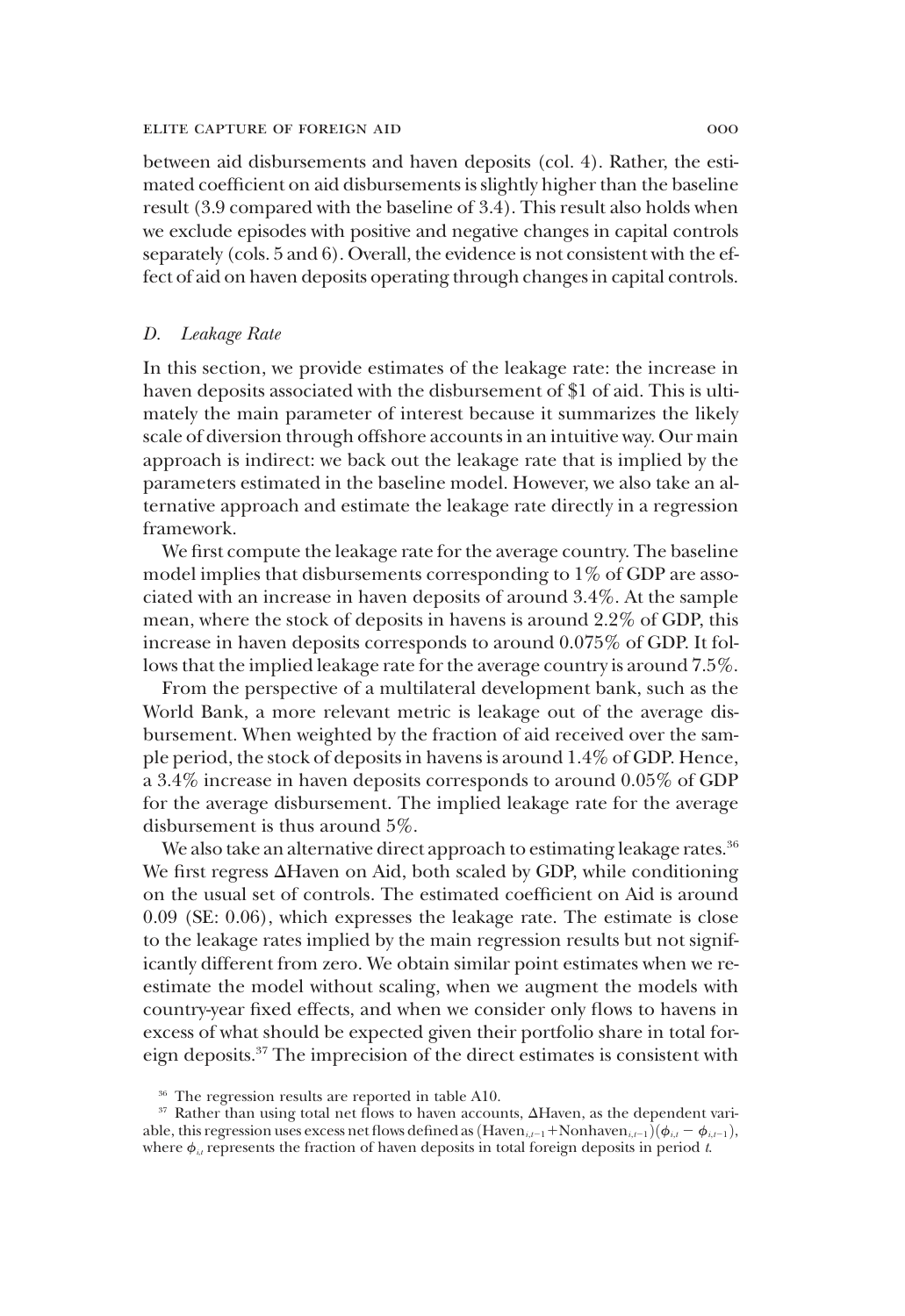between aid disbursements and haven deposits (col. 4). Rather, the estimated coefficient on aid disbursements is slightly higher than the baseline result (3.9 compared with the baseline of 3.4). This result also holds when we exclude episodes with positive and negative changes in capital controls separately (cols. 5 and 6). Overall, the evidence is not consistent with the effect of aid on haven deposits operating through changes in capital controls.

# *D. Leakage Rate*

In this section, we provide estimates of the leakage rate: the increase in haven deposits associated with the disbursement of \$1 of aid. This is ultimately the main parameter of interest because it summarizes the likely scale of diversion through offshore accounts in an intuitive way. Our main approach is indirect: we back out the leakage rate that is implied by the parameters estimated in the baseline model. However, we also take an alternative approach and estimate the leakage rate directly in a regression framework.

We first compute the leakage rate for the average country. The baseline model implies that disbursements corresponding to 1% of GDP are associated with an increase in haven deposits of around 3.4%. At the sample mean, where the stock of deposits in havens is around 2.2% of GDP, this increase in haven deposits corresponds to around 0.075% of GDP. It follows that the implied leakage rate for the average country is around 7.5%.

From the perspective of a multilateral development bank, such as the World Bank, a more relevant metric is leakage out of the average disbursement. When weighted by the fraction of aid received over the sample period, the stock of deposits in havens is around 1.4% of GDP. Hence, a 3.4% increase in haven deposits corresponds to around 0.05% of GDP for the average disbursement. The implied leakage rate for the average disbursement is thus around 5%.

We also take an alternative direct approach to estimating leakage rates.<sup>36</sup> We first regress  $\Delta$ Haven on Aid, both scaled by GDP, while conditioning on the usual set of controls. The estimated coefficient on Aid is around 0.09 (SE: 0.06), which expresses the leakage rate. The estimate is close to the leakage rates implied by the main regression results but not significantly different from zero. We obtain similar point estimates when we reestimate the model without scaling, when we augment the models with country-year fixed effects, and when we consider only flows to havens in excess of what should be expected given their portfolio share in total foreign deposits.<sup>37</sup> The imprecision of the direct estimates is consistent with

<sup>&</sup>lt;sup>36</sup> The regression results are reported in table A10.

<sup>&</sup>lt;sup>37</sup> Rather than using total net flows to haven accounts,  $\Delta$ Haven, as the dependent variable, this regression uses excess net flows defined as  $(Haven_{i,t-1} + Nonhaven_{i,t-1})\left(\phi_{i,t} - \phi_{i,t-1}\right)$ , where  $\phi_{i,i}$  represents the fraction of haven deposits in total foreign deposits in period  $t$ .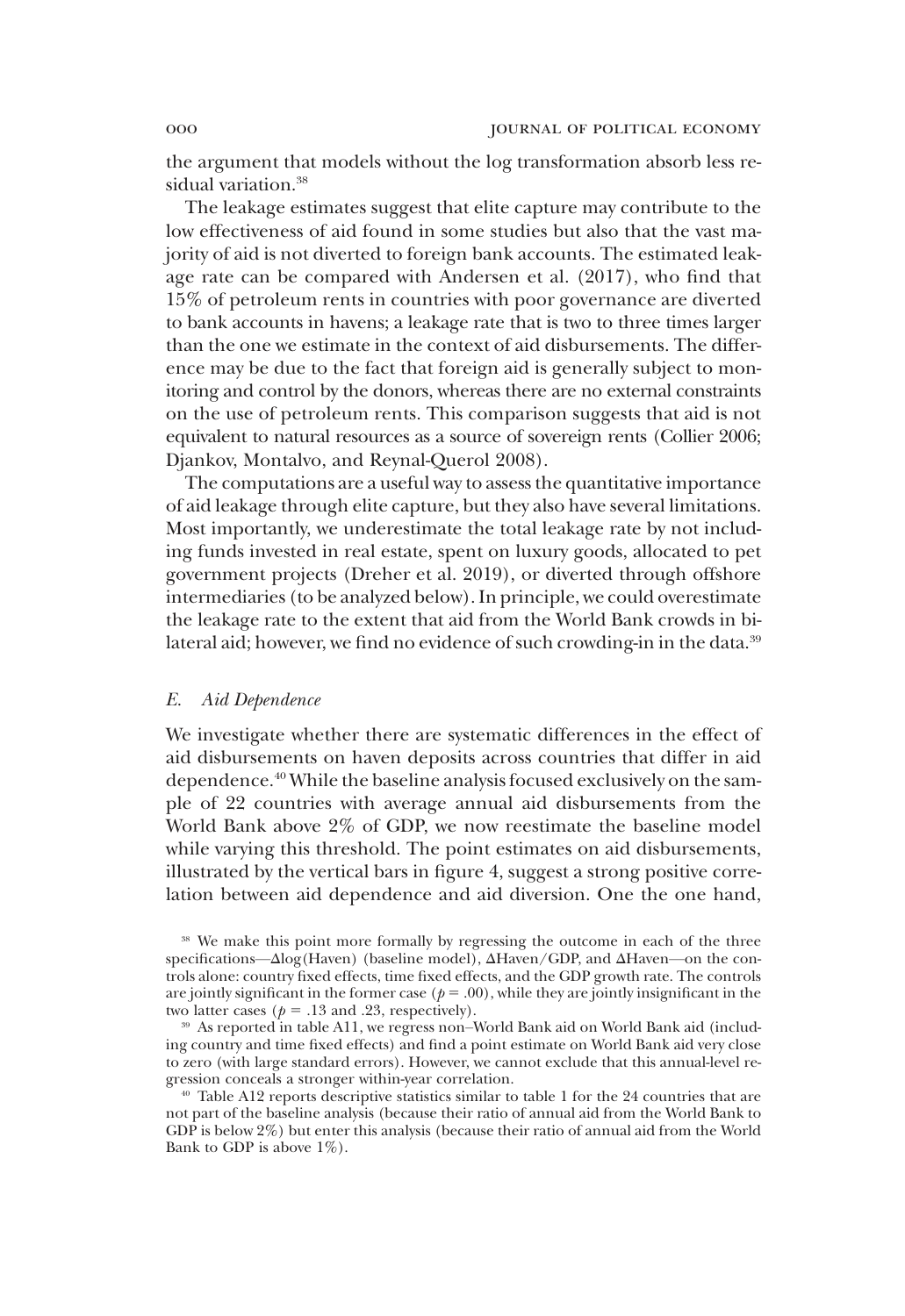the argument that models without the log transformation absorb less residual variation.<sup>38</sup>

The leakage estimates suggest that elite capture may contribute to the low effectiveness of aid found in some studies but also that the vast majority of aid is not diverted to foreign bank accounts. The estimated leakage rate can be compared with Andersen et al. (2017), who find that 15% of petroleum rents in countries with poor governance are diverted to bank accounts in havens; a leakage rate that is two to three times larger than the one we estimate in the context of aid disbursements. The difference may be due to the fact that foreign aid is generally subject to monitoring and control by the donors, whereas there are no external constraints on the use of petroleum rents. This comparison suggests that aid is not equivalent to natural resources as a source of sovereign rents (Collier 2006; Djankov, Montalvo, and Reynal-Querol 2008).

The computations are a useful way to assess the quantitative importance of aid leakage through elite capture, but they also have several limitations. Most importantly, we underestimate the total leakage rate by not including funds invested in real estate, spent on luxury goods, allocated to pet government projects (Dreher et al. 2019), or diverted through offshore intermediaries (to be analyzed below). In principle, we could overestimate the leakage rate to the extent that aid from the World Bank crowds in bilateral aid; however, we find no evidence of such crowding-in in the data.<sup>39</sup>

#### *E. Aid Dependence*

We investigate whether there are systematic differences in the effect of aid disbursements on haven deposits across countries that differ in aid dependence.<sup>40</sup> While the baseline analysis focused exclusively on the sample of 22 countries with average annual aid disbursements from the World Bank above 2% of GDP, we now reestimate the baseline model while varying this threshold. The point estimates on aid disbursements, illustrated by the vertical bars in figure 4, suggest a strong positive correlation between aid dependence and aid diversion. One the one hand,

<sup>38</sup> We make this point more formally by regressing the outcome in each of the three specifications— $\Delta$ log(Haven) (baseline model),  $\Delta$ Haven/GDP, and  $\Delta$ Haven—on the controls alone: country fixed effects, time fixed effects, and the GDP growth rate. The controls are jointly significant in the former case ( $p = .00$ ), while they are jointly insignificant in the two latter cases ( $p = .13$  and .23, respectively).

<sup>39</sup> As reported in table A11, we regress non–World Bank aid on World Bank aid (including country and time fixed effects) and find a point estimate on World Bank aid very close to zero (with large standard errors). However, we cannot exclude that this annual-level regression conceals a stronger within-year correlation.

<sup>40</sup> Table A12 reports descriptive statistics similar to table 1 for the 24 countries that are not part of the baseline analysis (because their ratio of annual aid from the World Bank to GDP is below 2%) but enter this analysis (because their ratio of annual aid from the World Bank to GDP is above  $1\%$ ).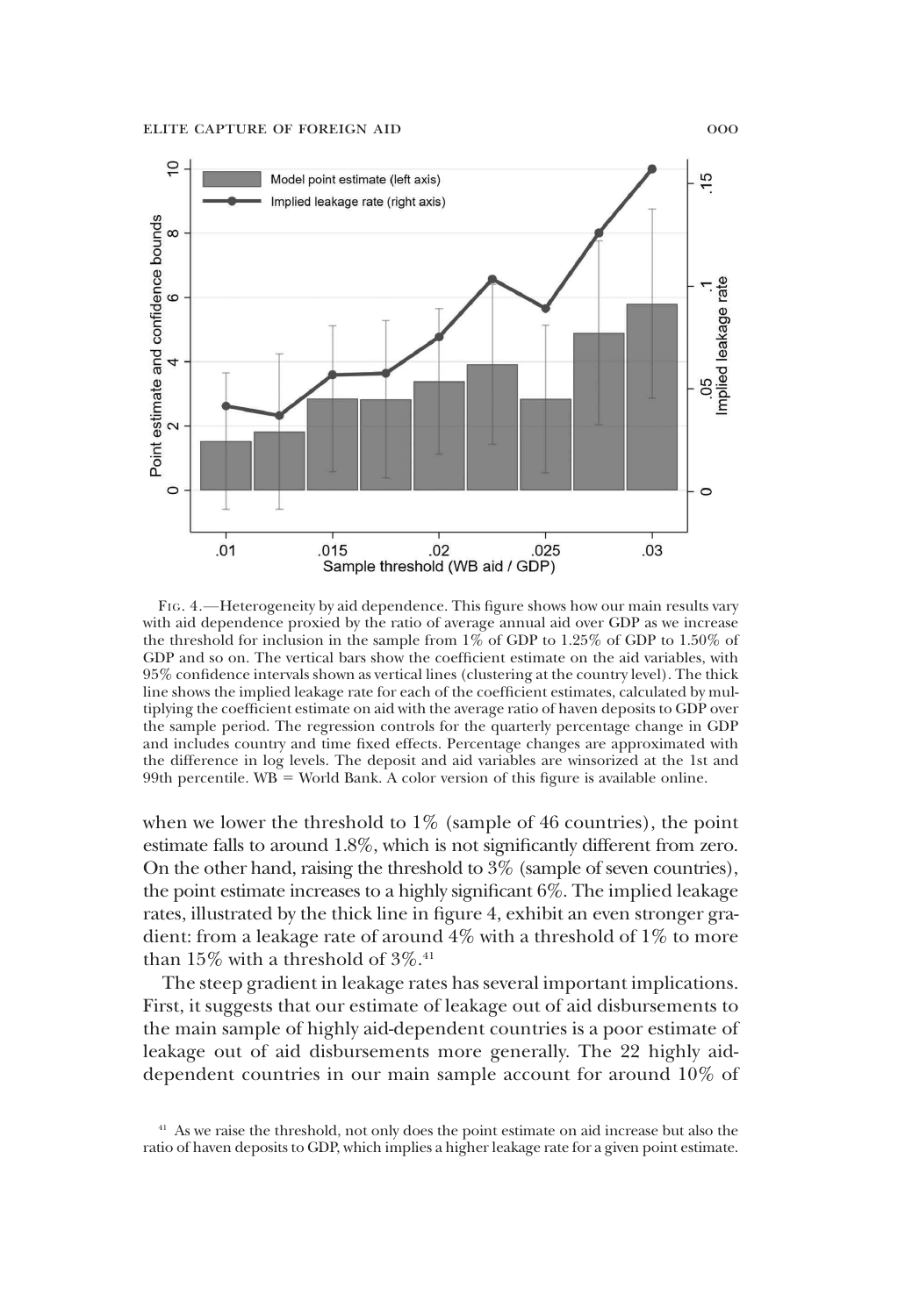

FIG. 4.—Heterogeneity by aid dependence. This figure shows how our main results vary with aid dependence proxied by the ratio of average annual aid over GDP as we increase the threshold for inclusion in the sample from 1% of GDP to 1.25% of GDP to 1.50% of GDP and so on. The vertical bars show the coefficient estimate on the aid variables, with 95% confidence intervals shown as vertical lines (clustering at the country level). The thick line shows the implied leakage rate for each of the coefficient estimates, calculated by multiplying the coefficient estimate on aid with the average ratio of haven deposits to GDP over the sample period. The regression controls for the quarterly percentage change in GDP and includes country and time fixed effects. Percentage changes are approximated with the difference in log levels. The deposit and aid variables are winsorized at the 1st and 99th percentile.  $WB = World Bank$ . A color version of this figure is available online.

when we lower the threshold to  $1\%$  (sample of 46 countries), the point estimate falls to around 1.8%, which is not significantly different from zero. On the other hand, raising the threshold to 3% (sample of seven countries), the point estimate increases to a highly significant 6%. The implied leakage rates, illustrated by the thick line in figure 4, exhibit an even stronger gradient: from a leakage rate of around  $4\%$  with a threshold of  $1\%$  to more than  $15\%$  with a threshold of  $3\%$ .<sup>41</sup>

The steep gradient in leakage rates has several important implications. First, it suggests that our estimate of leakage out of aid disbursements to the main sample of highly aid-dependent countries is a poor estimate of leakage out of aid disbursements more generally. The 22 highly aiddependent countries in our main sample account for around 10% of

<sup>&</sup>lt;sup>41</sup> As we raise the threshold, not only does the point estimate on aid increase but also the ratio of haven deposits to GDP, which implies a higher leakage rate for a given point estimate.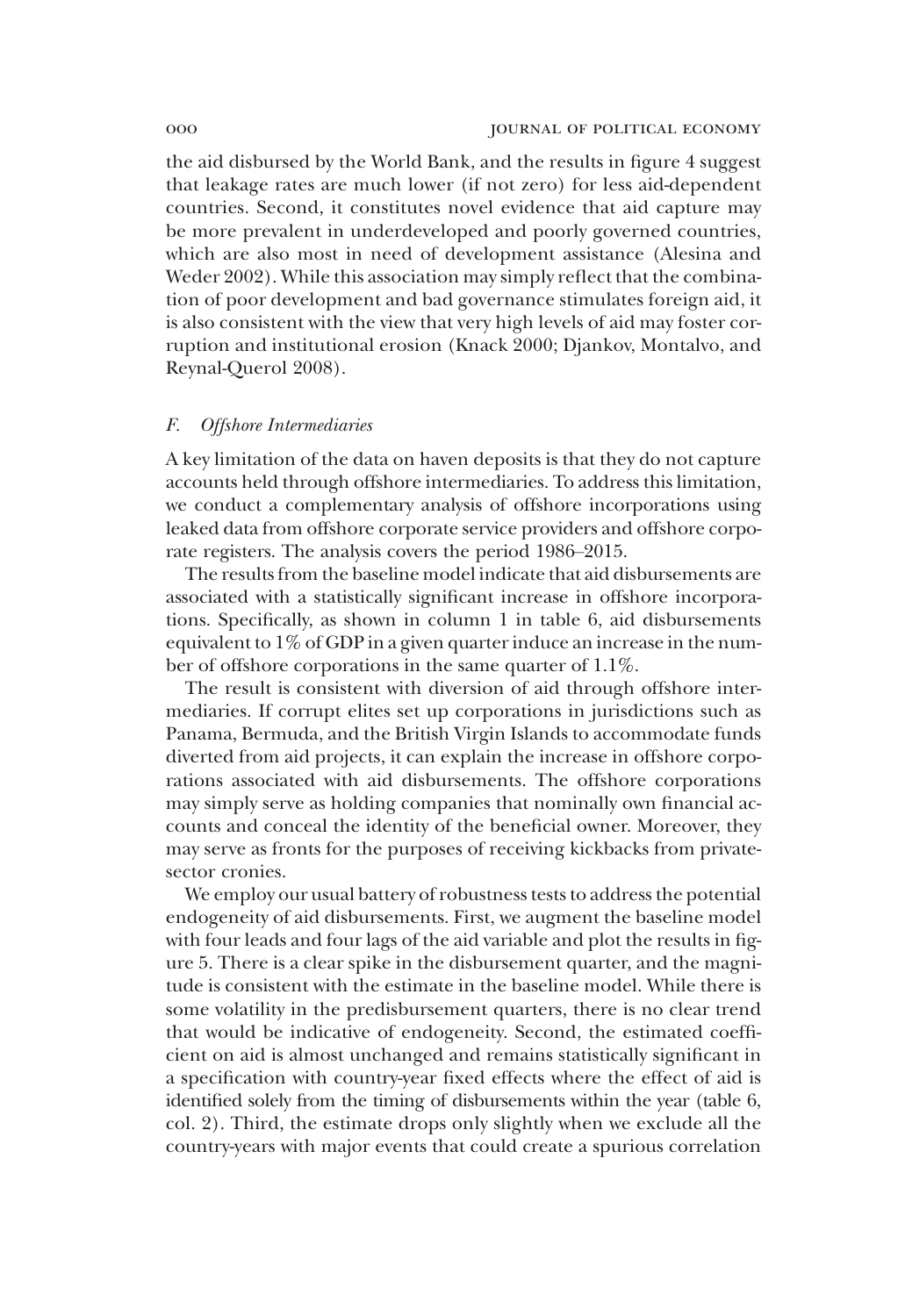the aid disbursed by the World Bank, and the results in figure 4 suggest that leakage rates are much lower (if not zero) for less aid-dependent countries. Second, it constitutes novel evidence that aid capture may be more prevalent in underdeveloped and poorly governed countries, which are also most in need of development assistance (Alesina and Weder 2002). While this association may simply reflect that the combination of poor development and bad governance stimulates foreign aid, it is also consistent with the view that very high levels of aid may foster corruption and institutional erosion (Knack 2000; Djankov, Montalvo, and Reynal-Querol 2008).

## *F. Offshore Intermediaries*

A key limitation of the data on haven deposits is that they do not capture accounts held through offshore intermediaries. To address this limitation, we conduct a complementary analysis of offshore incorporations using leaked data from offshore corporate service providers and offshore corporate registers. The analysis covers the period 1986–2015.

The results from the baseline model indicate that aid disbursements are associated with a statistically significant increase in offshore incorporations. Specifically, as shown in column 1 in table 6, aid disbursements equivalent to 1% of GDP in a given quarter induce an increase in the number of offshore corporations in the same quarter of 1.1%.

The result is consistent with diversion of aid through offshore intermediaries. If corrupt elites set up corporations in jurisdictions such as Panama, Bermuda, and the British Virgin Islands to accommodate funds diverted from aid projects, it can explain the increase in offshore corporations associated with aid disbursements. The offshore corporations may simply serve as holding companies that nominally own financial accounts and conceal the identity of the beneficial owner. Moreover, they may serve as fronts for the purposes of receiving kickbacks from privatesector cronies.

We employ our usual battery of robustness tests to address the potential endogeneity of aid disbursements. First, we augment the baseline model with four leads and four lags of the aid variable and plot the results in figure 5. There is a clear spike in the disbursement quarter, and the magnitude is consistent with the estimate in the baseline model. While there is some volatility in the predisbursement quarters, there is no clear trend that would be indicative of endogeneity. Second, the estimated coefficient on aid is almost unchanged and remains statistically significant in a specification with country-year fixed effects where the effect of aid is identified solely from the timing of disbursements within the year (table 6, col. 2). Third, the estimate drops only slightly when we exclude all the country-years with major events that could create a spurious correlation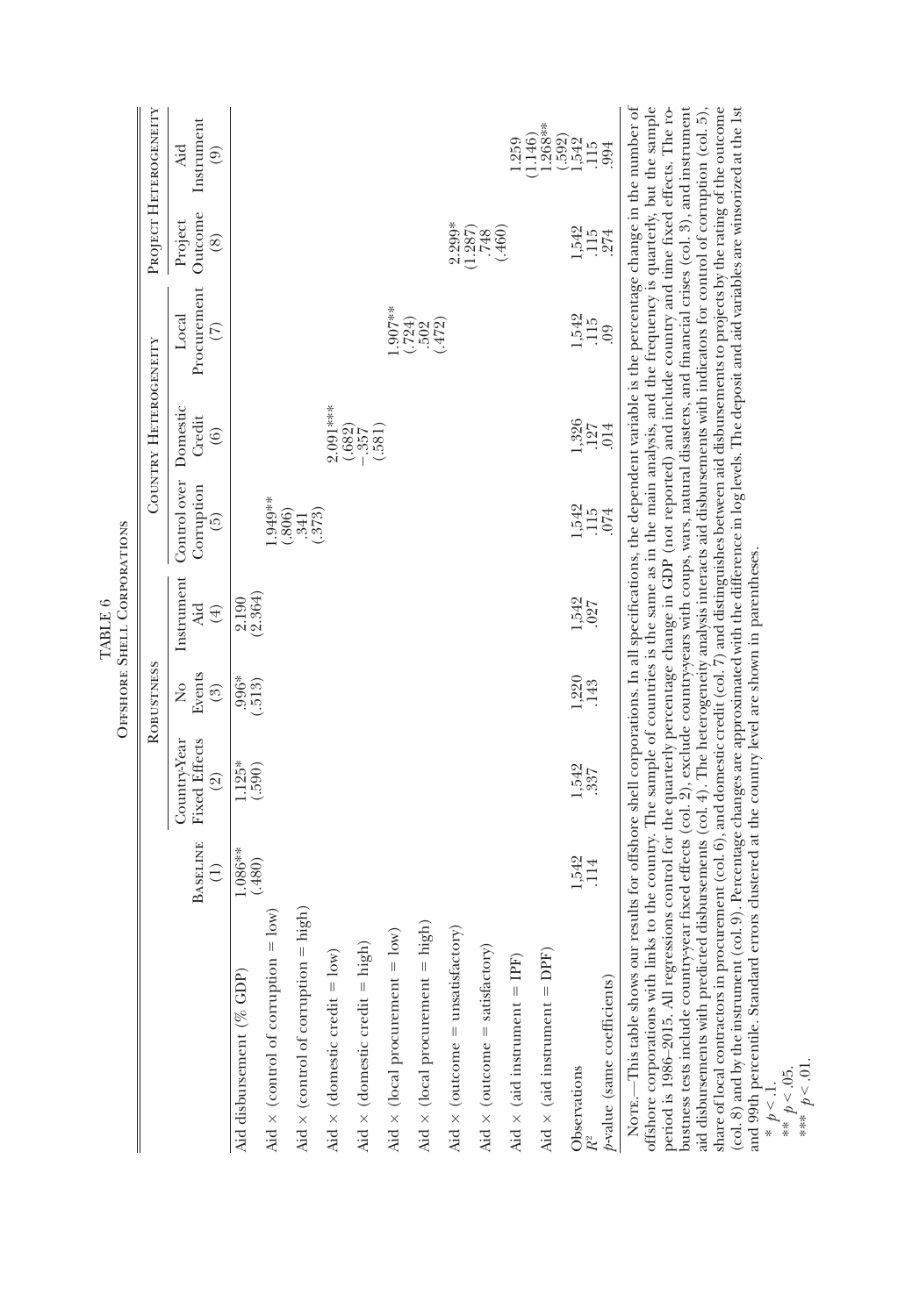|                                                                                                                                                                                                                                                                                                                                                                                                                                                                                           |                                    |                                                        | ROBUSTNESS                                   |                             |                                               | COUNTRY HETEROGENEITY                                      |                                       |                                                      | PROJECT HETEROGENEITY                                                           |
|-------------------------------------------------------------------------------------------------------------------------------------------------------------------------------------------------------------------------------------------------------------------------------------------------------------------------------------------------------------------------------------------------------------------------------------------------------------------------------------------|------------------------------------|--------------------------------------------------------|----------------------------------------------|-----------------------------|-----------------------------------------------|------------------------------------------------------------|---------------------------------------|------------------------------------------------------|---------------------------------------------------------------------------------|
|                                                                                                                                                                                                                                                                                                                                                                                                                                                                                           | <b>BASELINE</b><br>$\widehat{\Xi}$ | <b>Fixed Effects</b><br>Country-Year<br>$\circledcirc$ | Events<br>$\frac{1}{2}$<br>$\left( 3\right)$ | Instrument<br>Äd<br>$(\pm)$ | Control over<br>Corruption<br>$\widetilde{5}$ | Domestic<br>Credit<br>(6)                                  | Procurement<br>Local<br>$\widehat{C}$ | Outcome<br>Project<br>$\circledS$                    | Instrument<br>Aid<br>$\odot$                                                    |
| Aid disbursement (% GDP)                                                                                                                                                                                                                                                                                                                                                                                                                                                                  | $.086**$<br>(.480)                 | $\frac{1125}{(590)}$                                   | $.996*$<br>$.513)$                           | $2.190$<br>$(2.364)$        |                                               |                                                            |                                       |                                                      |                                                                                 |
| $= 10w$<br>$\text{Mid} \times \text{(control of corruption)}$                                                                                                                                                                                                                                                                                                                                                                                                                             |                                    |                                                        |                                              |                             | $.949**$                                      |                                                            |                                       |                                                      |                                                                                 |
| Aid $\times$ (control of corruption = high)                                                                                                                                                                                                                                                                                                                                                                                                                                               |                                    |                                                        |                                              |                             | $(.306)$<br>$(.341)$<br>$(.373)$              |                                                            |                                       |                                                      |                                                                                 |
| Aid $\times$ (domestic credit = low)                                                                                                                                                                                                                                                                                                                                                                                                                                                      |                                    |                                                        |                                              |                             |                                               |                                                            |                                       |                                                      |                                                                                 |
| Aid $\times$ (domestic credit = high)                                                                                                                                                                                                                                                                                                                                                                                                                                                     |                                    |                                                        |                                              |                             |                                               | $2.091***$<br>$-0.682$<br>$-0.581$<br>$-0.581$<br>$-0.581$ |                                       |                                                      |                                                                                 |
| 10w<br>Aid $\times$ (local procurement $=$                                                                                                                                                                                                                                                                                                                                                                                                                                                |                                    |                                                        |                                              |                             |                                               |                                                            | $-907**$                              |                                                      |                                                                                 |
| high)<br>Aid $\times$ (local procurement =                                                                                                                                                                                                                                                                                                                                                                                                                                                |                                    |                                                        |                                              |                             |                                               |                                                            | $(\frac{724}{1502})$                  |                                                      |                                                                                 |
| Aid $\times$ (outcome = unsatisfactory)                                                                                                                                                                                                                                                                                                                                                                                                                                                   |                                    |                                                        |                                              |                             |                                               |                                                            |                                       |                                                      |                                                                                 |
| Aid $\times$ (outcome = satisfactory)                                                                                                                                                                                                                                                                                                                                                                                                                                                     |                                    |                                                        |                                              |                             |                                               |                                                            |                                       | $2.299$ <sup>3*</sup><br>(1.287)<br>(1.287)<br>(460) |                                                                                 |
| Aid $\times$ (aid instrument = IPF)                                                                                                                                                                                                                                                                                                                                                                                                                                                       |                                    |                                                        |                                              |                             |                                               |                                                            |                                       |                                                      | 1.259                                                                           |
| Aid $\times$ (aid instrument = DPF)                                                                                                                                                                                                                                                                                                                                                                                                                                                       |                                    |                                                        |                                              |                             |                                               |                                                            |                                       |                                                      |                                                                                 |
| Observations                                                                                                                                                                                                                                                                                                                                                                                                                                                                              | 1,542<br>114                       | 1,542<br>337                                           | 1,220<br>143                                 | 1,542                       |                                               |                                                            |                                       |                                                      | $(1.146)$<br>$1.268$ <sup>3*</sup><br>$(0.592)$<br>$1.542$<br>$1.15$<br>$0.994$ |
| $p$ -value (same coefficients)                                                                                                                                                                                                                                                                                                                                                                                                                                                            |                                    |                                                        |                                              | 027                         | 1,542<br>115<br>1074                          | $\frac{1,326}{1,27}$                                       | $1,542$<br>$-1,56$<br>$-1,56$         | $1,542$<br>$-1,54$<br>$-274$                         |                                                                                 |
| NOTE.—This table shows our results for offshore shell corporations. In all specifications, the dependent variable is the percentage change in the number of<br>offshore corporations with links to the country. The sample of countries is the same as in the main analysis, and the frequency is quarterly, but the sample<br>period is 1986–2015. All regressions control for the quarterly percentage change in GDP (not reported) and include country and time fixed effects. The ro- |                                    |                                                        |                                              |                             |                                               |                                                            |                                       |                                                      |                                                                                 |

TABLE 6<br>Offshore Shell Corporations Offshore Shell Corporations

periou a 2007-2010, an regressions control not quatterly perceitage change in our quot reported, and mixture county and unit nace are to business tests include country-gear fixed effects (col. 2), exclude country-gear with (col. 8) and by the instrument (col. 9). Percentage changes are approximated with the difference in log levels. The deposit and aid variables are winsorized at the 1st period is 1986–2015. All regressions control for the quarterly percentage change in GDP (not reported) and include country and time fixed effects. The robustness tests include country-year fixed effects (col. 2), exclude country-years with coups, wars, natural disasters, and financial crises (col. 3), and instrument aid disbursements with predicted disbursements (col. 4). The heterogeneity analysis interacts aid disbursements with indicators for control of corruption (col. 5), share of local contractors in procurement (col. 6), and domestic credit (col. 7) and distinguishes between aid disbursements to projects by the rating of the outcome (col. 8) and by the instrument (col. 9). Percentage changes are approximated with the difference in log levels. The deposit and aid variables are winsorized at the 1st and 99th percentile. Standard errors clustered at the country level are shown in parentheses. and 99th percentile. Standard errors clustered at the country level are shown in parentheses.

\* *p* < .1. \*\* *p* < .05. \*\*\* *p* < .01.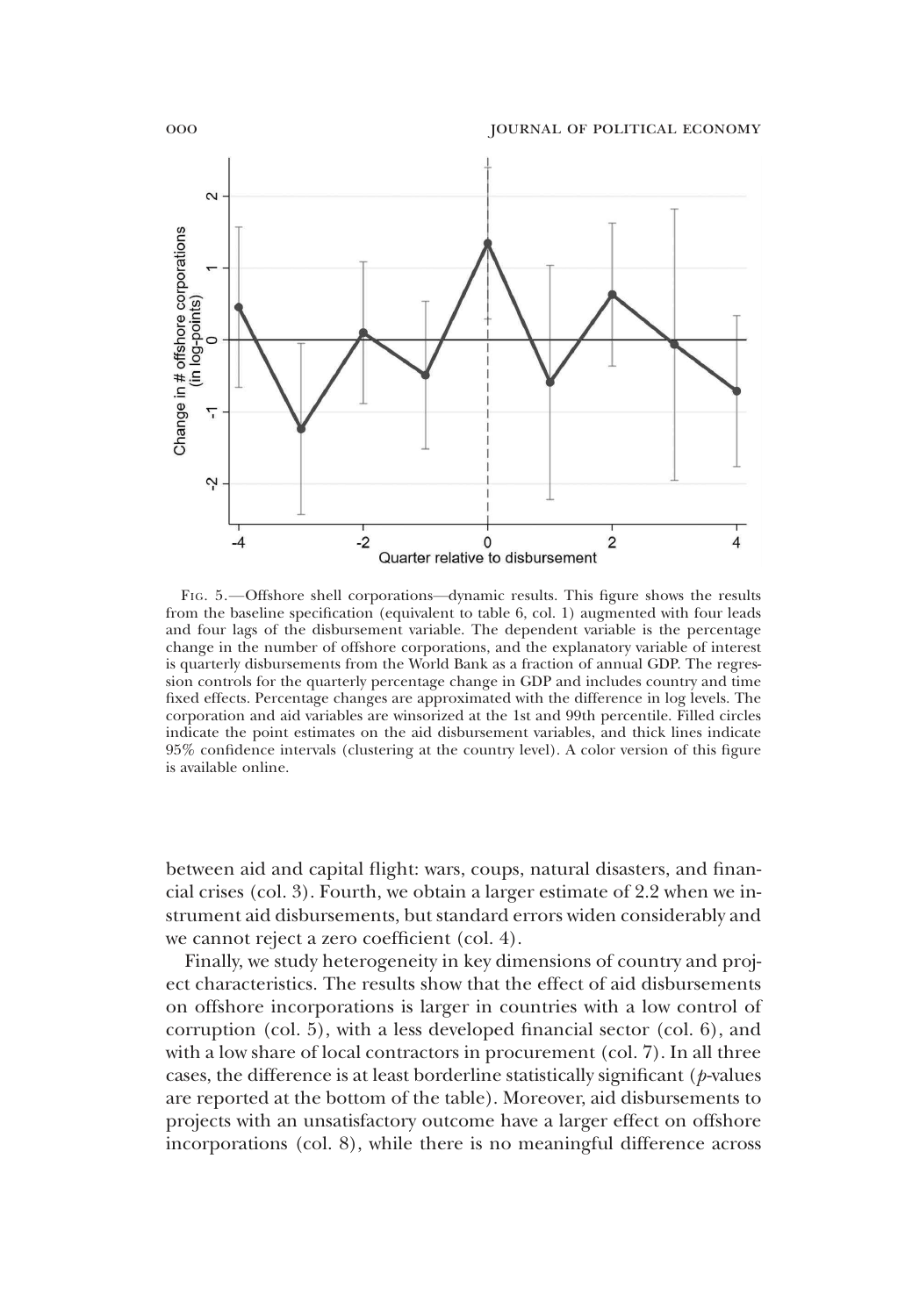

FIG. 5.—Offshore shell corporations—dynamic results. This figure shows the results from the baseline specification (equivalent to table 6, col. 1) augmented with four leads and four lags of the disbursement variable. The dependent variable is the percentage change in the number of offshore corporations, and the explanatory variable of interest is quarterly disbursements from the World Bank as a fraction of annual GDP. The regression controls for the quarterly percentage change in GDP and includes country and time fixed effects. Percentage changes are approximated with the difference in log levels. The corporation and aid variables are winsorized at the 1st and 99th percentile. Filled circles indicate the point estimates on the aid disbursement variables, and thick lines indicate 95% confidence intervals (clustering at the country level). A color version of this figure is available online.

between aid and capital flight: wars, coups, natural disasters, and financial crises (col. 3). Fourth, we obtain a larger estimate of 2.2 when we instrument aid disbursements, but standard errors widen considerably and we cannot reject a zero coefficient (col. 4).

Finally, we study heterogeneity in key dimensions of country and project characteristics. The results show that the effect of aid disbursements on offshore incorporations is larger in countries with a low control of corruption (col. 5), with a less developed financial sector (col. 6), and with a low share of local contractors in procurement (col. 7). In all three cases, the difference is at least borderline statistically significant (*p*-values are reported at the bottom of the table). Moreover, aid disbursements to projects with an unsatisfactory outcome have a larger effect on offshore incorporations (col. 8), while there is no meaningful difference across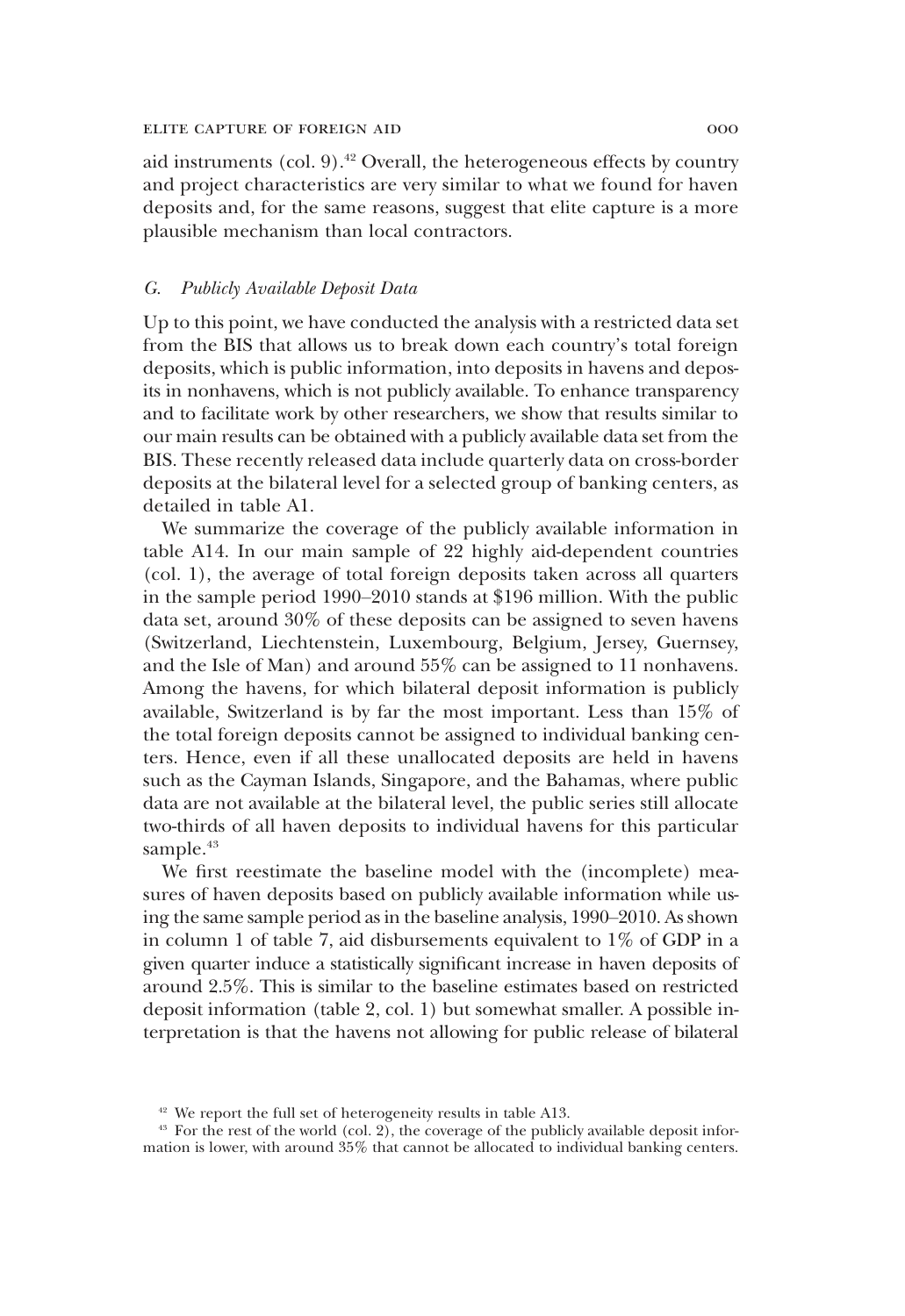aid instruments (col.  $9$ ).<sup>42</sup> Overall, the heterogeneous effects by country and project characteristics are very similar to what we found for haven deposits and, for the same reasons, suggest that elite capture is a more plausible mechanism than local contractors.

## *G. Publicly Available Deposit Data*

Up to this point, we have conducted the analysis with a restricted data set from the BIS that allows us to break down each country's total foreign deposits, which is public information, into deposits in havens and deposits in nonhavens, which is not publicly available. To enhance transparency and to facilitate work by other researchers, we show that results similar to our main results can be obtained with a publicly available data set from the BIS. These recently released data include quarterly data on cross-border deposits at the bilateral level for a selected group of banking centers, as detailed in table A1.

We summarize the coverage of the publicly available information in table A14. In our main sample of 22 highly aid-dependent countries (col. 1), the average of total foreign deposits taken across all quarters in the sample period 1990–2010 stands at \$196 million. With the public data set, around 30% of these deposits can be assigned to seven havens (Switzerland, Liechtenstein, Luxembourg, Belgium, Jersey, Guernsey, and the Isle of Man) and around 55% can be assigned to 11 nonhavens. Among the havens, for which bilateral deposit information is publicly available, Switzerland is by far the most important. Less than 15% of the total foreign deposits cannot be assigned to individual banking centers. Hence, even if all these unallocated deposits are held in havens such as the Cayman Islands, Singapore, and the Bahamas, where public data are not available at the bilateral level, the public series still allocate two-thirds of all haven deposits to individual havens for this particular sample.<sup>43</sup>

We first reestimate the baseline model with the (incomplete) measures of haven deposits based on publicly available information while using the same sample period as in the baseline analysis, 1990–2010. As shown in column 1 of table 7, aid disbursements equivalent to 1% of GDP in a given quarter induce a statistically significant increase in haven deposits of around 2.5%. This is similar to the baseline estimates based on restricted deposit information (table 2, col. 1) but somewhat smaller. A possible interpretation is that the havens not allowing for public release of bilateral

<sup>42</sup> We report the full set of heterogeneity results in table A13.

 $43$  For the rest of the world (col. 2), the coverage of the publicly available deposit information is lower, with around 35% that cannot be allocated to individual banking centers.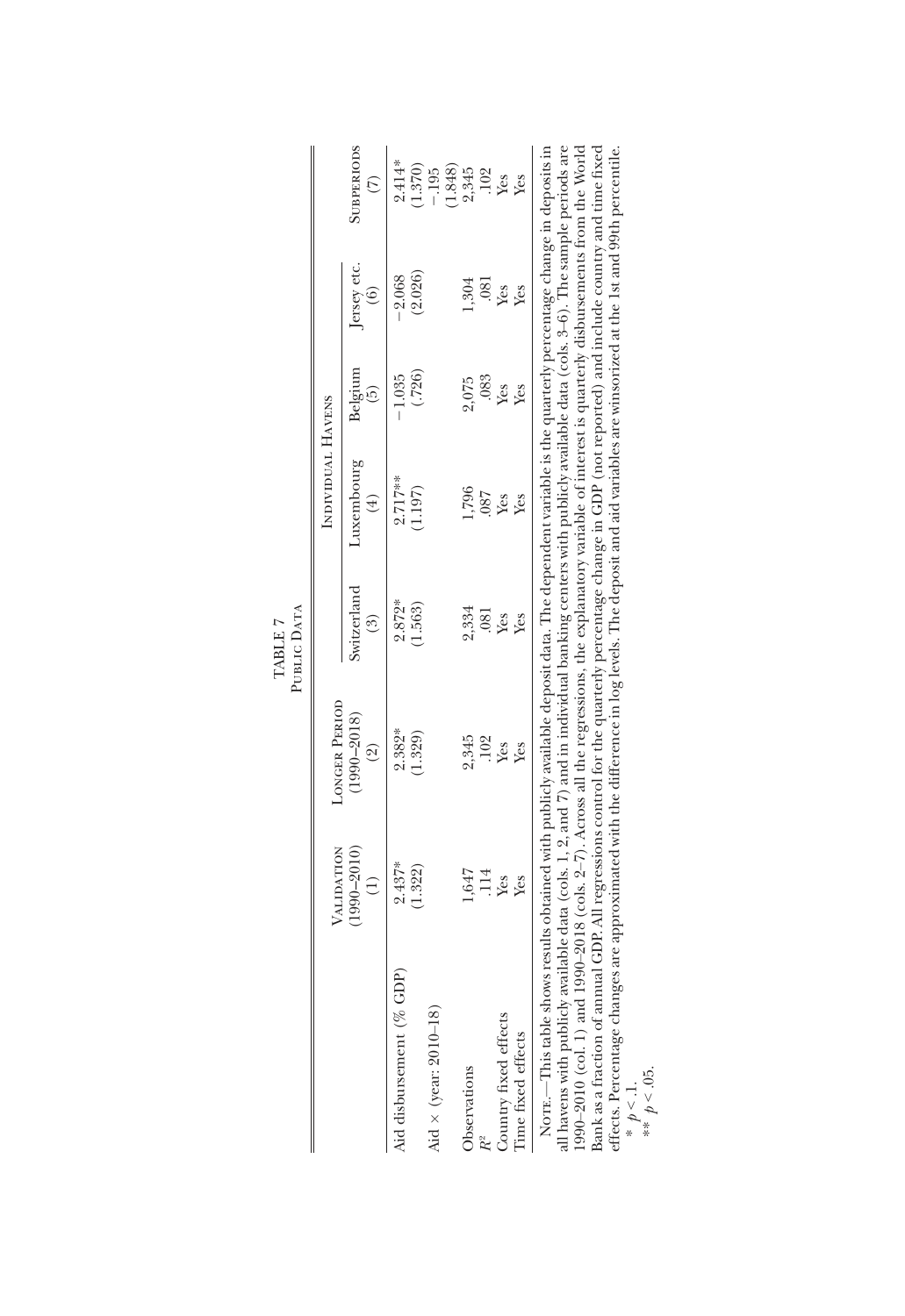|                                                                                                                                                                                                                                                                                                                                                                                                                                                                                                                                                                                                                                                                                |                                  |                                                                                                                                       | PUBLIC DATA<br>TABLE 7        |                                       |                             |                                         |                                    |
|--------------------------------------------------------------------------------------------------------------------------------------------------------------------------------------------------------------------------------------------------------------------------------------------------------------------------------------------------------------------------------------------------------------------------------------------------------------------------------------------------------------------------------------------------------------------------------------------------------------------------------------------------------------------------------|----------------------------------|---------------------------------------------------------------------------------------------------------------------------------------|-------------------------------|---------------------------------------|-----------------------------|-----------------------------------------|------------------------------------|
|                                                                                                                                                                                                                                                                                                                                                                                                                                                                                                                                                                                                                                                                                | VALIDATION                       | LONGER PERIOD                                                                                                                         |                               | INDIVIDUAL HAVENS                     |                             |                                         |                                    |
|                                                                                                                                                                                                                                                                                                                                                                                                                                                                                                                                                                                                                                                                                | $(1990 - 2010)$<br>$\widehat{E}$ | $(1990 - 2018)$<br>$\widehat{2}$                                                                                                      | Switzerland<br>$\binom{3}{2}$ | Luxembourg<br>$\left(\ddagger\right)$ | Belgium<br>$\left(5\right)$ | Jersey etc.<br>$\widehat{\mathfrak{b}}$ | <b>SUBPERIODS</b><br>$\widehat{C}$ |
| Aid disbursement (% GDP)                                                                                                                                                                                                                                                                                                                                                                                                                                                                                                                                                                                                                                                       | $2.437*$                         | 2.382*                                                                                                                                | $2.872*$                      | $2.717**$                             | $-1.035$                    | $-2.068$                                | $2.414*$                           |
|                                                                                                                                                                                                                                                                                                                                                                                                                                                                                                                                                                                                                                                                                | (1.322)                          | (1.329)                                                                                                                               | (1.563)                       | (1.197)                               | (.726)                      | (2.026)                                 | (1.370)                            |
| Aid $\times$ (year: 2010–18)                                                                                                                                                                                                                                                                                                                                                                                                                                                                                                                                                                                                                                                   |                                  |                                                                                                                                       |                               |                                       |                             |                                         | $-195$                             |
|                                                                                                                                                                                                                                                                                                                                                                                                                                                                                                                                                                                                                                                                                |                                  |                                                                                                                                       |                               |                                       |                             |                                         | (1.848)                            |
| Observations                                                                                                                                                                                                                                                                                                                                                                                                                                                                                                                                                                                                                                                                   | 1,647<br>114                     | 2,345                                                                                                                                 | 2,334                         | 1,796                                 | 2,075                       | .304                                    | 2,345                              |
|                                                                                                                                                                                                                                                                                                                                                                                                                                                                                                                                                                                                                                                                                |                                  | .102                                                                                                                                  | .081                          | 780.                                  | .083                        | .081                                    | 102                                |
| Country fixed effects                                                                                                                                                                                                                                                                                                                                                                                                                                                                                                                                                                                                                                                          | Yes                              | Yes                                                                                                                                   | Yes                           | Yes                                   | Yes                         | Yes                                     | Yes                                |
| Time fixed effects                                                                                                                                                                                                                                                                                                                                                                                                                                                                                                                                                                                                                                                             | Yes                              | Yes                                                                                                                                   | Yes                           | Yes                                   | Yes                         | Yes                                     | Yes                                |
| all havens with publicly available data (cols. 1, 2, and 7) and in individual banking centers with publicly available data (cols. 3-6). The sample periods are<br>NOTE.—This table shows results obtained with publicly available deposit data. The dependent variable is the quarterly percentage change in deposits in<br>Bank as a fraction of annual GDP. All regressions control for the quarterly percentage change in GDP (not reported) and include country and time fixed<br>effects. Percentage changes are approximated with the difference in log levels. The deposit and aid variables are winsorized at the 1st and 99th percentile.<br>1990-2010 (col. 1) and 1 |                                  | $200-2018$ (cols. $2-7$ ). Across all the regressions, the explanatory variable of interest is quarterly disbursements from the World |                               |                                       |                             |                                         |                                    |

| hows results obtained with publicly available deposit data. The dependent variable is the quarterly percentage change in deposits in | l havens with publicly available data (cols. 1, 2, and 7) and in individual banking centers with publicly available data (cols. 3–6). The sample periods are | $990-2010$ (col. 1) and $1990-2018$ (cols. $2-7$ ). Across all the regressions, the explanatory variable of interest is quarterly disbursements from the World | mnual GDP. All regressions control for the quarterly percentage change in GDP (not reported) and include country and time fixed | anges are approximated with the difference in log levels. The deposit and aid variables are winsorized at the 1st and 99th percentile. |  |
|--------------------------------------------------------------------------------------------------------------------------------------|--------------------------------------------------------------------------------------------------------------------------------------------------------------|----------------------------------------------------------------------------------------------------------------------------------------------------------------|---------------------------------------------------------------------------------------------------------------------------------|----------------------------------------------------------------------------------------------------------------------------------------|--|
| None.—This table sh                                                                                                                  |                                                                                                                                                              |                                                                                                                                                                | sank as a fraction of ar                                                                                                        | Hects. Percentage cha                                                                                                                  |  |

\*  $p < 1$ .<br>\*\*  $p < .05$ .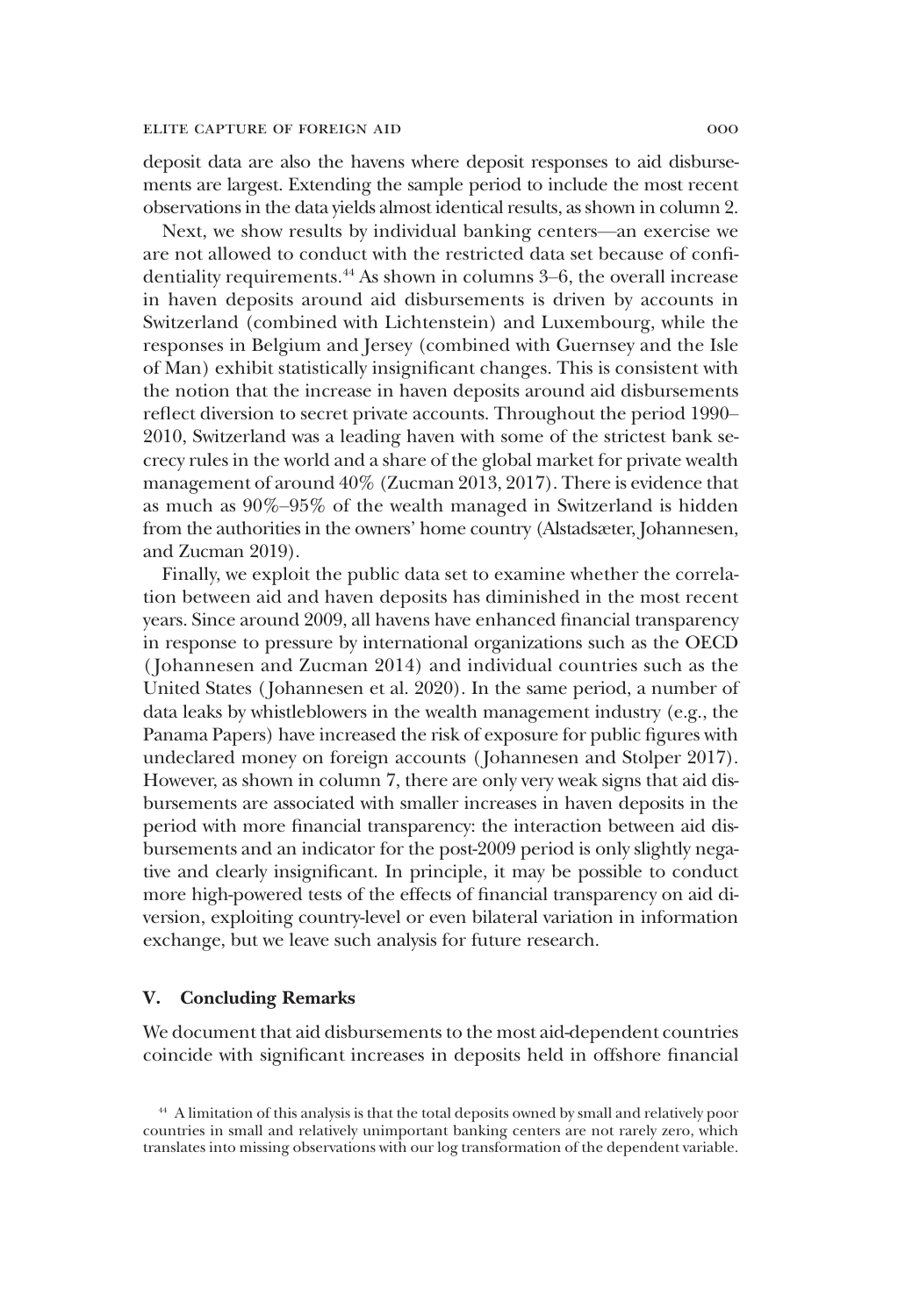deposit data are also the havens where deposit responses to aid disbursements are largest. Extending the sample period to include the most recent observations in the data yields almost identical results, as shown in column 2.

Next, we show results by individual banking centers—an exercise we are not allowed to conduct with the restricted data set because of confidentiality requirements.<sup>44</sup> As shown in columns 3–6, the overall increase in haven deposits around aid disbursements is driven by accounts in Switzerland (combined with Lichtenstein) and Luxembourg, while the responses in Belgium and Jersey (combined with Guernsey and the Isle of Man) exhibit statistically insignificant changes. This is consistent with the notion that the increase in haven deposits around aid disbursements reflect diversion to secret private accounts. Throughout the period 1990– 2010, Switzerland was a leading haven with some of the strictest bank secrecy rules in the world and a share of the global market for private wealth management of around 40% (Zucman 2013, 2017). There is evidence that as much as 90%–95% of the wealth managed in Switzerland is hidden from the authorities in the owners' home country (Alstadsæter, Johannesen, and Zucman 2019).

Finally, we exploit the public data set to examine whether the correlation between aid and haven deposits has diminished in the most recent years. Since around 2009, all havens have enhanced financial transparency in response to pressure by international organizations such as the OECD ( Johannesen and Zucman 2014) and individual countries such as the United States ( Johannesen et al. 2020). In the same period, a number of data leaks by whistleblowers in the wealth management industry (e.g., the Panama Papers) have increased the risk of exposure for public figures with undeclared money on foreign accounts ( Johannesen and Stolper 2017). However, as shown in column 7, there are only very weak signs that aid disbursements are associated with smaller increases in haven deposits in the period with more financial transparency: the interaction between aid disbursements and an indicator for the post-2009 period is only slightly negative and clearly insignificant. In principle, it may be possible to conduct more high-powered tests of the effects of financial transparency on aid diversion, exploiting country-level or even bilateral variation in information exchange, but we leave such analysis for future research.

## V. Concluding Remarks

We document that aid disbursements to the most aid-dependent countries coincide with significant increases in deposits held in offshore financial

<sup>44</sup> A limitation of this analysis is that the total deposits owned by small and relatively poor countries in small and relatively unimportant banking centers are not rarely zero, which translates into missing observations with our log transformation of the dependent variable.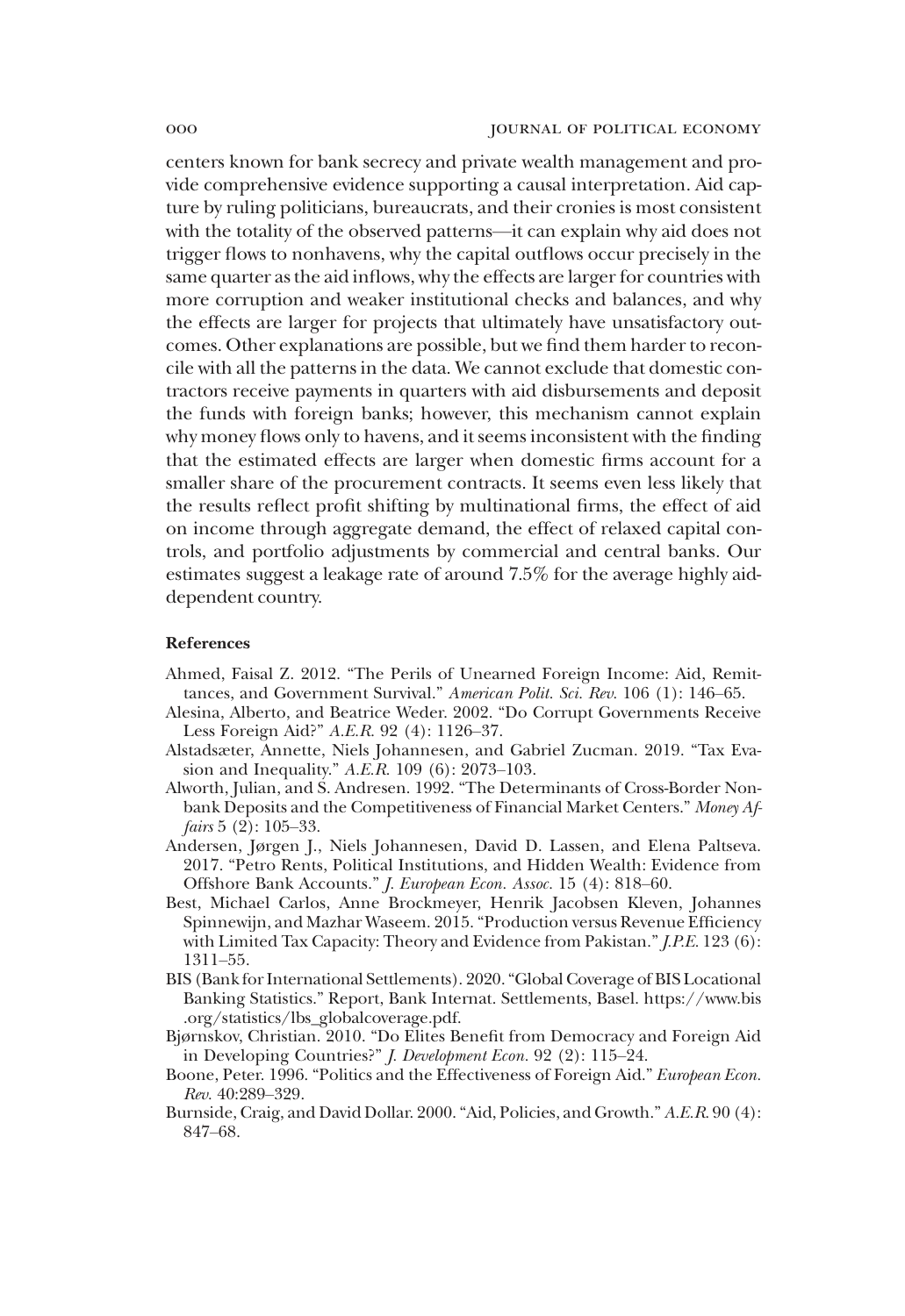centers known for bank secrecy and private wealth management and provide comprehensive evidence supporting a causal interpretation. Aid capture by ruling politicians, bureaucrats, and their cronies is most consistent with the totality of the observed patterns—it can explain why aid does not trigger flows to nonhavens, why the capital outflows occur precisely in the same quarter as the aid inflows, why the effects are larger for countries with more corruption and weaker institutional checks and balances, and why the effects are larger for projects that ultimately have unsatisfactory outcomes. Other explanations are possible, but we find them harder to reconcile with all the patterns in the data. We cannot exclude that domestic contractors receive payments in quarters with aid disbursements and deposit the funds with foreign banks; however, this mechanism cannot explain why money flows only to havens, and it seems inconsistent with the finding that the estimated effects are larger when domestic firms account for a smaller share of the procurement contracts. It seems even less likely that the results reflect profit shifting by multinational firms, the effect of aid on income through aggregate demand, the effect of relaxed capital controls, and portfolio adjustments by commercial and central banks. Our estimates suggest a leakage rate of around 7.5% for the average highly aiddependent country.

#### References

- Ahmed, Faisal Z. 2012. "The Perils of Unearned Foreign Income: Aid, Remittances, and Government Survival." *American Polit. Sci. Rev.* 106 (1): 146–65.
- Alesina, Alberto, and Beatrice Weder. 2002. "Do Corrupt Governments Receive Less Foreign Aid?" *A.E.R.* 92 (4): 1126–37.
- Alstadsæter, Annette, Niels Johannesen, and Gabriel Zucman. 2019. "Tax Evasion and Inequality." *A.E.R.* 109 (6): 2073–103.
- Alworth, Julian, and S. Andresen. 1992. "The Determinants of Cross-Border Nonbank Deposits and the Competitiveness of Financial Market Centers." *Money Affairs* 5 (2): 105–33.
- Andersen, Jørgen J., Niels Johannesen, David D. Lassen, and Elena Paltseva. 2017. "Petro Rents, Political Institutions, and Hidden Wealth: Evidence from Offshore Bank Accounts." *J. European Econ. Assoc.* 15 (4): 818–60.
- Best, Michael Carlos, Anne Brockmeyer, Henrik Jacobsen Kleven, Johannes Spinnewijn, and Mazhar Waseem. 2015."Production versus Revenue Efficiency with Limited Tax Capacity: Theory and Evidence from Pakistan."*J.P.E.* 123 (6): 1311–55.
- BIS (Bank for International Settlements). 2020."Global Coverage of BIS Locational Banking Statistics." Report, Bank Internat. Settlements, Basel. https://www.bis .org/statistics/lbs\_globalcoverage.pdf.
- Bjørnskov, Christian. 2010. "Do Elites Benefit from Democracy and Foreign Aid in Developing Countries?" *J. Development Econ.* 92 (2): 115–24.
- Boone, Peter. 1996. "Politics and the Effectiveness of Foreign Aid." *European Econ. Rev.* 40:289–329.
- Burnside, Craig, and David Dollar. 2000."Aid, Policies, and Growth." *A.E.R.* 90 (4): 847–68.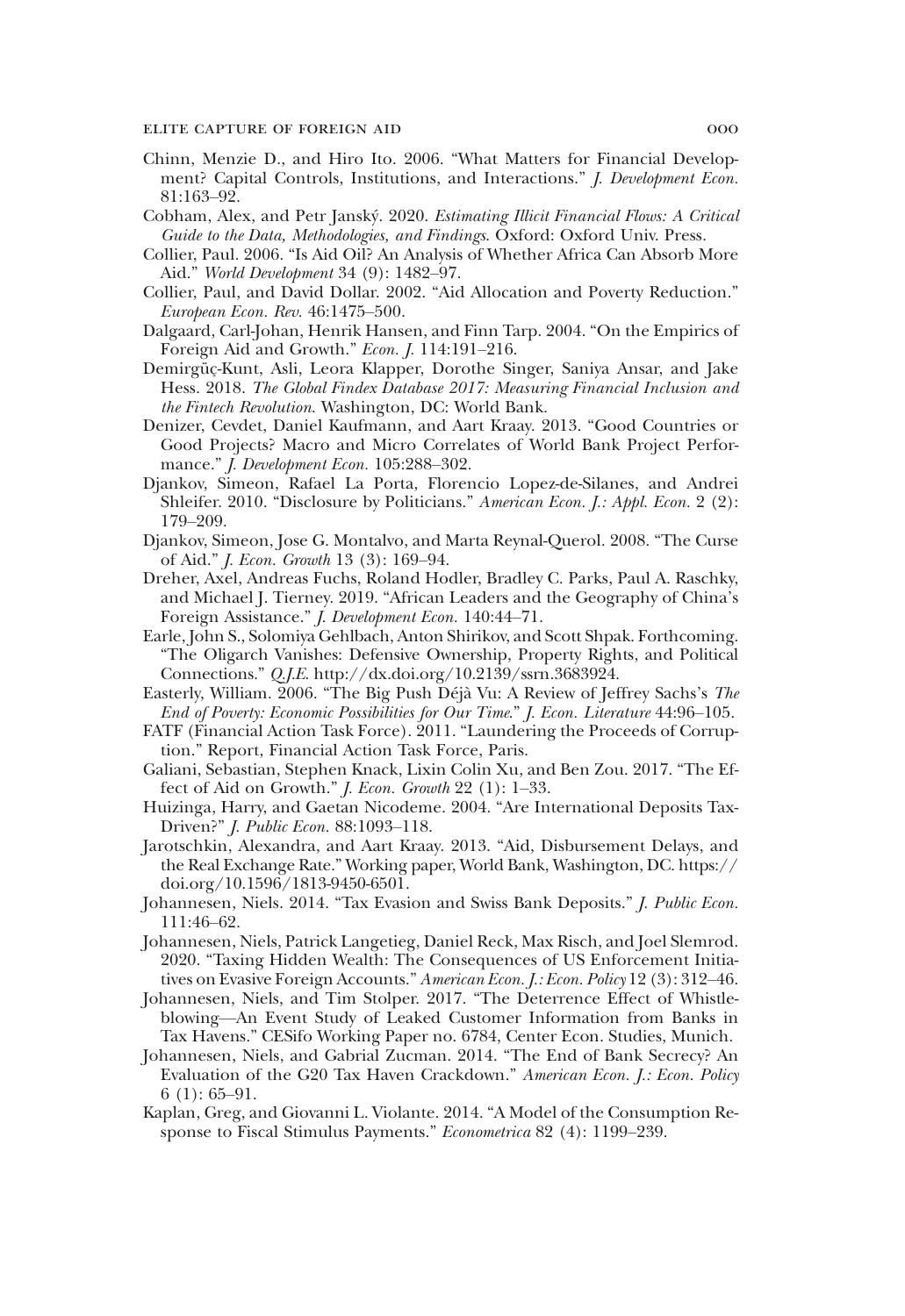- Chinn, Menzie D., and Hiro Ito. 2006. "What Matters for Financial Development? Capital Controls, Institutions, and Interactions." *J. Development Econ.* 81:163–92.
- Cobham, Alex, and Petr Janský. 2020. *Estimating Illicit Financial Flows: A Critical Guide to the Data, Methodologies, and Findings*. Oxford: Oxford Univ. Press.
- Collier, Paul. 2006. "Is Aid Oil? An Analysis of Whether Africa Can Absorb More Aid." *World Development* 34 (9): 1482–97.
- Collier, Paul, and David Dollar. 2002. "Aid Allocation and Poverty Reduction." *European Econ. Rev.* 46:1475–500.
- Dalgaard, Carl-Johan, Henrik Hansen, and Finn Tarp. 2004. "On the Empirics of Foreign Aid and Growth." *Econ. J.* 114:191–216.
- Demirgüç-Kunt, Asli, Leora Klapper, Dorothe Singer, Saniya Ansar, and Jake Hess. 2018. *The Global Findex Database 2017: Measuring Financial Inclusion and the Fintech Revolution*. Washington, DC: World Bank.
- Denizer, Cevdet, Daniel Kaufmann, and Aart Kraay. 2013. "Good Countries or Good Projects? Macro and Micro Correlates of World Bank Project Performance." *J. Development Econ.* 105:288–302.
- Djankov, Simeon, Rafael La Porta, Florencio Lopez-de-Silanes, and Andrei Shleifer. 2010. "Disclosure by Politicians." *American Econ. J.: Appl. Econ.* 2 (2): 179–209.
- Djankov, Simeon, Jose G. Montalvo, and Marta Reynal-Querol. 2008. "The Curse of Aid." *J. Econ. Growth* 13 (3): 169–94.
- Dreher, Axel, Andreas Fuchs, Roland Hodler, Bradley C. Parks, Paul A. Raschky, and Michael J. Tierney. 2019. "African Leaders and the Geography of China's Foreign Assistance." *J. Development Econ.* 140:44–71.
- Earle, John S., Solomiya Gehlbach, Anton Shirikov, and Scott Shpak. Forthcoming. "The Oligarch Vanishes: Defensive Ownership, Property Rights, and Political Connections." *Q.J.E*. http://dx.doi.org/10.2139/ssrn.3683924.
- Easterly, William. 2006. "The Big Push Déjà Vu: A Review of Jeffrey Sachs's *The End of Poverty: Economic Possibilities for Our Time*." *J. Econ. Literature* 44:96–105.
- FATF (Financial Action Task Force). 2011. "Laundering the Proceeds of Corruption." Report, Financial Action Task Force, Paris.
- Galiani, Sebastian, Stephen Knack, Lixin Colin Xu, and Ben Zou. 2017. "The Effect of Aid on Growth." *J. Econ. Growth* 22 (1): 1–33.
- Huizinga, Harry, and Gaetan Nicodeme. 2004. "Are International Deposits Tax-Driven?" *J. Public Econ.* 88:1093–118.
- Jarotschkin, Alexandra, and Aart Kraay. 2013. "Aid, Disbursement Delays, and the Real Exchange Rate." Working paper, World Bank, Washington, DC. https:// doi.org/10.1596/1813-9450-6501.
- Johannesen, Niels. 2014. "Tax Evasion and Swiss Bank Deposits." *J. Public Econ.* 111:46–62.
- Johannesen, Niels, Patrick Langetieg, Daniel Reck, Max Risch, and Joel Slemrod. 2020. "Taxing Hidden Wealth: The Consequences of US Enforcement Initiatives on Evasive Foreign Accounts." *American Econ. J.: Econ. Policy* 12 (3): 312–46.
- Johannesen, Niels, and Tim Stolper. 2017. "The Deterrence Effect of Whistleblowing—An Event Study of Leaked Customer Information from Banks in Tax Havens." CESifo Working Paper no. 6784, Center Econ. Studies, Munich.
- Johannesen, Niels, and Gabrial Zucman. 2014. "The End of Bank Secrecy? An Evaluation of the G20 Tax Haven Crackdown." *American Econ. J.: Econ. Policy* 6 (1): 65–91.
- Kaplan, Greg, and Giovanni L. Violante. 2014. "A Model of the Consumption Response to Fiscal Stimulus Payments." *Econometrica* 82 (4): 1199–239.